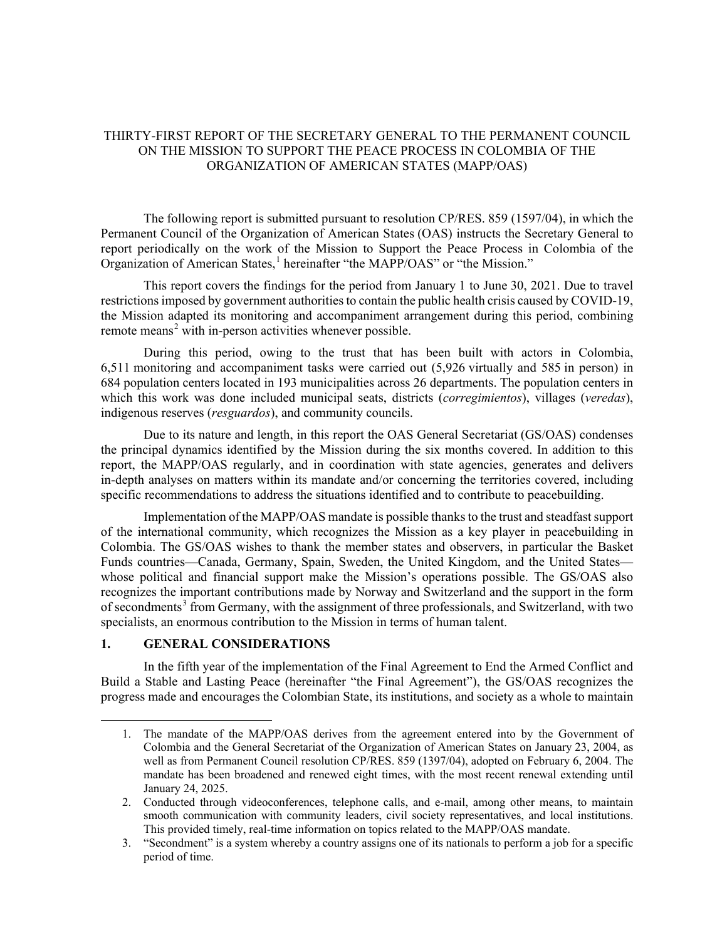# THIRTY-FIRST REPORT OF THE SECRETARY GENERAL TO THE PERMANENT COUNCIL ON THE MISSION TO SUPPORT THE PEACE PROCESS IN COLOMBIA OF THE ORGANIZATION OF AMERICAN STATES (MAPP/OAS)

The following report is submitted pursuant to resolution CP/RES. 859 (1597/04), in which the Permanent Council of the Organization of American States (OAS) instructs the Secretary General to report periodically on the work of the Mission to Support the Peace Process in Colombia of the Organization of American States, [1](#page-0-0) hereinafter "the MAPP/OAS" or "the Mission."

This report covers the findings for the period from January 1 to June 30, 2021. Due to travel restrictions imposed by government authorities to contain the public health crisis caused by COVID-19, the Mission adapted its monitoring and accompaniment arrangement during this period, combining remote means<sup>[2](#page-0-1)</sup> with in-person activities whenever possible.

During this period, owing to the trust that has been built with actors in Colombia, 6,511 monitoring and accompaniment tasks were carried out (5,926 virtually and 585 in person) in 684 population centers located in 193 municipalities across 26 departments. The population centers in which this work was done included municipal seats, districts (*corregimientos*), villages (*veredas*), indigenous reserves (*resguardos*), and community councils.

Due to its nature and length, in this report the OAS General Secretariat (GS/OAS) condenses the principal dynamics identified by the Mission during the six months covered. In addition to this report, the MAPP/OAS regularly, and in coordination with state agencies, generates and delivers in-depth analyses on matters within its mandate and/or concerning the territories covered, including specific recommendations to address the situations identified and to contribute to peacebuilding.

Implementation of the MAPP/OAS mandate is possible thanks to the trust and steadfast support of the international community, which recognizes the Mission as a key player in peacebuilding in Colombia. The GS/OAS wishes to thank the member states and observers, in particular the Basket Funds countries—Canada, Germany, Spain, Sweden, the United Kingdom, and the United States whose political and financial support make the Mission's operations possible. The GS/OAS also recognizes the important contributions made by Norway and Switzerland and the support in the form of secondments<sup>[3](#page-0-2)</sup> from Germany, with the assignment of three professionals, and Switzerland, with two specialists, an enormous contribution to the Mission in terms of human talent.

### **1. GENERAL CONSIDERATIONS**

<span id="page-0-0"></span>In the fifth year of the implementation of the Final Agreement to End the Armed Conflict and Build a Stable and Lasting Peace (hereinafter "the Final Agreement"), the GS/OAS recognizes the progress made and encourages the Colombian State, its institutions, and society as a whole to maintain

<sup>1.</sup> The mandate of the MAPP/OAS derives from the agreement entered into by the Government of Colombia and the General Secretariat of the Organization of American States on January 23, 2004, as well as from Permanent Council resolution CP/RES. 859 (1397/04), adopted on February 6, 2004. The mandate has been broadened and renewed eight times, with the most recent renewal extending until January 24, 2025.

<span id="page-0-1"></span><sup>2.</sup> Conducted through videoconferences, telephone calls, and e-mail, among other means, to maintain smooth communication with community leaders, civil society representatives, and local institutions. This provided timely, real-time information on topics related to the MAPP/OAS mandate.

<span id="page-0-2"></span><sup>3.</sup> "Secondment" is a system whereby a country assigns one of its nationals to perform a job for a specific period of time.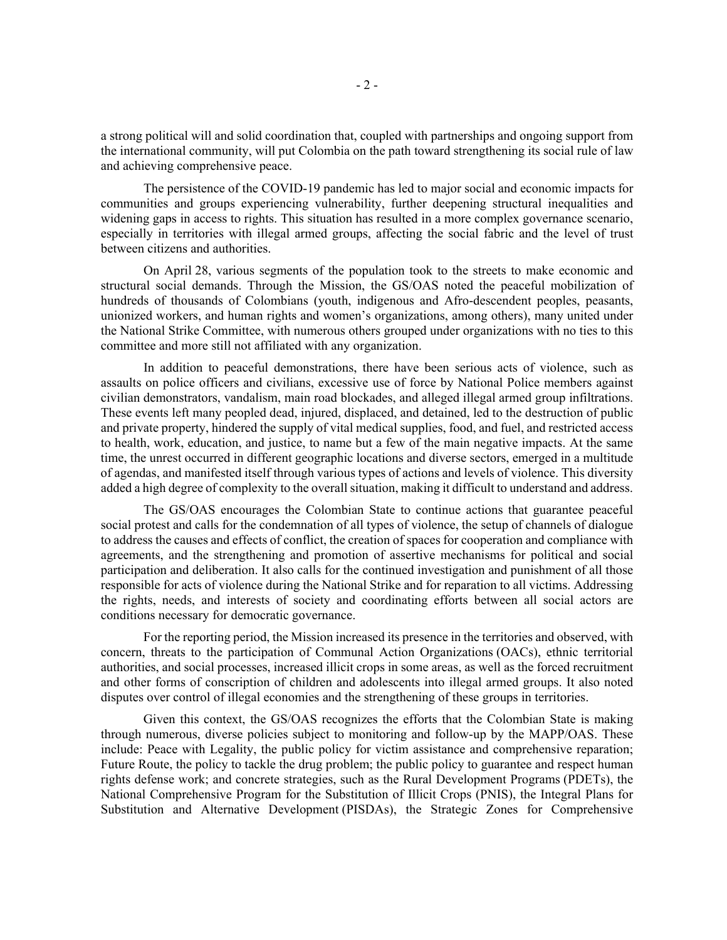a strong political will and solid coordination that, coupled with partnerships and ongoing support from the international community, will put Colombia on the path toward strengthening its social rule of law and achieving comprehensive peace.

The persistence of the COVID-19 pandemic has led to major social and economic impacts for communities and groups experiencing vulnerability, further deepening structural inequalities and widening gaps in access to rights. This situation has resulted in a more complex governance scenario, especially in territories with illegal armed groups, affecting the social fabric and the level of trust between citizens and authorities.

On April 28, various segments of the population took to the streets to make economic and structural social demands. Through the Mission, the GS/OAS noted the peaceful mobilization of hundreds of thousands of Colombians (youth, indigenous and Afro-descendent peoples, peasants, unionized workers, and human rights and women's organizations, among others), many united under the National Strike Committee, with numerous others grouped under organizations with no ties to this committee and more still not affiliated with any organization.

In addition to peaceful demonstrations, there have been serious acts of violence, such as assaults on police officers and civilians, excessive use of force by National Police members against civilian demonstrators, vandalism, main road blockades, and alleged illegal armed group infiltrations. These events left many peopled dead, injured, displaced, and detained, led to the destruction of public and private property, hindered the supply of vital medical supplies, food, and fuel, and restricted access to health, work, education, and justice, to name but a few of the main negative impacts. At the same time, the unrest occurred in different geographic locations and diverse sectors, emerged in a multitude of agendas, and manifested itself through various types of actions and levels of violence. This diversity added a high degree of complexity to the overall situation, making it difficult to understand and address.

The GS/OAS encourages the Colombian State to continue actions that guarantee peaceful social protest and calls for the condemnation of all types of violence, the setup of channels of dialogue to address the causes and effects of conflict, the creation of spaces for cooperation and compliance with agreements, and the strengthening and promotion of assertive mechanisms for political and social participation and deliberation. It also calls for the continued investigation and punishment of all those responsible for acts of violence during the National Strike and for reparation to all victims. Addressing the rights, needs, and interests of society and coordinating efforts between all social actors are conditions necessary for democratic governance.

For the reporting period, the Mission increased its presence in the territories and observed, with concern, threats to the participation of Communal Action Organizations (OACs), ethnic territorial authorities, and social processes, increased illicit crops in some areas, as well as the forced recruitment and other forms of conscription of children and adolescents into illegal armed groups. It also noted disputes over control of illegal economies and the strengthening of these groups in territories.

Given this context, the GS/OAS recognizes the efforts that the Colombian State is making through numerous, diverse policies subject to monitoring and follow-up by the MAPP/OAS. These include: Peace with Legality, the public policy for victim assistance and comprehensive reparation; Future Route, the policy to tackle the drug problem; the public policy to guarantee and respect human rights defense work; and concrete strategies, such as the Rural Development Programs (PDETs), the National Comprehensive Program for the Substitution of Illicit Crops (PNIS), the Integral Plans for Substitution and Alternative Development (PISDAs), the Strategic Zones for Comprehensive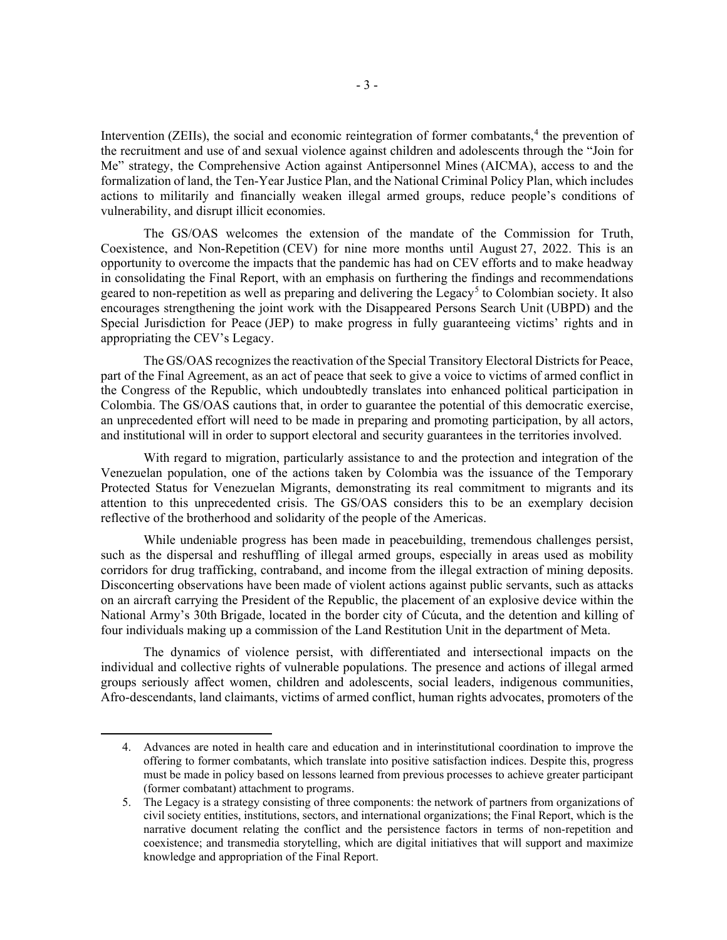Intervention (ZEIIs), the social and economic reintegration of former combatants,<sup>[4](#page-2-0)</sup> the prevention of the recruitment and use of and sexual violence against children and adolescents through the "Join for Me" strategy, the Comprehensive Action against Antipersonnel Mines (AICMA), access to and the formalization of land, the Ten-Year Justice Plan, and the National Criminal Policy Plan, which includes actions to militarily and financially weaken illegal armed groups, reduce people's conditions of vulnerability, and disrupt illicit economies.

The GS/OAS welcomes the extension of the mandate of the Commission for Truth, Coexistence, and Non-Repetition (CEV) for nine more months until August 27, 2022. This is an opportunity to overcome the impacts that the pandemic has had on CEV efforts and to make headway in consolidating the Final Report, with an emphasis on furthering the findings and recommendations geared to non-repetition as well as preparing and delivering the Legacy<sup>[5](#page-2-1)</sup> to Colombian society. It also encourages strengthening the joint work with the Disappeared Persons Search Unit (UBPD) and the Special Jurisdiction for Peace (JEP) to make progress in fully guaranteeing victims' rights and in appropriating the CEV's Legacy.

The GS/OAS recognizes the reactivation of the Special Transitory Electoral Districts for Peace, part of the Final Agreement, as an act of peace that seek to give a voice to victims of armed conflict in the Congress of the Republic, which undoubtedly translates into enhanced political participation in Colombia. The GS/OAS cautions that, in order to guarantee the potential of this democratic exercise, an unprecedented effort will need to be made in preparing and promoting participation, by all actors, and institutional will in order to support electoral and security guarantees in the territories involved.

With regard to migration, particularly assistance to and the protection and integration of the Venezuelan population, one of the actions taken by Colombia was the issuance of the Temporary Protected Status for Venezuelan Migrants, demonstrating its real commitment to migrants and its attention to this unprecedented crisis. The GS/OAS considers this to be an exemplary decision reflective of the brotherhood and solidarity of the people of the Americas.

While undeniable progress has been made in peacebuilding, tremendous challenges persist, such as the dispersal and reshuffling of illegal armed groups, especially in areas used as mobility corridors for drug trafficking, contraband, and income from the illegal extraction of mining deposits. Disconcerting observations have been made of violent actions against public servants, such as attacks on an aircraft carrying the President of the Republic, the placement of an explosive device within the National Army's 30th Brigade, located in the border city of Cúcuta, and the detention and killing of four individuals making up a commission of the Land Restitution Unit in the department of Meta.

The dynamics of violence persist, with differentiated and intersectional impacts on the individual and collective rights of vulnerable populations. The presence and actions of illegal armed groups seriously affect women, children and adolescents, social leaders, indigenous communities, Afro-descendants, land claimants, victims of armed conflict, human rights advocates, promoters of the

<span id="page-2-0"></span><sup>4.</sup> Advances are noted in health care and education and in interinstitutional coordination to improve the offering to former combatants, which translate into positive satisfaction indices. Despite this, progress must be made in policy based on lessons learned from previous processes to achieve greater participant (former combatant) attachment to programs.

<span id="page-2-1"></span><sup>5.</sup> The Legacy is a strategy consisting of three components: the network of partners from organizations of civil society entities, institutions, sectors, and international organizations; the Final Report, which is the narrative document relating the conflict and the persistence factors in terms of non-repetition and coexistence; and transmedia storytelling, which are digital initiatives that will support and maximize knowledge and appropriation of the Final Report.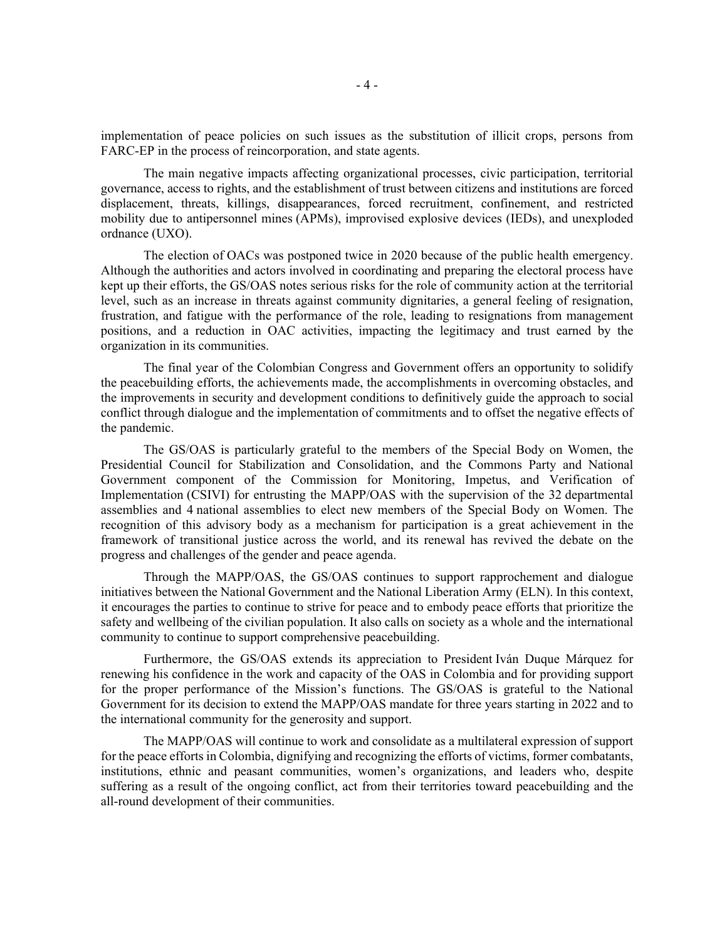implementation of peace policies on such issues as the substitution of illicit crops, persons from FARC-EP in the process of reincorporation, and state agents.

The main negative impacts affecting organizational processes, civic participation, territorial governance, access to rights, and the establishment of trust between citizens and institutions are forced displacement, threats, killings, disappearances, forced recruitment, confinement, and restricted mobility due to antipersonnel mines (APMs), improvised explosive devices (IEDs), and unexploded ordnance (UXO).

The election of OACs was postponed twice in 2020 because of the public health emergency. Although the authorities and actors involved in coordinating and preparing the electoral process have kept up their efforts, the GS/OAS notes serious risks for the role of community action at the territorial level, such as an increase in threats against community dignitaries, a general feeling of resignation, frustration, and fatigue with the performance of the role, leading to resignations from management positions, and a reduction in OAC activities, impacting the legitimacy and trust earned by the organization in its communities.

The final year of the Colombian Congress and Government offers an opportunity to solidify the peacebuilding efforts, the achievements made, the accomplishments in overcoming obstacles, and the improvements in security and development conditions to definitively guide the approach to social conflict through dialogue and the implementation of commitments and to offset the negative effects of the pandemic.

The GS/OAS is particularly grateful to the members of the Special Body on Women, the Presidential Council for Stabilization and Consolidation, and the Commons Party and National Government component of the Commission for Monitoring, Impetus, and Verification of Implementation (CSIVI) for entrusting the MAPP/OAS with the supervision of the 32 departmental assemblies and 4 national assemblies to elect new members of the Special Body on Women. The recognition of this advisory body as a mechanism for participation is a great achievement in the framework of transitional justice across the world, and its renewal has revived the debate on the progress and challenges of the gender and peace agenda.

Through the MAPP/OAS, the GS/OAS continues to support rapprochement and dialogue initiatives between the National Government and the National Liberation Army (ELN). In this context, it encourages the parties to continue to strive for peace and to embody peace efforts that prioritize the safety and wellbeing of the civilian population. It also calls on society as a whole and the international community to continue to support comprehensive peacebuilding.

Furthermore, the GS/OAS extends its appreciation to President Iván Duque Márquez for renewing his confidence in the work and capacity of the OAS in Colombia and for providing support for the proper performance of the Mission's functions. The GS/OAS is grateful to the National Government for its decision to extend the MAPP/OAS mandate for three years starting in 2022 and to the international community for the generosity and support.

The MAPP/OAS will continue to work and consolidate as a multilateral expression of support for the peace efforts in Colombia, dignifying and recognizing the efforts of victims, former combatants, institutions, ethnic and peasant communities, women's organizations, and leaders who, despite suffering as a result of the ongoing conflict, act from their territories toward peacebuilding and the all-round development of their communities.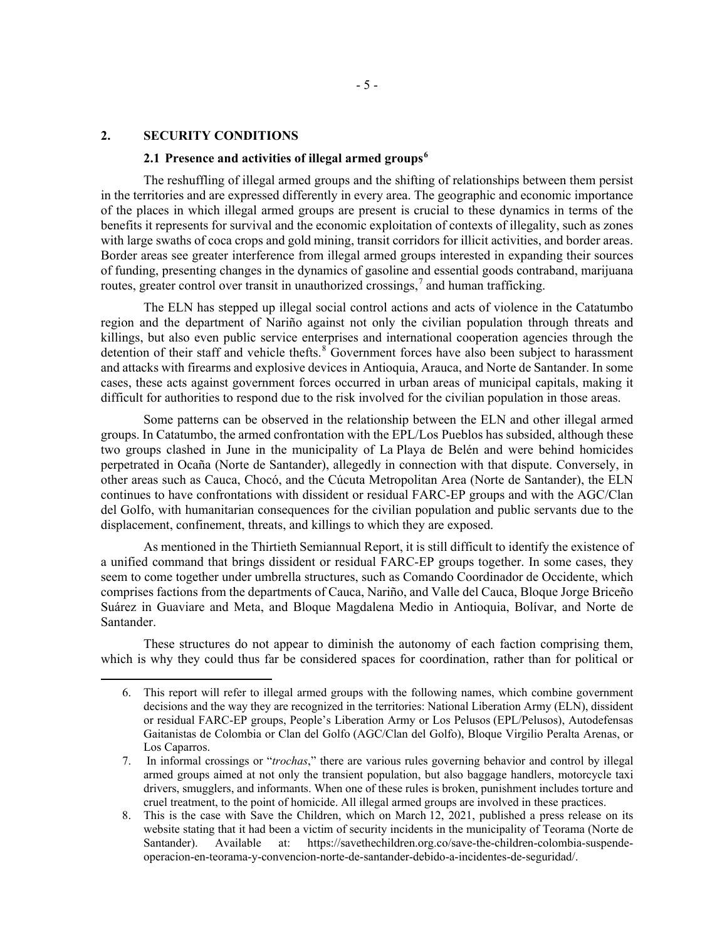### **2. SECURITY CONDITIONS**

## **2.1 Presence and activities of illegal armed groups[6](#page-4-0)**

The reshuffling of illegal armed groups and the shifting of relationships between them persist in the territories and are expressed differently in every area. The geographic and economic importance of the places in which illegal armed groups are present is crucial to these dynamics in terms of the benefits it represents for survival and the economic exploitation of contexts of illegality, such as zones with large swaths of coca crops and gold mining, transit corridors for illicit activities, and border areas. Border areas see greater interference from illegal armed groups interested in expanding their sources of funding, presenting changes in the dynamics of gasoline and essential goods contraband, marijuana routes, greater control over transit in unauthorized crossings,<sup>[7](#page-4-1)</sup> and human trafficking.

The ELN has stepped up illegal social control actions and acts of violence in the Catatumbo region and the department of Nariño against not only the civilian population through threats and killings, but also even public service enterprises and international cooperation agencies through the detention of their staff and vehicle thefts.<sup>[8](#page-4-2)</sup> Government forces have also been subject to harassment and attacks with firearms and explosive devices in Antioquia, Arauca, and Norte de Santander. In some cases, these acts against government forces occurred in urban areas of municipal capitals, making it difficult for authorities to respond due to the risk involved for the civilian population in those areas.

Some patterns can be observed in the relationship between the ELN and other illegal armed groups. In Catatumbo, the armed confrontation with the EPL/Los Pueblos has subsided, although these two groups clashed in June in the municipality of La Playa de Belén and were behind homicides perpetrated in Ocaña (Norte de Santander), allegedly in connection with that dispute. Conversely, in other areas such as Cauca, Chocó, and the Cúcuta Metropolitan Area (Norte de Santander), the ELN continues to have confrontations with dissident or residual FARC-EP groups and with the AGC/Clan del Golfo, with humanitarian consequences for the civilian population and public servants due to the displacement, confinement, threats, and killings to which they are exposed.

As mentioned in the Thirtieth Semiannual Report, it is still difficult to identify the existence of a unified command that brings dissident or residual FARC-EP groups together. In some cases, they seem to come together under umbrella structures, such as Comando Coordinador de Occidente, which comprises factions from the departments of Cauca, Nariño, and Valle del Cauca, Bloque Jorge Briceño Suárez in Guaviare and Meta, and Bloque Magdalena Medio in Antioquia, Bolívar, and Norte de Santander.

<span id="page-4-0"></span>These structures do not appear to diminish the autonomy of each faction comprising them, which is why they could thus far be considered spaces for coordination, rather than for political or

<sup>6.</sup> This report will refer to illegal armed groups with the following names, which combine government decisions and the way they are recognized in the territories: National Liberation Army (ELN), dissident or residual FARC-EP groups, People's Liberation Army or Los Pelusos (EPL/Pelusos), Autodefensas Gaitanistas de Colombia or Clan del Golfo (AGC/Clan del Golfo), Bloque Virgilio Peralta Arenas, or Los Caparros.

<span id="page-4-1"></span><sup>7.</sup> In informal crossings or "*trochas*," there are various rules governing behavior and control by illegal armed groups aimed at not only the transient population, but also baggage handlers, motorcycle taxi drivers, smugglers, and informants. When one of these rules is broken, punishment includes torture and cruel treatment, to the point of homicide. All illegal armed groups are involved in these practices.

<span id="page-4-2"></span><sup>8.</sup> This is the case with Save the Children, which on March 12, 2021, published a press release on its website stating that it had been a victim of security incidents in the municipality of Teorama (Norte de Santander). Available at: [https://savethechildren.org.co/save-the-children-colombia-suspende](https://savethechildren.org.co/save-the-children-colombia-suspende-operacion-en-teorama-y-convencion-norte-de-santander-debido-a-incidentes-de-seguridad/)[operacion-en-teorama-y-convencion-norte-de-santander-debido-a-incidentes-de-seguridad/.](https://savethechildren.org.co/save-the-children-colombia-suspende-operacion-en-teorama-y-convencion-norte-de-santander-debido-a-incidentes-de-seguridad/)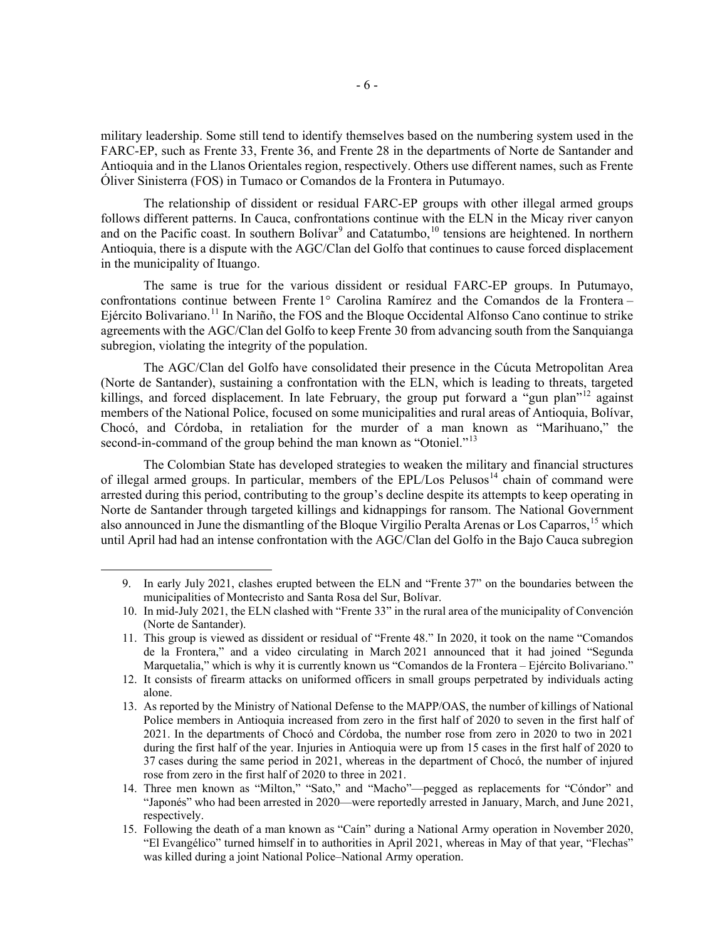military leadership. Some still tend to identify themselves based on the numbering system used in the FARC-EP, such as Frente 33, Frente 36, and Frente 28 in the departments of Norte de Santander and Antioquia and in the Llanos Orientales region, respectively. Others use different names, such as Frente Óliver Sinisterra (FOS) in Tumaco or Comandos de la Frontera in Putumayo.

The relationship of dissident or residual FARC-EP groups with other illegal armed groups follows different patterns. In Cauca, confrontations continue with the ELN in the Micay river canyon and on the Pacific coast. In southern Bolívar<sup>[9](#page-5-0)</sup> and Catatumbo,<sup>[10](#page-5-1)</sup> tensions are heightened. In northern Antioquia, there is a dispute with the AGC/Clan del Golfo that continues to cause forced displacement in the municipality of Ituango.

The same is true for the various dissident or residual FARC-EP groups. In Putumayo, confrontations continue between Frente 1° Carolina Ramírez and the Comandos de la Frontera – Ejército Bolivariano.<sup>[11](#page-5-2)</sup> In Nariño, the FOS and the Bloque Occidental Alfonso Cano continue to strike agreements with the AGC/Clan del Golfo to keep Frente 30 from advancing south from the Sanquianga subregion, violating the integrity of the population.

The AGC/Clan del Golfo have consolidated their presence in the Cúcuta Metropolitan Area (Norte de Santander), sustaining a confrontation with the ELN, which is leading to threats, targeted killings, and forced displacement. In late February, the group put forward a "gun plan"<sup>[12](#page-5-3)</sup> against members of the National Police, focused on some municipalities and rural areas of Antioquia, Bolívar, Chocó, and Córdoba, in retaliation for the murder of a man known as "Marihuano," the second-in-command of the group behind the man known as "Otoniel."<sup>[13](#page-5-4)</sup>

The Colombian State has developed strategies to weaken the military and financial structures of illegal armed groups. In particular, members of the EPL/Los Pelusos<sup>[14](#page-5-5)</sup> chain of command were arrested during this period, contributing to the group's decline despite its attempts to keep operating in Norte de Santander through targeted killings and kidnappings for ransom. The National Government also announced in June the dismantling of the Bloque Virgilio Peralta Arenas or Los Caparros,[15](#page-5-6) which until April had had an intense confrontation with the AGC/Clan del Golfo in the Bajo Cauca subregion

<span id="page-5-0"></span><sup>9.</sup> In early July 2021, clashes erupted between the ELN and "Frente 37" on the boundaries between the municipalities of Montecristo and Santa Rosa del Sur, Bolívar.

<span id="page-5-1"></span><sup>10.</sup> In mid-July 2021, the ELN clashed with "Frente 33" in the rural area of the municipality of Convención (Norte de Santander).

<span id="page-5-2"></span><sup>11.</sup> This group is viewed as dissident or residual of "Frente 48." In 2020, it took on the name "Comandos de la Frontera," and a video circulating in March 2021 announced that it had joined "Segunda Marquetalia," which is why it is currently known us "Comandos de la Frontera – Ejército Bolivariano."

<span id="page-5-3"></span><sup>12.</sup> It consists of firearm attacks on uniformed officers in small groups perpetrated by individuals acting alone.

<span id="page-5-4"></span><sup>13.</sup> As reported by the Ministry of National Defense to the MAPP/OAS, the number of killings of National Police members in Antioquia increased from zero in the first half of 2020 to seven in the first half of 2021. In the departments of Chocó and Córdoba, the number rose from zero in 2020 to two in 2021 during the first half of the year. Injuries in Antioquia were up from 15 cases in the first half of 2020 to 37 cases during the same period in 2021, whereas in the department of Chocó, the number of injured rose from zero in the first half of 2020 to three in 2021.

<span id="page-5-5"></span><sup>14.</sup> Three men known as "Milton," "Sato," and "Macho"—pegged as replacements for "Cóndor" and "Japonés" who had been arrested in 2020—were reportedly arrested in January, March, and June 2021, respectively.

<span id="page-5-6"></span><sup>15.</sup> Following the death of a man known as "Caín" during a National Army operation in November 2020, "El Evangélico" turned himself in to authorities in April 2021, whereas in May of that year, "Flechas" was killed during a joint National Police–National Army operation.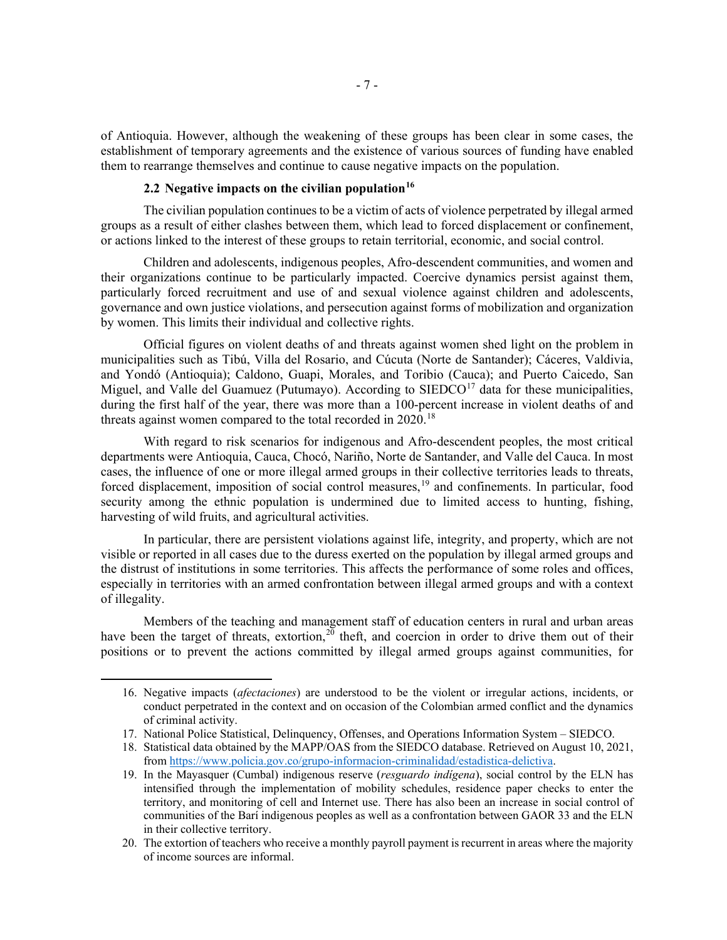of Antioquia. However, although the weakening of these groups has been clear in some cases, the establishment of temporary agreements and the existence of various sources of funding have enabled them to rearrange themselves and continue to cause negative impacts on the population.

## **2.2 Negative impacts on the civilian population[16](#page-6-0)**

The civilian population continues to be a victim of acts of violence perpetrated by illegal armed groups as a result of either clashes between them, which lead to forced displacement or confinement, or actions linked to the interest of these groups to retain territorial, economic, and social control.

Children and adolescents, indigenous peoples, Afro-descendent communities, and women and their organizations continue to be particularly impacted. Coercive dynamics persist against them, particularly forced recruitment and use of and sexual violence against children and adolescents, governance and own justice violations, and persecution against forms of mobilization and organization by women. This limits their individual and collective rights.

Official figures on violent deaths of and threats against women shed light on the problem in municipalities such as Tibú, Villa del Rosario, and Cúcuta (Norte de Santander); Cáceres, Valdivia, and Yondó (Antioquia); Caldono, Guapi, Morales, and Toribio (Cauca); and Puerto Caicedo, San Miguel, and Valle del Guamuez (Putumayo). According to  $\text{SEDCO}^{17}$  $\text{SEDCO}^{17}$  $\text{SEDCO}^{17}$  data for these municipalities, during the first half of the year, there was more than a 100-percent increase in violent deaths of and threats against women compared to the total recorded in  $2020$ .<sup>[18](#page-6-2)</sup>

With regard to risk scenarios for indigenous and Afro-descendent peoples, the most critical departments were Antioquia, Cauca, Chocó, Nariño, Norte de Santander, and Valle del Cauca. In most cases, the influence of one or more illegal armed groups in their collective territories leads to threats, forced displacement, imposition of social control measures,<sup>[19](#page-6-3)</sup> and confinements. In particular, food security among the ethnic population is undermined due to limited access to hunting, fishing, harvesting of wild fruits, and agricultural activities.

In particular, there are persistent violations against life, integrity, and property, which are not visible or reported in all cases due to the duress exerted on the population by illegal armed groups and the distrust of institutions in some territories. This affects the performance of some roles and offices, especially in territories with an armed confrontation between illegal armed groups and with a context of illegality.

Members of the teaching and management staff of education centers in rural and urban areas have been the target of threats, extortion,  $20$  theft, and coercion in order to drive them out of their positions or to prevent the actions committed by illegal armed groups against communities, for

<span id="page-6-0"></span><sup>16.</sup> Negative impacts (*afectaciones*) are understood to be the violent or irregular actions, incidents, or conduct perpetrated in the context and on occasion of the Colombian armed conflict and the dynamics of criminal activity.

<span id="page-6-1"></span><sup>17.</sup> National Police Statistical, Delinquency, Offenses, and Operations Information System – SIEDCO.

<span id="page-6-2"></span><sup>18.</sup> Statistical data obtained by the MAPP/OAS from the SIEDCO database. Retrieved on August 10, 2021, from [https://www.policia.gov.co/grupo-informacion-criminalidad/estadistica-delictiva.](https://www.policia.gov.co/grupo-informacion-criminalidad/estadistica-delictiva)

<span id="page-6-3"></span><sup>19.</sup> In the Mayasquer (Cumbal) indigenous reserve (*resguardo indígena*), social control by the ELN has intensified through the implementation of mobility schedules, residence paper checks to enter the territory, and monitoring of cell and Internet use. There has also been an increase in social control of communities of the Barí indigenous peoples as well as a confrontation between GAOR 33 and the ELN in their collective territory.

<span id="page-6-4"></span><sup>20.</sup> The extortion of teachers who receive a monthly payroll payment is recurrent in areas where the majority of income sources are informal.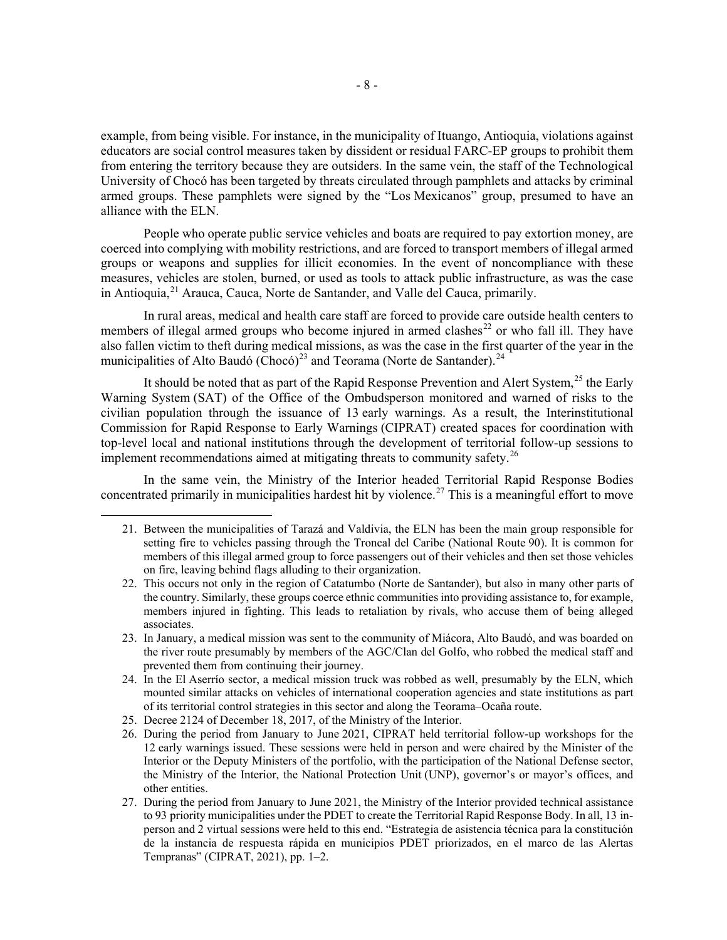example, from being visible. For instance, in the municipality of Ituango, Antioquia, violations against educators are social control measures taken by dissident or residual FARC-EP groups to prohibit them from entering the territory because they are outsiders. In the same vein, the staff of the Technological University of Chocó has been targeted by threats circulated through pamphlets and attacks by criminal armed groups. These pamphlets were signed by the "Los Mexicanos" group, presumed to have an alliance with the ELN.

People who operate public service vehicles and boats are required to pay extortion money, are coerced into complying with mobility restrictions, and are forced to transport members of illegal armed groups or weapons and supplies for illicit economies. In the event of noncompliance with these measures, vehicles are stolen, burned, or used as tools to attack public infrastructure, as was the case in Antioquia,<sup>[21](#page-7-0)</sup> Arauca, Cauca, Norte de Santander, and Valle del Cauca, primarily.

In rural areas, medical and health care staff are forced to provide care outside health centers to members of illegal armed groups who become injured in armed clashes<sup>[22](#page-7-1)</sup> or who fall ill. They have also fallen victim to theft during medical missions, as was the case in the first quarter of the year in the municipalities of Alto Baudó ( $\text{Chocó}$ )<sup>[23](#page-7-2)</sup> and Teorama (Norte de Santander).<sup>[24](#page-7-3)</sup>

It should be noted that as part of the Rapid Response Prevention and Alert System, $^{25}$  $^{25}$  $^{25}$  the Early Warning System (SAT) of the Office of the Ombudsperson monitored and warned of risks to the civilian population through the issuance of 13 early warnings. As a result, the Interinstitutional Commission for Rapid Response to Early Warnings (CIPRAT) created spaces for coordination with top-level local and national institutions through the development of territorial follow-up sessions to implement recommendations aimed at mitigating threats to community safety.<sup>[26](#page-7-5)</sup>

<span id="page-7-0"></span>In the same vein, the Ministry of the Interior headed Territorial Rapid Response Bodies concentrated primarily in municipalities hardest hit by violence.<sup>[27](#page-7-6)</sup> This is a meaningful effort to move

- <span id="page-7-4"></span>25. Decree 2124 of December 18, 2017, of the Ministry of the Interior.
- <span id="page-7-5"></span>26. During the period from January to June 2021, CIPRAT held territorial follow-up workshops for the 12 early warnings issued. These sessions were held in person and were chaired by the Minister of the Interior or the Deputy Ministers of the portfolio, with the participation of the National Defense sector, the Ministry of the Interior, the National Protection Unit (UNP), governor's or mayor's offices, and other entities.
- <span id="page-7-6"></span>27. During the period from January to June 2021, the Ministry of the Interior provided technical assistance to 93 priority municipalities under the PDET to create the Territorial Rapid Response Body. In all, 13 inperson and 2 virtual sessions were held to this end. "Estrategia de asistencia técnica para la constitución de la instancia de respuesta rápida en municipios PDET priorizados, en el marco de las Alertas Tempranas" (CIPRAT, 2021), pp. 1–2.

<sup>21.</sup> Between the municipalities of Tarazá and Valdivia, the ELN has been the main group responsible for setting fire to vehicles passing through the Troncal del Caribe (National Route 90). It is common for members of this illegal armed group to force passengers out of their vehicles and then set those vehicles on fire, leaving behind flags alluding to their organization.

<span id="page-7-1"></span><sup>22.</sup> This occurs not only in the region of Catatumbo (Norte de Santander), but also in many other parts of the country. Similarly, these groups coerce ethnic communities into providing assistance to, for example, members injured in fighting. This leads to retaliation by rivals, who accuse them of being alleged associates.

<span id="page-7-2"></span><sup>23.</sup> In January, a medical mission was sent to the community of Miácora, Alto Baudó, and was boarded on the river route presumably by members of the AGC/Clan del Golfo, who robbed the medical staff and prevented them from continuing their journey.

<span id="page-7-3"></span><sup>24.</sup> In the El Aserrío sector, a medical mission truck was robbed as well, presumably by the ELN, which mounted similar attacks on vehicles of international cooperation agencies and state institutions as part of its territorial control strategies in this sector and along the Teorama–Ocaña route.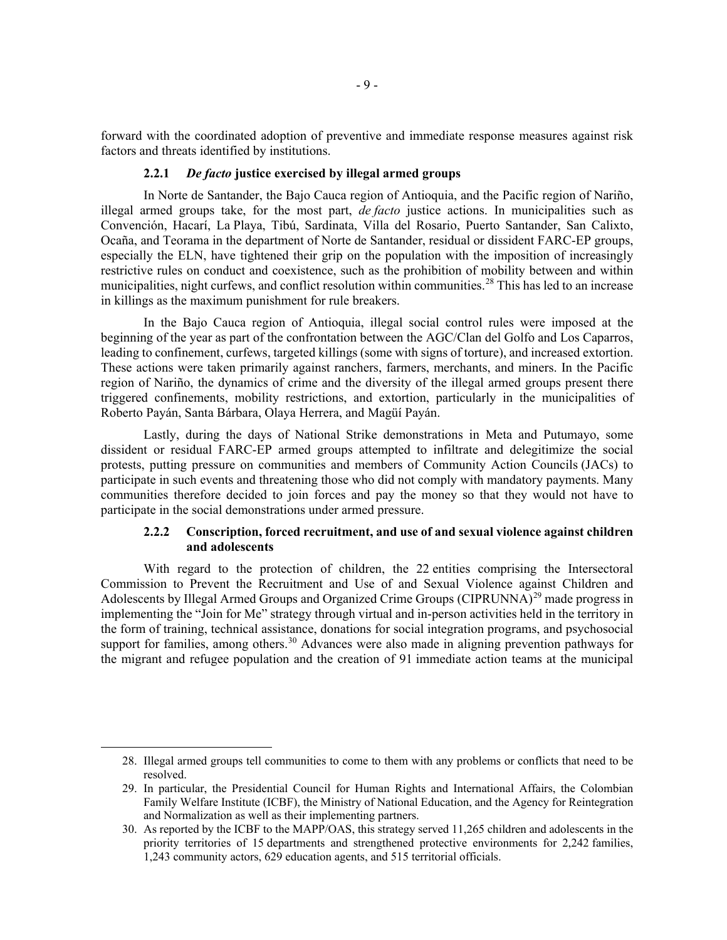forward with the coordinated adoption of preventive and immediate response measures against risk factors and threats identified by institutions.

### **2.2.1** *De facto* **justice exercised by illegal armed groups**

In Norte de Santander, the Bajo Cauca region of Antioquia, and the Pacific region of Nariño, illegal armed groups take, for the most part, *de facto* justice actions. In municipalities such as Convención, Hacarí, La Playa, Tibú, Sardinata, Villa del Rosario, Puerto Santander, San Calixto, Ocaña, and Teorama in the department of Norte de Santander, residual or dissident FARC-EP groups, especially the ELN, have tightened their grip on the population with the imposition of increasingly restrictive rules on conduct and coexistence, such as the prohibition of mobility between and within municipalities, night curfews, and conflict resolution within communities.<sup>[28](#page-8-0)</sup> This has led to an increase in killings as the maximum punishment for rule breakers.

In the Bajo Cauca region of Antioquia, illegal social control rules were imposed at the beginning of the year as part of the confrontation between the AGC/Clan del Golfo and Los Caparros, leading to confinement, curfews, targeted killings (some with signs of torture), and increased extortion. These actions were taken primarily against ranchers, farmers, merchants, and miners. In the Pacific region of Nariño, the dynamics of crime and the diversity of the illegal armed groups present there triggered confinements, mobility restrictions, and extortion, particularly in the municipalities of Roberto Payán, Santa Bárbara, Olaya Herrera, and Magüí Payán.

Lastly, during the days of National Strike demonstrations in Meta and Putumayo, some dissident or residual FARC-EP armed groups attempted to infiltrate and delegitimize the social protests, putting pressure on communities and members of Community Action Councils (JACs) to participate in such events and threatening those who did not comply with mandatory payments. Many communities therefore decided to join forces and pay the money so that they would not have to participate in the social demonstrations under armed pressure.

## **2.2.2 Conscription, forced recruitment, and use of and sexual violence against children and adolescents**

With regard to the protection of children, the 22 entities comprising the Intersectoral Commission to Prevent the Recruitment and Use of and Sexual Violence against Children and Adolescents by Illegal Armed Groups and Organized Crime Groups (CIPRUNNA)<sup>[29](#page-8-1)</sup> made progress in implementing the "Join for Me" strategy through virtual and in-person activities held in the territory in the form of training, technical assistance, donations for social integration programs, and psychosocial support for families, among others.<sup>[30](#page-8-2)</sup> Advances were also made in aligning prevention pathways for the migrant and refugee population and the creation of 91 immediate action teams at the municipal

<span id="page-8-0"></span><sup>28.</sup> Illegal armed groups tell communities to come to them with any problems or conflicts that need to be resolved.

<span id="page-8-1"></span><sup>29.</sup> In particular, the Presidential Council for Human Rights and International Affairs, the Colombian Family Welfare Institute (ICBF), the Ministry of National Education, and the Agency for Reintegration and Normalization as well as their implementing partners.

<span id="page-8-2"></span><sup>30.</sup> As reported by the ICBF to the MAPP/OAS, this strategy served 11,265 children and adolescents in the priority territories of 15 departments and strengthened protective environments for 2,242 families, 1,243 community actors, 629 education agents, and 515 territorial officials.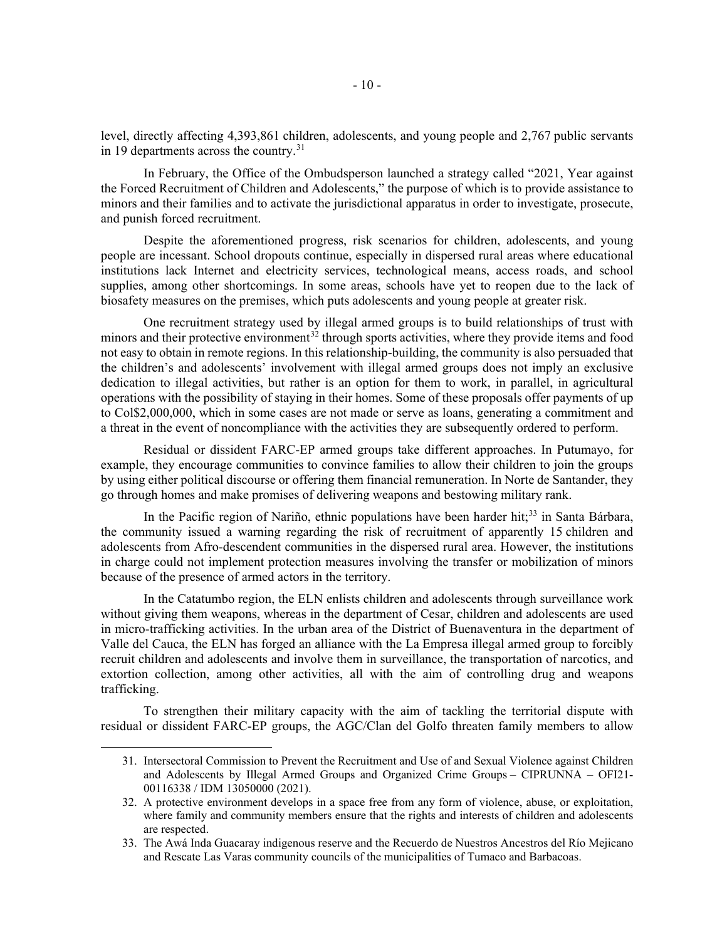level, directly affecting 4,393,861 children, adolescents, and young people and 2,767 public servants in 19 departments across the country. $31$ 

In February, the Office of the Ombudsperson launched a strategy called "2021, Year against the Forced Recruitment of Children and Adolescents," the purpose of which is to provide assistance to minors and their families and to activate the jurisdictional apparatus in order to investigate, prosecute, and punish forced recruitment.

Despite the aforementioned progress, risk scenarios for children, adolescents, and young people are incessant. School dropouts continue, especially in dispersed rural areas where educational institutions lack Internet and electricity services, technological means, access roads, and school supplies, among other shortcomings. In some areas, schools have yet to reopen due to the lack of biosafety measures on the premises, which puts adolescents and young people at greater risk.

One recruitment strategy used by illegal armed groups is to build relationships of trust with minors and their protective environment<sup>[32](#page-9-1)</sup> through sports activities, where they provide items and food not easy to obtain in remote regions. In this relationship-building, the community is also persuaded that the children's and adolescents' involvement with illegal armed groups does not imply an exclusive dedication to illegal activities, but rather is an option for them to work, in parallel, in agricultural operations with the possibility of staying in their homes. Some of these proposals offer payments of up to Col\$2,000,000, which in some cases are not made or serve as loans, generating a commitment and a threat in the event of noncompliance with the activities they are subsequently ordered to perform.

Residual or dissident FARC-EP armed groups take different approaches. In Putumayo, for example, they encourage communities to convince families to allow their children to join the groups by using either political discourse or offering them financial remuneration. In Norte de Santander, they go through homes and make promises of delivering weapons and bestowing military rank.

In the Pacific region of Nariño, ethnic populations have been harder hit;<sup>[33](#page-9-2)</sup> in Santa Bárbara, the community issued a warning regarding the risk of recruitment of apparently 15 children and adolescents from Afro-descendent communities in the dispersed rural area. However, the institutions in charge could not implement protection measures involving the transfer or mobilization of minors because of the presence of armed actors in the territory.

In the Catatumbo region, the ELN enlists children and adolescents through surveillance work without giving them weapons, whereas in the department of Cesar, children and adolescents are used in micro-trafficking activities. In the urban area of the District of Buenaventura in the department of Valle del Cauca, the ELN has forged an alliance with the La Empresa illegal armed group to forcibly recruit children and adolescents and involve them in surveillance, the transportation of narcotics, and extortion collection, among other activities, all with the aim of controlling drug and weapons trafficking.

<span id="page-9-0"></span>To strengthen their military capacity with the aim of tackling the territorial dispute with residual or dissident FARC-EP groups, the AGC/Clan del Golfo threaten family members to allow

<sup>31.</sup> Intersectoral Commission to Prevent the Recruitment and Use of and Sexual Violence against Children and Adolescents by Illegal Armed Groups and Organized Crime Groups – CIPRUNNA – OFI21- 00116338 / IDM 13050000 (2021).

<span id="page-9-1"></span><sup>32.</sup> A protective environment develops in a space free from any form of violence, abuse, or exploitation, where family and community members ensure that the rights and interests of children and adolescents are respected.

<span id="page-9-2"></span><sup>33.</sup> The Awá Inda Guacaray indigenous reserve and the Recuerdo de Nuestros Ancestros del Río Mejicano and Rescate Las Varas community councils of the municipalities of Tumaco and Barbacoas.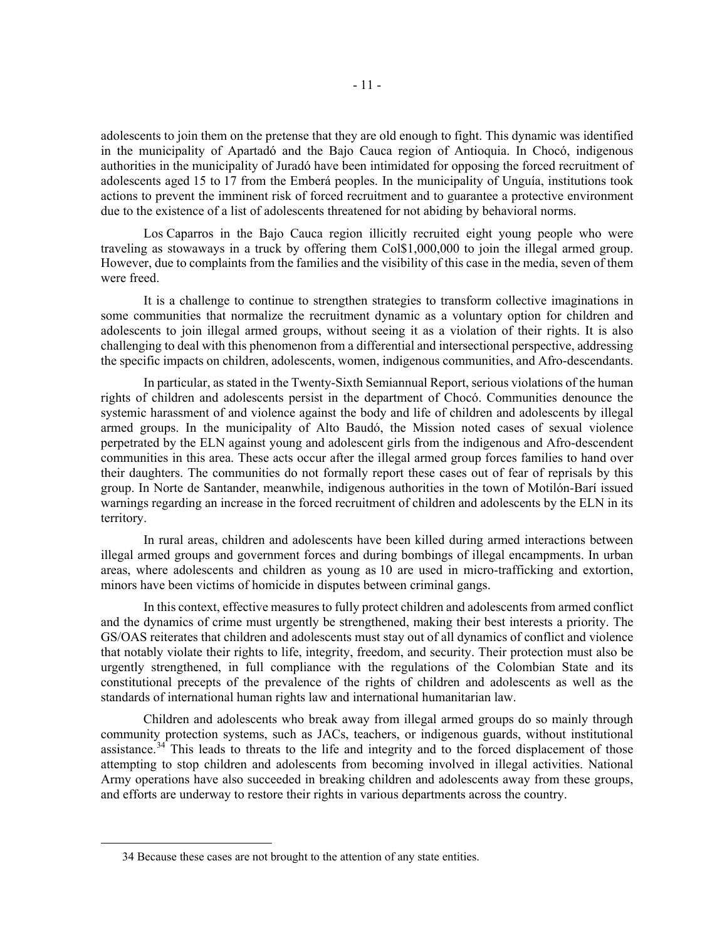adolescents to join them on the pretense that they are old enough to fight. This dynamic was identified in the municipality of Apartadó and the Bajo Cauca region of Antioquia. In Chocó, indigenous authorities in the municipality of Juradó have been intimidated for opposing the forced recruitment of adolescents aged 15 to 17 from the Emberá peoples. In the municipality of Unguía, institutions took actions to prevent the imminent risk of forced recruitment and to guarantee a protective environment due to the existence of a list of adolescents threatened for not abiding by behavioral norms.

Los Caparros in the Bajo Cauca region illicitly recruited eight young people who were traveling as stowaways in a truck by offering them Col\$1,000,000 to join the illegal armed group. However, due to complaints from the families and the visibility of this case in the media, seven of them were freed.

It is a challenge to continue to strengthen strategies to transform collective imaginations in some communities that normalize the recruitment dynamic as a voluntary option for children and adolescents to join illegal armed groups, without seeing it as a violation of their rights. It is also challenging to deal with this phenomenon from a differential and intersectional perspective, addressing the specific impacts on children, adolescents, women, indigenous communities, and Afro-descendants.

In particular, as stated in the Twenty-Sixth Semiannual Report, serious violations of the human rights of children and adolescents persist in the department of Chocó. Communities denounce the systemic harassment of and violence against the body and life of children and adolescents by illegal armed groups. In the municipality of Alto Baudó, the Mission noted cases of sexual violence perpetrated by the ELN against young and adolescent girls from the indigenous and Afro-descendent communities in this area. These acts occur after the illegal armed group forces families to hand over their daughters. The communities do not formally report these cases out of fear of reprisals by this group. In Norte de Santander, meanwhile, indigenous authorities in the town of Motilón-Barí issued warnings regarding an increase in the forced recruitment of children and adolescents by the ELN in its territory.

In rural areas, children and adolescents have been killed during armed interactions between illegal armed groups and government forces and during bombings of illegal encampments. In urban areas, where adolescents and children as young as 10 are used in micro-trafficking and extortion, minors have been victims of homicide in disputes between criminal gangs.

In this context, effective measures to fully protect children and adolescents from armed conflict and the dynamics of crime must urgently be strengthened, making their best interests a priority. The GS/OAS reiterates that children and adolescents must stay out of all dynamics of conflict and violence that notably violate their rights to life, integrity, freedom, and security. Their protection must also be urgently strengthened, in full compliance with the regulations of the Colombian State and its constitutional precepts of the prevalence of the rights of children and adolescents as well as the standards of international human rights law and international humanitarian law.

Children and adolescents who break away from illegal armed groups do so mainly through community protection systems, such as JACs, teachers, or indigenous guards, without institutional assistance.[34](#page-10-0) This leads to threats to the life and integrity and to the forced displacement of those attempting to stop children and adolescents from becoming involved in illegal activities. National Army operations have also succeeded in breaking children and adolescents away from these groups, and efforts are underway to restore their rights in various departments across the country.

<span id="page-10-0"></span><sup>34</sup> Because these cases are not brought to the attention of any state entities.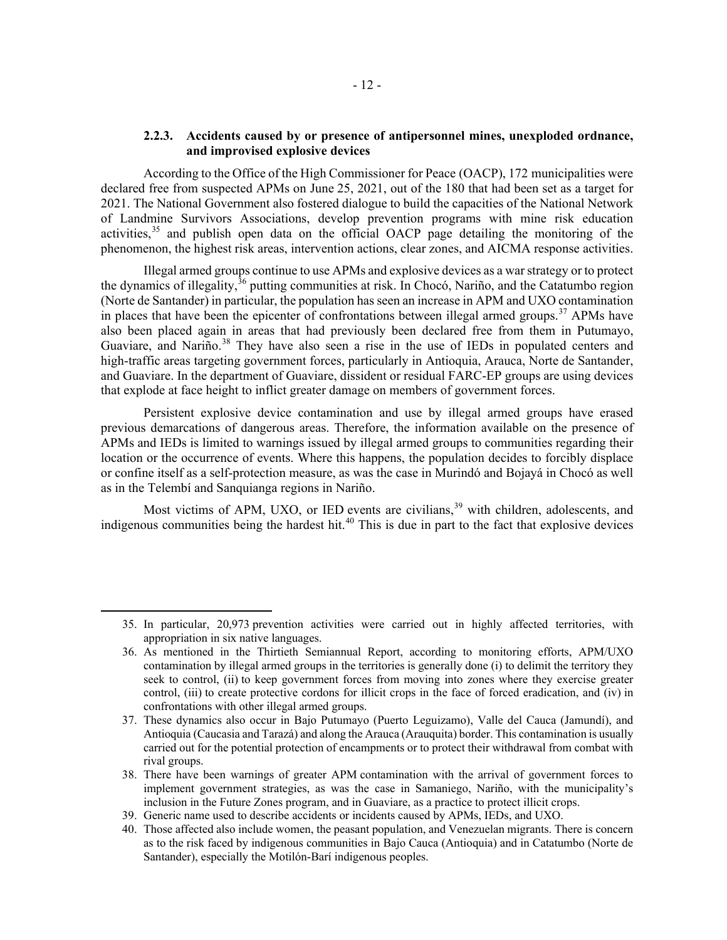## **2.2.3. Accidents caused by or presence of antipersonnel mines, unexploded ordnance, and improvised explosive devices**

According to the Office of the High Commissioner for Peace (OACP), 172 municipalities were declared free from suspected APMs on June 25, 2021, out of the 180 that had been set as a target for 2021. The National Government also fostered dialogue to build the capacities of the National Network of Landmine Survivors Associations, develop prevention programs with mine risk education activities,  $35$  and publish open data on the official OACP page detailing the monitoring of the phenomenon, the highest risk areas, intervention actions, clear zones, and AICMA response activities.

Illegal armed groups continue to use APMs and explosive devices as a war strategy or to protect the dynamics of illegality,  $36$  putting communities at risk. In Chocó, Nariño, and the Catatumbo region (Norte de Santander) in particular, the population has seen an increase in APM and UXO contamination in places that have been the epicenter of confrontations between illegal armed groups.<sup>[37](#page-11-2)</sup> APMs have also been placed again in areas that had previously been declared free from them in Putumayo, Guaviare, and Nariño.<sup>[38](#page-11-3)</sup> They have also seen a rise in the use of IEDs in populated centers and high-traffic areas targeting government forces, particularly in Antioquia, Arauca, Norte de Santander, and Guaviare. In the department of Guaviare, dissident or residual FARC-EP groups are using devices that explode at face height to inflict greater damage on members of government forces.

Persistent explosive device contamination and use by illegal armed groups have erased previous demarcations of dangerous areas. Therefore, the information available on the presence of APMs and IEDs is limited to warnings issued by illegal armed groups to communities regarding their location or the occurrence of events. Where this happens, the population decides to forcibly displace or confine itself as a self-protection measure, as was the case in Murindó and Bojayá in Chocó as well as in the Telembí and Sanquianga regions in Nariño.

Most victims of APM, UXO, or IED events are civilians,<sup>[39](#page-11-4)</sup> with children, adolescents, and indigenous communities being the hardest hit.<sup>[40](#page-11-5)</sup> This is due in part to the fact that explosive devices

<span id="page-11-0"></span><sup>35.</sup> In particular, 20,973 prevention activities were carried out in highly affected territories, with appropriation in six native languages.

<span id="page-11-1"></span><sup>36.</sup> As mentioned in the Thirtieth Semiannual Report, according to monitoring efforts, APM/UXO contamination by illegal armed groups in the territories is generally done (i) to delimit the territory they seek to control, (ii) to keep government forces from moving into zones where they exercise greater control, (iii) to create protective cordons for illicit crops in the face of forced eradication, and (iv) in confrontations with other illegal armed groups.

<span id="page-11-2"></span><sup>37.</sup> These dynamics also occur in Bajo Putumayo (Puerto Leguizamo), Valle del Cauca (Jamundí), and Antioquia (Caucasia and Tarazá) and along the Arauca (Arauquita) border. This contamination is usually carried out for the potential protection of encampments or to protect their withdrawal from combat with rival groups.

<span id="page-11-3"></span><sup>38.</sup> There have been warnings of greater APM contamination with the arrival of government forces to implement government strategies, as was the case in Samaniego, Nariño, with the municipality's inclusion in the Future Zones program, and in Guaviare, as a practice to protect illicit crops.

<span id="page-11-4"></span><sup>39.</sup> Generic name used to describe accidents or incidents caused by APMs, IEDs, and UXO.

<span id="page-11-5"></span><sup>40.</sup> Those affected also include women, the peasant population, and Venezuelan migrants. There is concern as to the risk faced by indigenous communities in Bajo Cauca (Antioquia) and in Catatumbo (Norte de Santander), especially the Motilón-Barí indigenous peoples.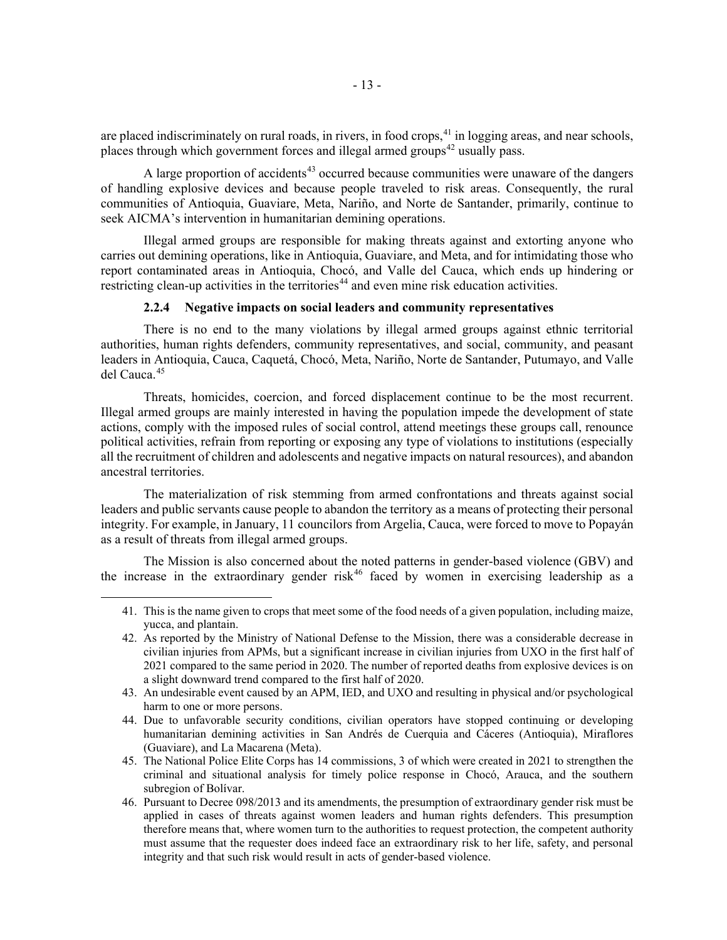are placed indiscriminately on rural roads, in rivers, in food crops,  $41$  in logging areas, and near schools, places through which government forces and illegal armed groups<sup> $42$ </sup> usually pass.

A large proportion of accidents<sup>[43](#page-12-2)</sup> occurred because communities were unaware of the dangers of handling explosive devices and because people traveled to risk areas. Consequently, the rural communities of Antioquia, Guaviare, Meta, Nariño, and Norte de Santander, primarily, continue to seek AICMA's intervention in humanitarian demining operations.

Illegal armed groups are responsible for making threats against and extorting anyone who carries out demining operations, like in Antioquia, Guaviare, and Meta, and for intimidating those who report contaminated areas in Antioquia, Chocó, and Valle del Cauca, which ends up hindering or restricting clean-up activities in the territories<sup>[44](#page-12-3)</sup> and even mine risk education activities.

## **2.2.4 Negative impacts on social leaders and community representatives**

There is no end to the many violations by illegal armed groups against ethnic territorial authorities, human rights defenders, community representatives, and social, community, and peasant leaders in Antioquia, Cauca, Caquetá, Chocó, Meta, Nariño, Norte de Santander, Putumayo, and Valle del Cauca.[45](#page-12-4)

Threats, homicides, coercion, and forced displacement continue to be the most recurrent. Illegal armed groups are mainly interested in having the population impede the development of state actions, comply with the imposed rules of social control, attend meetings these groups call, renounce political activities, refrain from reporting or exposing any type of violations to institutions (especially all the recruitment of children and adolescents and negative impacts on natural resources), and abandon ancestral territories.

The materialization of risk stemming from armed confrontations and threats against social leaders and public servants cause people to abandon the territory as a means of protecting their personal integrity. For example, in January, 11 councilors from Argelia, Cauca, were forced to move to Popayán as a result of threats from illegal armed groups.

<span id="page-12-0"></span>The Mission is also concerned about the noted patterns in gender-based violence (GBV) and the increase in the extraordinary gender risk<sup>[46](#page-12-5)</sup> faced by women in exercising leadership as a

<sup>41.</sup> This is the name given to crops that meet some of the food needs of a given population, including maize, yucca, and plantain.

<span id="page-12-1"></span><sup>42.</sup> As reported by the Ministry of National Defense to the Mission, there was a considerable decrease in civilian injuries from APMs, but a significant increase in civilian injuries from UXO in the first half of 2021 compared to the same period in 2020. The number of reported deaths from explosive devices is on a slight downward trend compared to the first half of 2020.

<span id="page-12-2"></span><sup>43.</sup> An undesirable event caused by an APM, IED, and UXO and resulting in physical and/or psychological harm to one or more persons.

<span id="page-12-3"></span><sup>44.</sup> Due to unfavorable security conditions, civilian operators have stopped continuing or developing humanitarian demining activities in San Andrés de Cuerquia and Cáceres (Antioquia), Miraflores (Guaviare), and La Macarena (Meta).

<span id="page-12-4"></span><sup>45.</sup> The National Police Elite Corps has 14 commissions, 3 of which were created in 2021 to strengthen the criminal and situational analysis for timely police response in Chocó, Arauca, and the southern subregion of Bolívar.

<span id="page-12-5"></span><sup>46.</sup> Pursuant to Decree 098/2013 and its amendments, the presumption of extraordinary gender risk must be applied in cases of threats against women leaders and human rights defenders. This presumption therefore means that, where women turn to the authorities to request protection, the competent authority must assume that the requester does indeed face an extraordinary risk to her life, safety, and personal integrity and that such risk would result in acts of gender-based violence.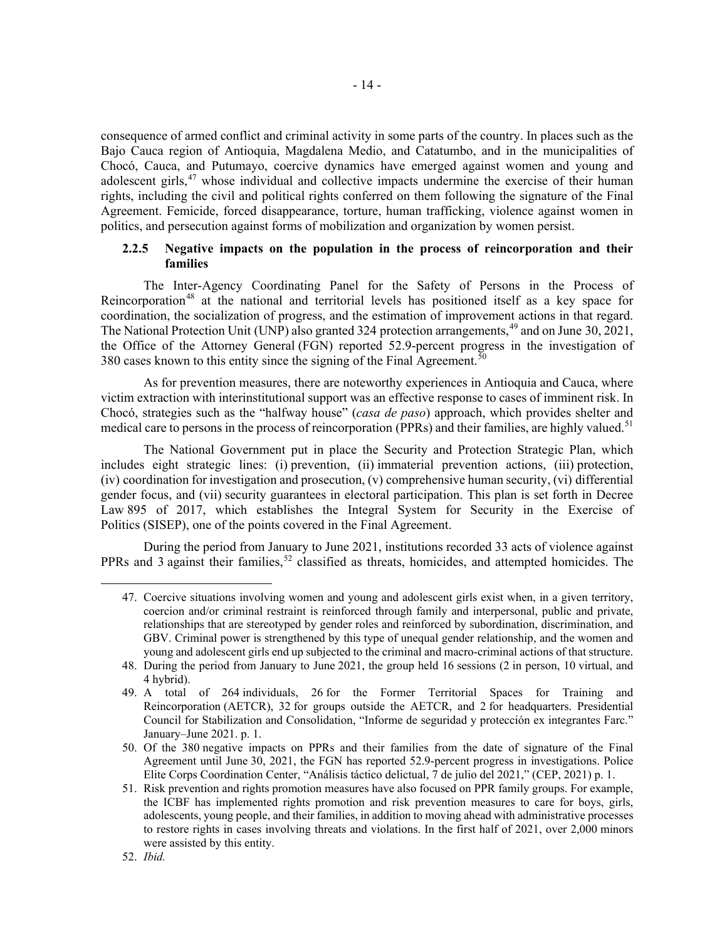consequence of armed conflict and criminal activity in some parts of the country. In places such as the Bajo Cauca region of Antioquia, Magdalena Medio, and Catatumbo, and in the municipalities of Chocó, Cauca, and Putumayo, coercive dynamics have emerged against women and young and adolescent girls,<sup>[47](#page-13-0)</sup> whose individual and collective impacts undermine the exercise of their human rights, including the civil and political rights conferred on them following the signature of the Final Agreement. Femicide, forced disappearance, torture, human trafficking, violence against women in politics, and persecution against forms of mobilization and organization by women persist.

## **2.2.5 Negative impacts on the population in the process of reincorporation and their families**

The Inter-Agency Coordinating Panel for the Safety of Persons in the Process of Reincorporation<sup>[48](#page-13-1)</sup> at the national and territorial levels has positioned itself as a key space for coordination, the socialization of progress, and the estimation of improvement actions in that regard. The National Protection Unit (UNP) also granted 324 protection arrangements,<sup>[49](#page-13-2)</sup> and on June 30, 2021, the Office of the Attorney General (FGN) reported 52.9-percent progress in the investigation of 380 cases known to this entity since the signing of the Final Agreement.<sup>[50](#page-13-3)</sup>

As for prevention measures, there are noteworthy experiences in Antioquia and Cauca, where victim extraction with interinstitutional support was an effective response to cases of imminent risk. In Chocó, strategies such as the "halfway house" (*casa de paso*) approach, which provides shelter and medical care to persons in the process of reincorporation (PPRs) and their families, are highly valued.<sup>[51](#page-13-4)</sup>

The National Government put in place the Security and Protection Strategic Plan, which includes eight strategic lines: (i) prevention, (ii) immaterial prevention actions, (iii) protection, (iv) coordination for investigation and prosecution, (v) comprehensive human security, (vi) differential gender focus, and (vii) security guarantees in electoral participation. This plan is set forth in Decree Law 895 of 2017, which establishes the Integral System for Security in the Exercise of Politics (SISEP), one of the points covered in the Final Agreement.

<span id="page-13-0"></span>During the period from January to June 2021, institutions recorded 33 acts of violence against PPRs and 3 against their families,<sup>[52](#page-13-5)</sup> classified as threats, homicides, and attempted homicides. The

<sup>47.</sup> Coercive situations involving women and young and adolescent girls exist when, in a given territory, coercion and/or criminal restraint is reinforced through family and interpersonal, public and private, relationships that are stereotyped by gender roles and reinforced by subordination, discrimination, and GBV. Criminal power is strengthened by this type of unequal gender relationship, and the women and young and adolescent girls end up subjected to the criminal and macro-criminal actions of that structure.

<span id="page-13-1"></span><sup>48.</sup> During the period from January to June 2021, the group held 16 sessions (2 in person, 10 virtual, and 4 hybrid).

<span id="page-13-2"></span><sup>49.</sup> A total of 264 individuals, 26 for the Former Territorial Spaces for Training and Reincorporation (AETCR), 32 for groups outside the AETCR, and 2 for headquarters. Presidential Council for Stabilization and Consolidation, "Informe de seguridad y protección ex integrantes Farc." January–June 2021. p. 1.

<span id="page-13-3"></span><sup>50.</sup> Of the 380 negative impacts on PPRs and their families from the date of signature of the Final Agreement until June 30, 2021, the FGN has reported 52.9-percent progress in investigations. Police Elite Corps Coordination Center, "Análisis táctico delictual, 7 de julio del 2021," (CEP, 2021) p. 1.

<span id="page-13-4"></span><sup>51.</sup> Risk prevention and rights promotion measures have also focused on PPR family groups. For example, the ICBF has implemented rights promotion and risk prevention measures to care for boys, girls, adolescents, young people, and their families, in addition to moving ahead with administrative processes to restore rights in cases involving threats and violations. In the first half of 2021, over 2,000 minors were assisted by this entity.

<span id="page-13-5"></span><sup>52.</sup> *Ibid.*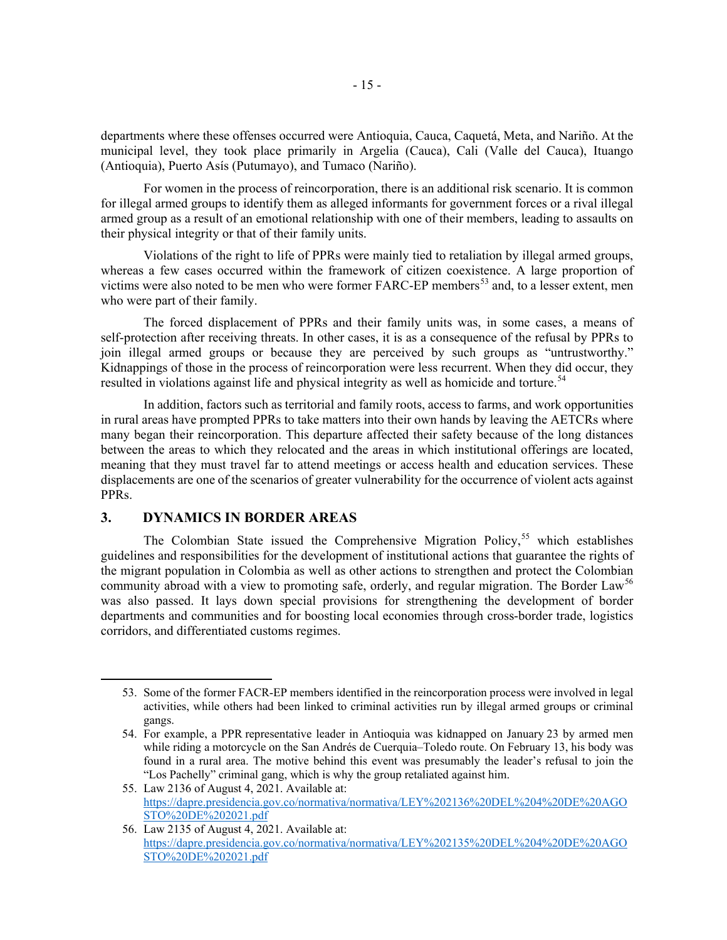departments where these offenses occurred were Antioquia, Cauca, Caquetá, Meta, and Nariño. At the municipal level, they took place primarily in Argelia (Cauca), Cali (Valle del Cauca), Ituango (Antioquia), Puerto Asís (Putumayo), and Tumaco (Nariño).

For women in the process of reincorporation, there is an additional risk scenario. It is common for illegal armed groups to identify them as alleged informants for government forces or a rival illegal armed group as a result of an emotional relationship with one of their members, leading to assaults on their physical integrity or that of their family units.

Violations of the right to life of PPRs were mainly tied to retaliation by illegal armed groups, whereas a few cases occurred within the framework of citizen coexistence. A large proportion of victims were also noted to be men who were former FARC-EP members<sup>[53](#page-14-0)</sup> and, to a lesser extent, men who were part of their family.

The forced displacement of PPRs and their family units was, in some cases, a means of self-protection after receiving threats. In other cases, it is as a consequence of the refusal by PPRs to join illegal armed groups or because they are perceived by such groups as "untrustworthy." Kidnappings of those in the process of reincorporation were less recurrent. When they did occur, they resulted in violations against life and physical integrity as well as homicide and torture.<sup>[54](#page-14-1)</sup>

In addition, factors such as territorial and family roots, access to farms, and work opportunities in rural areas have prompted PPRs to take matters into their own hands by leaving the AETCRs where many began their reincorporation. This departure affected their safety because of the long distances between the areas to which they relocated and the areas in which institutional offerings are located, meaning that they must travel far to attend meetings or access health and education services. These displacements are one of the scenarios of greater vulnerability for the occurrence of violent acts against PPRs.

## **3. DYNAMICS IN BORDER AREAS**

The Colombian State issued the Comprehensive Migration Policy,<sup>[55](#page-14-2)</sup> which establishes guidelines and responsibilities for the development of institutional actions that guarantee the rights of the migrant population in Colombia as well as other actions to strengthen and protect the Colombian community abroad with a view to promoting safe, orderly, and regular migration. The Border Law<sup>[56](#page-14-3)</sup> was also passed. It lays down special provisions for strengthening the development of border departments and communities and for boosting local economies through cross-border trade, logistics corridors, and differentiated customs regimes.

<span id="page-14-0"></span><sup>53.</sup> Some of the former FACR-EP members identified in the reincorporation process were involved in legal activities, while others had been linked to criminal activities run by illegal armed groups or criminal gangs.

<span id="page-14-1"></span><sup>54.</sup> For example, a PPR representative leader in Antioquia was kidnapped on January 23 by armed men while riding a motorcycle on the San Andrés de Cuerquia–Toledo route. On February 13, his body was found in a rural area. The motive behind this event was presumably the leader's refusal to join the "Los Pachelly" criminal gang, which is why the group retaliated against him.

<span id="page-14-2"></span><sup>55.</sup> Law 2136 of August 4, 2021. Available at: [https://dapre.presidencia.gov.co/normativa/normativa/LEY%202136%20DEL%204%20DE%20AGO](https://dapre.presidencia.gov.co/normativa/normativa/LEY%202136%20DEL%204%20DE%20AGOSTO%20DE%202021.pdf) [STO%20DE%202021.pdf](https://dapre.presidencia.gov.co/normativa/normativa/LEY%202136%20DEL%204%20DE%20AGOSTO%20DE%202021.pdf)

<span id="page-14-3"></span><sup>56.</sup> Law 2135 of August 4, 2021. Available at: [https://dapre.presidencia.gov.co/normativa/normativa/LEY%202135%20DEL%204%20DE%20AGO](https://dapre.presidencia.gov.co/normativa/normativa/LEY%202135%20DEL%204%20DE%20AGOSTO%20DE%202021.pdf) [STO%20DE%202021.pdf](https://dapre.presidencia.gov.co/normativa/normativa/LEY%202135%20DEL%204%20DE%20AGOSTO%20DE%202021.pdf)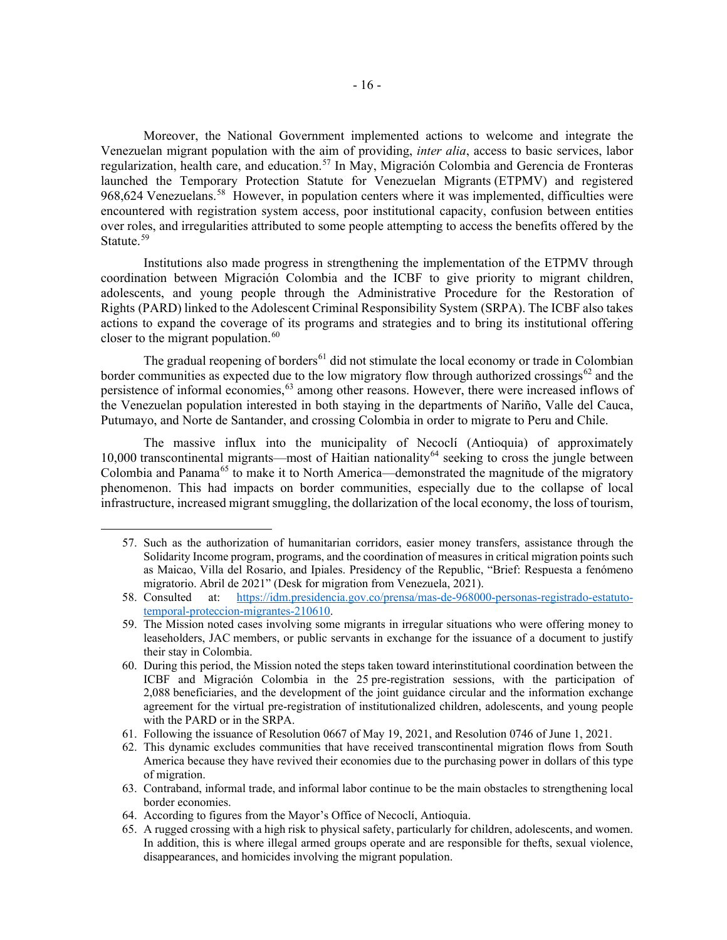Moreover, the National Government implemented actions to welcome and integrate the Venezuelan migrant population with the aim of providing, *inter alia*, access to basic services, labor regularization, health care, and education.<sup>[57](#page-15-0)</sup> In May, Migración Colombia and Gerencia de Fronteras launched the Temporary Protection Statute for Venezuelan Migrants (ETPMV) and registered 968,624 Venezuelans.<sup>58</sup> However, in population centers where it was implemented, difficulties were encountered with registration system access, poor institutional capacity, confusion between entities over roles, and irregularities attributed to some people attempting to access the benefits offered by the Statute.<sup>[59](#page-15-2)</sup>

Institutions also made progress in strengthening the implementation of the ETPMV through coordination between Migración Colombia and the ICBF to give priority to migrant children, adolescents, and young people through the Administrative Procedure for the Restoration of Rights (PARD) linked to the Adolescent Criminal Responsibility System (SRPA). The ICBF also takes actions to expand the coverage of its programs and strategies and to bring its institutional offering closer to the migrant population. $60$ 

The gradual reopening of borders<sup>[61](#page-15-4)</sup> did not stimulate the local economy or trade in Colombian border communities as expected due to the low migratory flow through authorized crossings<sup>[62](#page-15-5)</sup> and the persistence of informal economies,<sup>[63](#page-15-6)</sup> among other reasons. However, there were increased inflows of the Venezuelan population interested in both staying in the departments of Nariño, Valle del Cauca, Putumayo, and Norte de Santander, and crossing Colombia in order to migrate to Peru and Chile.

The massive influx into the municipality of Necoclí (Antioquia) of approximately 10,000 transcontinental migrants—most of Haitian nationality<sup>[64](#page-15-7)</sup> seeking to cross the jungle between Colombia and Panama<sup>[65](#page-15-8)</sup> to make it to North America—demonstrated the magnitude of the migratory phenomenon. This had impacts on border communities, especially due to the collapse of local infrastructure, increased migrant smuggling, the dollarization of the local economy, the loss of tourism,

<span id="page-15-0"></span><sup>57.</sup> Such as the authorization of humanitarian corridors, easier money transfers, assistance through the Solidarity Income program, programs, and the coordination of measures in critical migration points such as Maicao, Villa del Rosario, and Ipiales. Presidency of the Republic, "Brief: Respuesta a fenómeno migratorio. Abril de 2021" (Desk for migration from Venezuela, 2021).<br>58. Consulted at: https://idm.presidencia.gov.co/prensa/mas-de-96800

<span id="page-15-1"></span>at: [https://idm.presidencia.gov.co/prensa/mas-de-968000-personas-registrado-estatuto](https://idm.presidencia.gov.co/prensa/mas-de-968000-personas-registrado-estatuto-temporal-proteccion-migrantes-210610)[temporal-proteccion-migrantes-210610.](https://idm.presidencia.gov.co/prensa/mas-de-968000-personas-registrado-estatuto-temporal-proteccion-migrantes-210610)

<span id="page-15-2"></span><sup>59.</sup> The Mission noted cases involving some migrants in irregular situations who were offering money to leaseholders, JAC members, or public servants in exchange for the issuance of a document to justify their stay in Colombia.

<span id="page-15-3"></span><sup>60.</sup> During this period, the Mission noted the steps taken toward interinstitutional coordination between the ICBF and Migración Colombia in the 25 pre-registration sessions, with the participation of 2,088 beneficiaries, and the development of the joint guidance circular and the information exchange agreement for the virtual pre-registration of institutionalized children, adolescents, and young people with the PARD or in the SRPA.

<span id="page-15-4"></span><sup>61.</sup> Following the issuance of Resolution 0667 of May 19, 2021, and Resolution 0746 of June 1, 2021.

<span id="page-15-5"></span><sup>62.</sup> This dynamic excludes communities that have received transcontinental migration flows from South America because they have revived their economies due to the purchasing power in dollars of this type of migration.

<span id="page-15-6"></span><sup>63.</sup> Contraband, informal trade, and informal labor continue to be the main obstacles to strengthening local border economies.

<span id="page-15-7"></span><sup>64.</sup> According to figures from the Mayor's Office of Necoclí, Antioquia.

<span id="page-15-8"></span><sup>65.</sup> A rugged crossing with a high risk to physical safety, particularly for children, adolescents, and women. In addition, this is where illegal armed groups operate and are responsible for thefts, sexual violence, disappearances, and homicides involving the migrant population.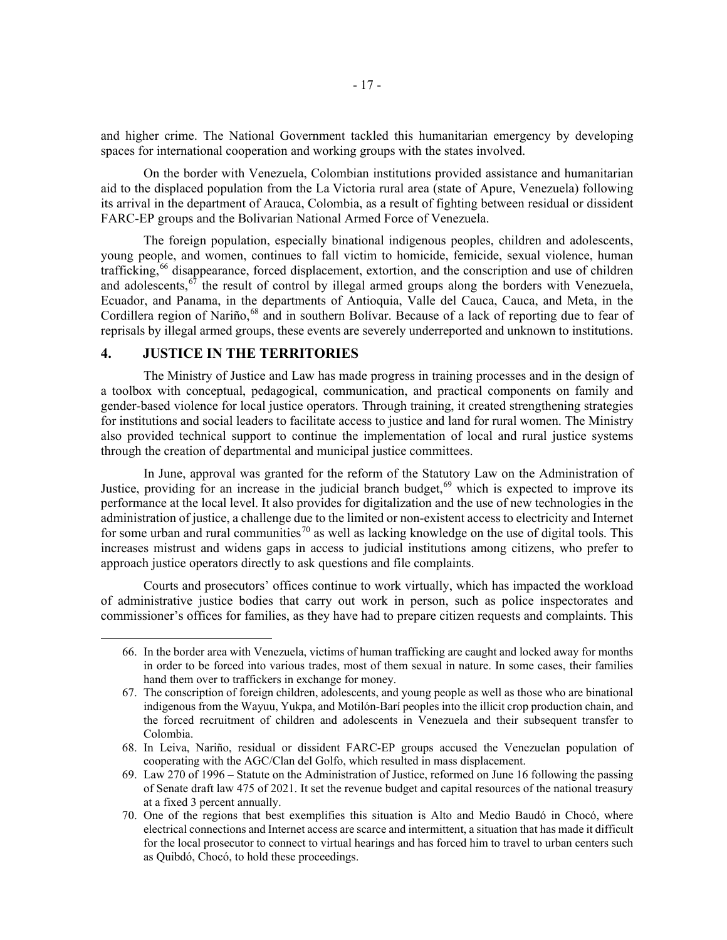and higher crime. The National Government tackled this humanitarian emergency by developing spaces for international cooperation and working groups with the states involved.

On the border with Venezuela, Colombian institutions provided assistance and humanitarian aid to the displaced population from the La Victoria rural area (state of Apure, Venezuela) following its arrival in the department of Arauca, Colombia, as a result of fighting between residual or dissident FARC-EP groups and the Bolivarian National Armed Force of Venezuela.

The foreign population, especially binational indigenous peoples, children and adolescents, young people, and women, continues to fall victim to homicide, femicide, sexual violence, human trafficking,<sup>[66](#page-16-0)</sup> disappearance, forced displacement, extortion, and the conscription and use of children and adolescents,  $67$  the result of control by illegal armed groups along the borders with Venezuela, Ecuador, and Panama, in the departments of Antioquia, Valle del Cauca, Cauca, and Meta, in the Cordillera region of Nariño,<sup>[68](#page-16-2)</sup> and in southern Bolívar. Because of a lack of reporting due to fear of reprisals by illegal armed groups, these events are severely underreported and unknown to institutions.

# **4. JUSTICE IN THE TERRITORIES**

The Ministry of Justice and Law has made progress in training processes and in the design of a toolbox with conceptual, pedagogical, communication, and practical components on family and gender-based violence for local justice operators. Through training, it created strengthening strategies for institutions and social leaders to facilitate access to justice and land for rural women. The Ministry also provided technical support to continue the implementation of local and rural justice systems through the creation of departmental and municipal justice committees.

In June, approval was granted for the reform of the Statutory Law on the Administration of Justice, providing for an increase in the judicial branch budget, $69$  which is expected to improve its performance at the local level. It also provides for digitalization and the use of new technologies in the administration of justice, a challenge due to the limited or non-existent access to electricity and Internet for some urban and rural communities<sup>[70](#page-16-4)</sup> as well as lacking knowledge on the use of digital tools. This increases mistrust and widens gaps in access to judicial institutions among citizens, who prefer to approach justice operators directly to ask questions and file complaints.

<span id="page-16-0"></span>Courts and prosecutors' offices continue to work virtually, which has impacted the workload of administrative justice bodies that carry out work in person, such as police inspectorates and commissioner's offices for families, as they have had to prepare citizen requests and complaints. This

<sup>66.</sup> In the border area with Venezuela, victims of human trafficking are caught and locked away for months in order to be forced into various trades, most of them sexual in nature. In some cases, their families hand them over to traffickers in exchange for money.

<span id="page-16-1"></span><sup>67.</sup> The conscription of foreign children, adolescents, and young people as well as those who are binational indigenous from the Wayuu, Yukpa, and Motilón-Barí peoples into the illicit crop production chain, and the forced recruitment of children and adolescents in Venezuela and their subsequent transfer to Colombia.

<span id="page-16-2"></span><sup>68.</sup> In Leiva, Nariño, residual or dissident FARC-EP groups accused the Venezuelan population of cooperating with the AGC/Clan del Golfo, which resulted in mass displacement.

<span id="page-16-3"></span><sup>69.</sup> Law 270 of 1996 – Statute on the Administration of Justice, reformed on June 16 following the passing of Senate draft law 475 of 2021. It set the revenue budget and capital resources of the national treasury at a fixed 3 percent annually.

<span id="page-16-4"></span><sup>70.</sup> One of the regions that best exemplifies this situation is Alto and Medio Baudó in Chocó, where electrical connections and Internet access are scarce and intermittent, a situation that has made it difficult for the local prosecutor to connect to virtual hearings and has forced him to travel to urban centers such as Quibdó, Chocó, to hold these proceedings.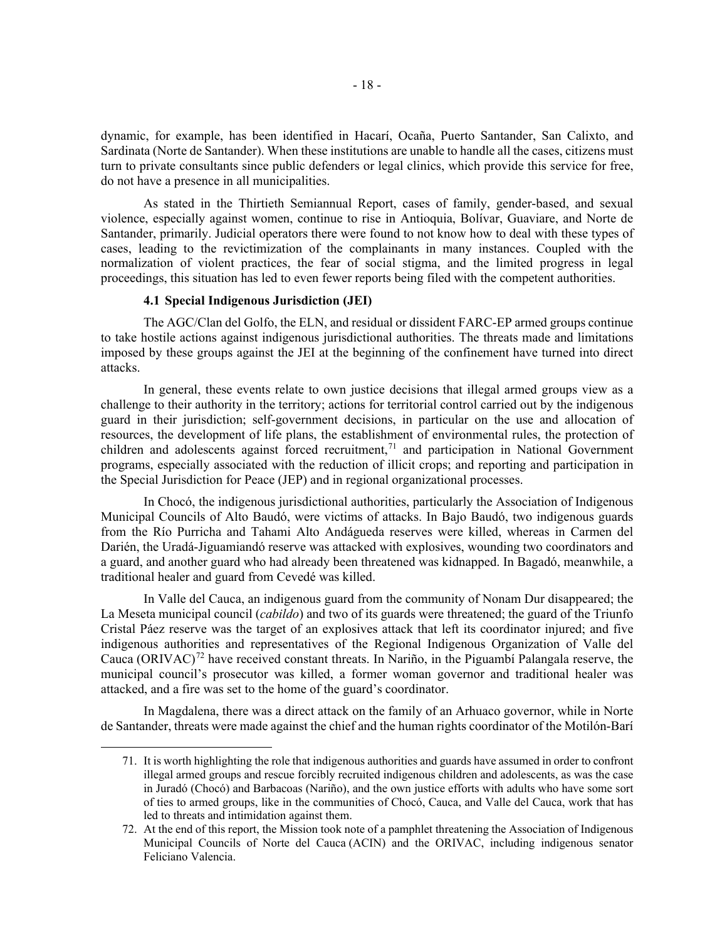dynamic, for example, has been identified in Hacarí, Ocaña, Puerto Santander, San Calixto, and Sardinata (Norte de Santander). When these institutions are unable to handle all the cases, citizens must turn to private consultants since public defenders or legal clinics, which provide this service for free, do not have a presence in all municipalities.

As stated in the Thirtieth Semiannual Report, cases of family, gender-based, and sexual violence, especially against women, continue to rise in Antioquia, Bolívar, Guaviare, and Norte de Santander, primarily. Judicial operators there were found to not know how to deal with these types of cases, leading to the revictimization of the complainants in many instances. Coupled with the normalization of violent practices, the fear of social stigma, and the limited progress in legal proceedings, this situation has led to even fewer reports being filed with the competent authorities.

#### **4.1 Special Indigenous Jurisdiction (JEI)**

The AGC/Clan del Golfo, the ELN, and residual or dissident FARC-EP armed groups continue to take hostile actions against indigenous jurisdictional authorities. The threats made and limitations imposed by these groups against the JEI at the beginning of the confinement have turned into direct attacks.

In general, these events relate to own justice decisions that illegal armed groups view as a challenge to their authority in the territory; actions for territorial control carried out by the indigenous guard in their jurisdiction; self-government decisions, in particular on the use and allocation of resources, the development of life plans, the establishment of environmental rules, the protection of children and adolescents against forced recruitment,<sup>[71](#page-17-0)</sup> and participation in National Government programs, especially associated with the reduction of illicit crops; and reporting and participation in the Special Jurisdiction for Peace (JEP) and in regional organizational processes.

In Chocó, the indigenous jurisdictional authorities, particularly the Association of Indigenous Municipal Councils of Alto Baudó, were victims of attacks. In Bajo Baudó, two indigenous guards from the Río Purricha and Tahami Alto Andágueda reserves were killed, whereas in Carmen del Darién, the Uradá-Jiguamiandó reserve was attacked with explosives, wounding two coordinators and a guard, and another guard who had already been threatened was kidnapped. In Bagadó, meanwhile, a traditional healer and guard from Cevedé was killed.

In Valle del Cauca, an indigenous guard from the community of Nonam Dur disappeared; the La Meseta municipal council (*cabildo*) and two of its guards were threatened; the guard of the Triunfo Cristal Páez reserve was the target of an explosives attack that left its coordinator injured; and five indigenous authorities and representatives of the Regional Indigenous Organization of Valle del Cauca (ORIVAC)<sup>[72](#page-17-1)</sup> have received constant threats. In Nariño, in the Piguambí Palangala reserve, the municipal council's prosecutor was killed, a former woman governor and traditional healer was attacked, and a fire was set to the home of the guard's coordinator.

<span id="page-17-0"></span>In Magdalena, there was a direct attack on the family of an Arhuaco governor, while in Norte de Santander, threats were made against the chief and the human rights coordinator of the Motilón-Barí

<sup>71.</sup> It is worth highlighting the role that indigenous authorities and guards have assumed in order to confront illegal armed groups and rescue forcibly recruited indigenous children and adolescents, as was the case in Juradó (Chocó) and Barbacoas (Nariño), and the own justice efforts with adults who have some sort of ties to armed groups, like in the communities of Chocó, Cauca, and Valle del Cauca, work that has led to threats and intimidation against them.

<span id="page-17-1"></span><sup>72.</sup> At the end of this report, the Mission took note of a pamphlet threatening the Association of Indigenous Municipal Councils of Norte del Cauca (ACIN) and the ORIVAC, including indigenous senator Feliciano Valencia.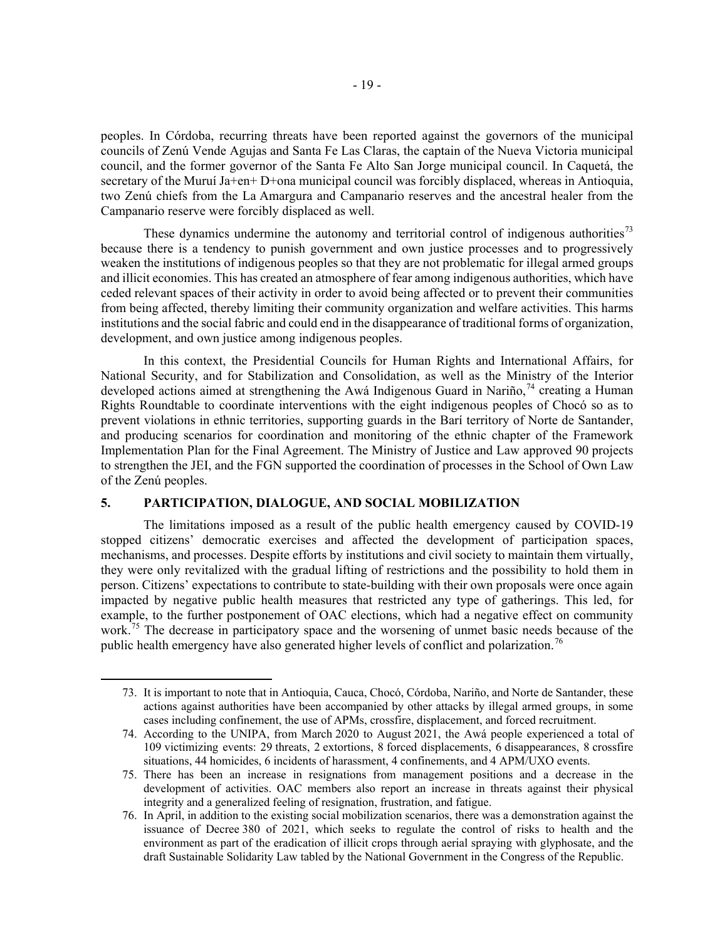peoples. In Córdoba, recurring threats have been reported against the governors of the municipal councils of Zenú Vende Agujas and Santa Fe Las Claras, the captain of the Nueva Victoria municipal council, and the former governor of the Santa Fe Alto San Jorge municipal council. In Caquetá, the secretary of the Muruí Ja+en+ D+ona municipal council was forcibly displaced, whereas in Antioquia, two Zenú chiefs from the La Amargura and Campanario reserves and the ancestral healer from the Campanario reserve were forcibly displaced as well.

These dynamics undermine the autonomy and territorial control of indigenous authorities<sup>[73](#page-18-0)</sup> because there is a tendency to punish government and own justice processes and to progressively weaken the institutions of indigenous peoples so that they are not problematic for illegal armed groups and illicit economies. This has created an atmosphere of fear among indigenous authorities, which have ceded relevant spaces of their activity in order to avoid being affected or to prevent their communities from being affected, thereby limiting their community organization and welfare activities. This harms institutions and the social fabric and could end in the disappearance of traditional forms of organization, development, and own justice among indigenous peoples.

In this context, the Presidential Councils for Human Rights and International Affairs, for National Security, and for Stabilization and Consolidation, as well as the Ministry of the Interior developed actions aimed at strengthening the Awá Indigenous Guard in Nariño,<sup>[74](#page-18-1)</sup> creating a Human Rights Roundtable to coordinate interventions with the eight indigenous peoples of Chocó so as to prevent violations in ethnic territories, supporting guards in the Barí territory of Norte de Santander, and producing scenarios for coordination and monitoring of the ethnic chapter of the Framework Implementation Plan for the Final Agreement. The Ministry of Justice and Law approved 90 projects to strengthen the JEI, and the FGN supported the coordination of processes in the School of Own Law of the Zenú peoples.

## **5. PARTICIPATION, DIALOGUE, AND SOCIAL MOBILIZATION**

The limitations imposed as a result of the public health emergency caused by COVID-19 stopped citizens' democratic exercises and affected the development of participation spaces, mechanisms, and processes. Despite efforts by institutions and civil society to maintain them virtually, they were only revitalized with the gradual lifting of restrictions and the possibility to hold them in person. Citizens' expectations to contribute to state-building with their own proposals were once again impacted by negative public health measures that restricted any type of gatherings. This led, for example, to the further postponement of OAC elections, which had a negative effect on community work.<sup>[75](#page-18-2)</sup> The decrease in participatory space and the worsening of unmet basic needs because of the public health emergency have also generated higher levels of conflict and polarization.<sup>[76](#page-18-3)</sup>

<span id="page-18-0"></span><sup>73.</sup> It is important to note that in Antioquia, Cauca, Chocó, Córdoba, Nariño, and Norte de Santander, these actions against authorities have been accompanied by other attacks by illegal armed groups, in some cases including confinement, the use of APMs, crossfire, displacement, and forced recruitment.

<span id="page-18-1"></span><sup>74.</sup> According to the UNIPA, from March 2020 to August 2021, the Awá people experienced a total of 109 victimizing events: 29 threats, 2 extortions, 8 forced displacements, 6 disappearances, 8 crossfire situations, 44 homicides, 6 incidents of harassment, 4 confinements, and 4 APM/UXO events.

<span id="page-18-2"></span><sup>75.</sup> There has been an increase in resignations from management positions and a decrease in the development of activities. OAC members also report an increase in threats against their physical integrity and a generalized feeling of resignation, frustration, and fatigue.

<span id="page-18-3"></span><sup>76.</sup> In April, in addition to the existing social mobilization scenarios, there was a demonstration against the issuance of Decree 380 of 2021, which seeks to regulate the control of risks to health and the environment as part of the eradication of illicit crops through aerial spraying with glyphosate, and the draft Sustainable Solidarity Law tabled by the National Government in the Congress of the Republic.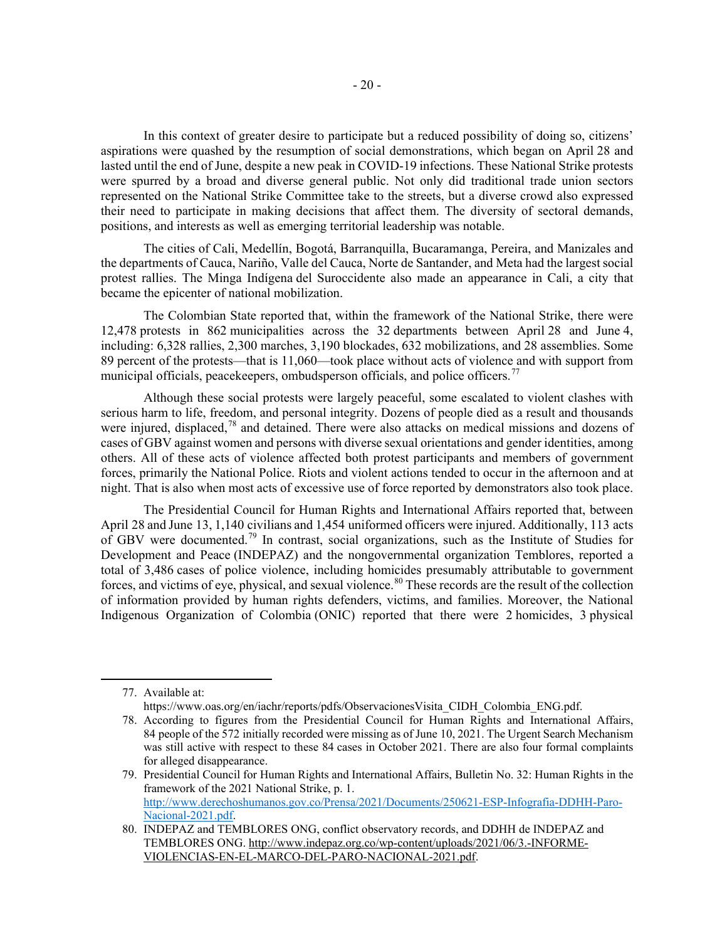In this context of greater desire to participate but a reduced possibility of doing so, citizens' aspirations were quashed by the resumption of social demonstrations, which began on April 28 and lasted until the end of June, despite a new peak in COVID-19 infections. These National Strike protests were spurred by a broad and diverse general public. Not only did traditional trade union sectors represented on the National Strike Committee take to the streets, but a diverse crowd also expressed their need to participate in making decisions that affect them. The diversity of sectoral demands, positions, and interests as well as emerging territorial leadership was notable.

The cities of Cali, Medellín, Bogotá, Barranquilla, Bucaramanga, Pereira, and Manizales and the departments of Cauca, Nariño, Valle del Cauca, Norte de Santander, and Meta had the largest social protest rallies. The Minga Indígena del Suroccidente also made an appearance in Cali, a city that became the epicenter of national mobilization.

The Colombian State reported that, within the framework of the National Strike, there were 12,478 protests in 862 municipalities across the 32 departments between April 28 and June 4, including: 6,328 rallies, 2,300 marches, 3,190 blockades, 632 mobilizations, and 28 assemblies. Some 89 percent of the protests—that is 11,060—took place without acts of violence and with support from municipal officials, peacekeepers, ombudsperson officials, and police officers.<sup>[77](#page-19-0)</sup>

Although these social protests were largely peaceful, some escalated to violent clashes with serious harm to life, freedom, and personal integrity. Dozens of people died as a result and thousands were injured, displaced,<sup>[78](#page-19-1)</sup> and detained. There were also attacks on medical missions and dozens of cases of GBV against women and persons with diverse sexual orientations and gender identities, among others. All of these acts of violence affected both protest participants and members of government forces, primarily the National Police. Riots and violent actions tended to occur in the afternoon and at night. That is also when most acts of excessive use of force reported by demonstrators also took place.

The Presidential Council for Human Rights and International Affairs reported that, between April 28 and June 13, 1,140 civilians and 1,454 uniformed officers were injured. Additionally, 113 acts of GBV were documented.[79](#page-19-2) In contrast, social organizations, such as the Institute of Studies for Development and Peace (INDEPAZ) and the nongovernmental organization Temblores, reported a total of 3,486 cases of police violence, including homicides presumably attributable to government forces, and victims of eye, physical, and sexual violence.<sup>[80](#page-19-3)</sup> These records are the result of the collection of information provided by human rights defenders, victims, and families. Moreover, the National Indigenous Organization of Colombia (ONIC) reported that there were 2 homicides, 3 physical

<span id="page-19-0"></span><sup>77.</sup> Available at:

https://www.oas.org/en/iachr/reports/pdfs/ObservacionesVisita\_CIDH\_Colombia\_ENG.pdf.

<span id="page-19-1"></span><sup>78.</sup> According to figures from the Presidential Council for Human Rights and International Affairs, 84 people of the 572 initially recorded were missing as of June 10, 2021. The Urgent Search Mechanism was still active with respect to these 84 cases in October 2021. There are also four formal complaints for alleged disappearance.

<span id="page-19-2"></span><sup>79.</sup> Presidential Council for Human Rights and International Affairs, Bulletin No. 32: Human Rights in the framework of the 2021 National Strike, p. 1. [http://www.derechoshumanos.gov.co/Prensa/2021/Documents/250621-ESP-Infografia-DDHH-Paro-](http://www.derechoshumanos.gov.co/Prensa/2021/Documents/250621-ESP-Infografia-DDHH-Paro-Nacional-2021.pdf)[Nacional-2021.pdf.](http://www.derechoshumanos.gov.co/Prensa/2021/Documents/250621-ESP-Infografia-DDHH-Paro-Nacional-2021.pdf)

<span id="page-19-3"></span><sup>80.</sup> INDEPAZ and TEMBLORES ONG, conflict observatory records, and DDHH de INDEPAZ and TEMBLORES ONG[. http://www.indepaz.org.co/wp-content/uploads/2021/06/3.-INFORME-](http://www.indepaz.org.co/wp-content/uploads/2021/06/3.-INFORME-VIOLENCIAS-EN-EL-MARCO-DEL-PARO-NACIONAL-2021.pdf)[VIOLENCIAS-EN-EL-MARCO-DEL-PARO-NACIONAL-2021.pdf.](http://www.indepaz.org.co/wp-content/uploads/2021/06/3.-INFORME-VIOLENCIAS-EN-EL-MARCO-DEL-PARO-NACIONAL-2021.pdf)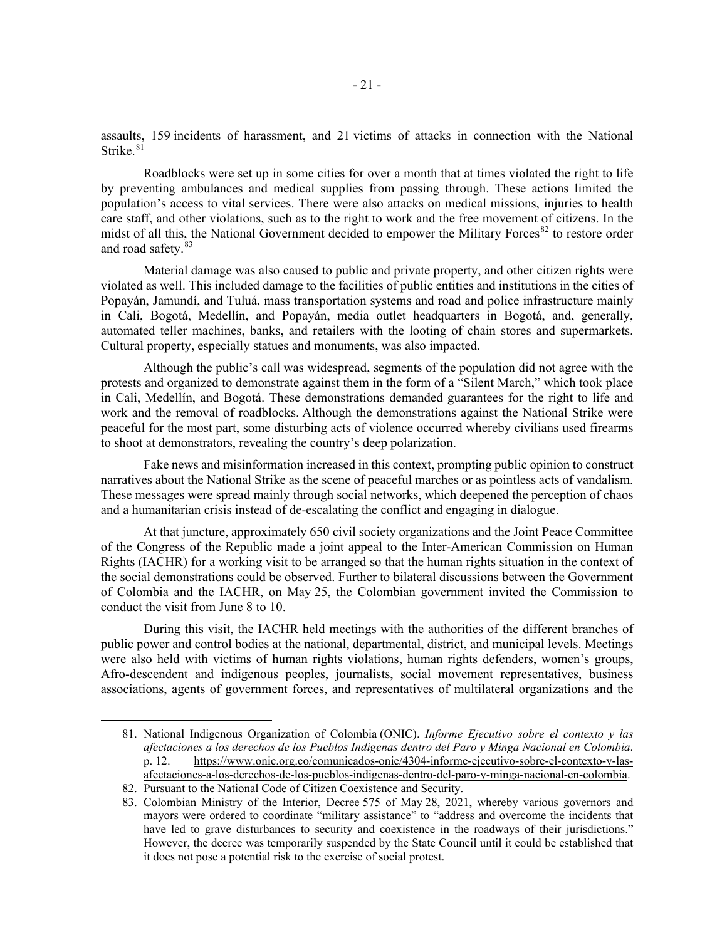assaults, 159 incidents of harassment, and 21 victims of attacks in connection with the National Strike.<sup>[81](#page-20-0)</sup>

Roadblocks were set up in some cities for over a month that at times violated the right to life by preventing ambulances and medical supplies from passing through. These actions limited the population's access to vital services. There were also attacks on medical missions, injuries to health care staff, and other violations, such as to the right to work and the free movement of citizens. In the midst of all this, the National Government decided to empower the Military Forces<sup>[82](#page-20-1)</sup> to restore order and road safety.<sup>[83](#page-20-2)</sup>

Material damage was also caused to public and private property, and other citizen rights were violated as well. This included damage to the facilities of public entities and institutions in the cities of Popayán, Jamundí, and Tuluá, mass transportation systems and road and police infrastructure mainly in Cali, Bogotá, Medellín, and Popayán, media outlet headquarters in Bogotá, and, generally, automated teller machines, banks, and retailers with the looting of chain stores and supermarkets. Cultural property, especially statues and monuments, was also impacted.

Although the public's call was widespread, segments of the population did not agree with the protests and organized to demonstrate against them in the form of a "Silent March," which took place in Cali, Medellín, and Bogotá. These demonstrations demanded guarantees for the right to life and work and the removal of roadblocks. Although the demonstrations against the National Strike were peaceful for the most part, some disturbing acts of violence occurred whereby civilians used firearms to shoot at demonstrators, revealing the country's deep polarization.

Fake news and misinformation increased in this context, prompting public opinion to construct narratives about the National Strike as the scene of peaceful marches or as pointless acts of vandalism. These messages were spread mainly through social networks, which deepened the perception of chaos and a humanitarian crisis instead of de-escalating the conflict and engaging in dialogue.

At that juncture, approximately 650 civil society organizations and the Joint Peace Committee of the Congress of the Republic made a joint appeal to the Inter-American Commission on Human Rights (IACHR) for a working visit to be arranged so that the human rights situation in the context of the social demonstrations could be observed. Further to bilateral discussions between the Government of Colombia and the IACHR, on May 25, the Colombian government invited the Commission to conduct the visit from June 8 to 10.

During this visit, the IACHR held meetings with the authorities of the different branches of public power and control bodies at the national, departmental, district, and municipal levels. Meetings were also held with victims of human rights violations, human rights defenders, women's groups, Afro-descendent and indigenous peoples, journalists, social movement representatives, business associations, agents of government forces, and representatives of multilateral organizations and the

<span id="page-20-0"></span><sup>81.</sup> National Indigenous Organization of Colombia (ONIC). *Informe Ejecutivo sobre el contexto y las afectaciones a los derechos de los Pueblos Indígenas dentro del Paro y Minga Nacional en Colombia*. p. 12. [https://www.onic.org.co/comunicados-onic/4304-informe-ejecutivo-sobre-el-contexto-y-las](https://www.onic.org.co/comunicados-onic/4304-informe-ejecutivo-sobre-el-contexto-y-las-afectaciones-a-los-derechos-de-los-pueblos-indigenas-dentro-del-paro-y-minga-nacional-en-colombia)[afectaciones-a-los-derechos-de-los-pueblos-indigenas-dentro-del-paro-y-minga-nacional-en-colombia.](https://www.onic.org.co/comunicados-onic/4304-informe-ejecutivo-sobre-el-contexto-y-las-afectaciones-a-los-derechos-de-los-pueblos-indigenas-dentro-del-paro-y-minga-nacional-en-colombia)

<span id="page-20-1"></span><sup>82.</sup> Pursuant to the National Code of Citizen Coexistence and Security.

<span id="page-20-2"></span><sup>83.</sup> Colombian Ministry of the Interior, Decree 575 of May 28, 2021, whereby various governors and mayors were ordered to coordinate "military assistance" to "address and overcome the incidents that have led to grave disturbances to security and coexistence in the roadways of their jurisdictions." However, the decree was temporarily suspended by the State Council until it could be established that it does not pose a potential risk to the exercise of social protest.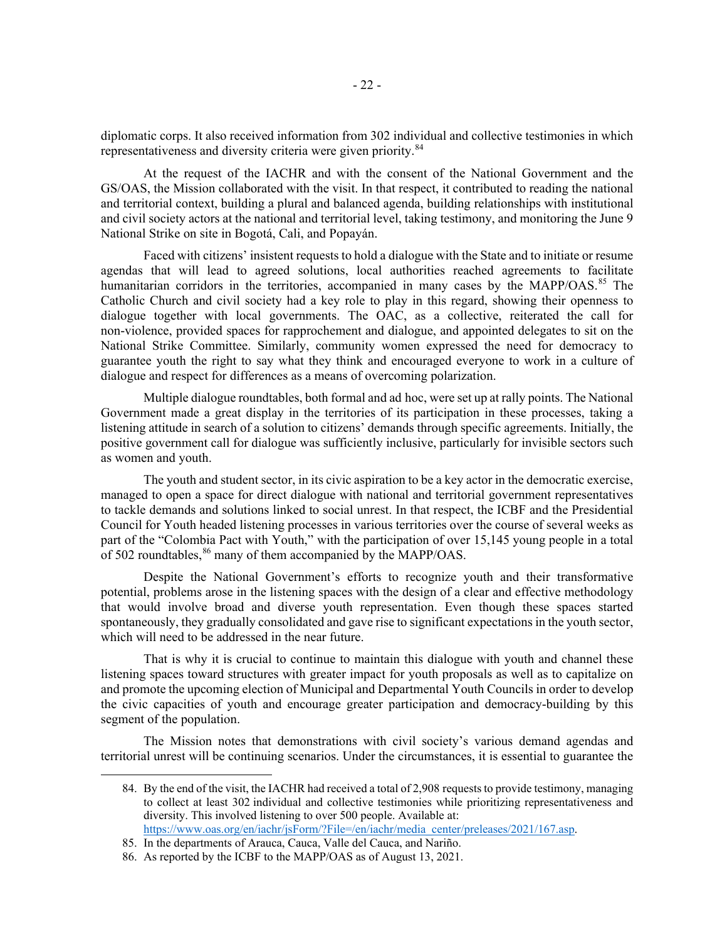diplomatic corps. It also received information from 302 individual and collective testimonies in which representativeness and diversity criteria were given priority.<sup>[84](#page-21-0)</sup>

At the request of the IACHR and with the consent of the National Government and the GS/OAS, the Mission collaborated with the visit. In that respect, it contributed to reading the national and territorial context, building a plural and balanced agenda, building relationships with institutional and civil society actors at the national and territorial level, taking testimony, and monitoring the June 9 National Strike on site in Bogotá, Cali, and Popayán.

Faced with citizens' insistent requests to hold a dialogue with the State and to initiate or resume agendas that will lead to agreed solutions, local authorities reached agreements to facilitate humanitarian corridors in the territories, accompanied in many cases by the MAPP/OAS.<sup>[85](#page-21-1)</sup> The Catholic Church and civil society had a key role to play in this regard, showing their openness to dialogue together with local governments. The OAC, as a collective, reiterated the call for non-violence, provided spaces for rapprochement and dialogue, and appointed delegates to sit on the National Strike Committee. Similarly, community women expressed the need for democracy to guarantee youth the right to say what they think and encouraged everyone to work in a culture of dialogue and respect for differences as a means of overcoming polarization.

Multiple dialogue roundtables, both formal and ad hoc, were set up at rally points. The National Government made a great display in the territories of its participation in these processes, taking a listening attitude in search of a solution to citizens' demands through specific agreements. Initially, the positive government call for dialogue was sufficiently inclusive, particularly for invisible sectors such as women and youth.

The youth and student sector, in its civic aspiration to be a key actor in the democratic exercise, managed to open a space for direct dialogue with national and territorial government representatives to tackle demands and solutions linked to social unrest. In that respect, the ICBF and the Presidential Council for Youth headed listening processes in various territories over the course of several weeks as part of the "Colombia Pact with Youth," with the participation of over 15,145 young people in a total of 502 roundtables, <sup>[86](#page-21-2)</sup> many of them accompanied by the MAPP/OAS.

Despite the National Government's efforts to recognize youth and their transformative potential, problems arose in the listening spaces with the design of a clear and effective methodology that would involve broad and diverse youth representation. Even though these spaces started spontaneously, they gradually consolidated and gave rise to significant expectations in the youth sector, which will need to be addressed in the near future.

That is why it is crucial to continue to maintain this dialogue with youth and channel these listening spaces toward structures with greater impact for youth proposals as well as to capitalize on and promote the upcoming election of Municipal and Departmental Youth Councils in order to develop the civic capacities of youth and encourage greater participation and democracy-building by this segment of the population.

<span id="page-21-0"></span>The Mission notes that demonstrations with civil society's various demand agendas and territorial unrest will be continuing scenarios. Under the circumstances, it is essential to guarantee the

<sup>84.</sup> By the end of the visit, the IACHR had received a total of 2,908 requests to provide testimony, managing to collect at least 302 individual and collective testimonies while prioritizing representativeness and diversity. This involved listening to over 500 people. Available at: [https://www.oas.org/en/iachr/jsForm/?File=/en/iachr/media\\_center/preleases/2021/167.asp.](https://www.oas.org/en/iachr/jsForm/?File=/en/iachr/media_center/preleases/2021/167.asp)

<sup>85.</sup> In the departments of Arauca, Cauca, Valle del Cauca, and Nariño.

<span id="page-21-2"></span><span id="page-21-1"></span><sup>86.</sup> As reported by the ICBF to the MAPP/OAS as of August 13, 2021.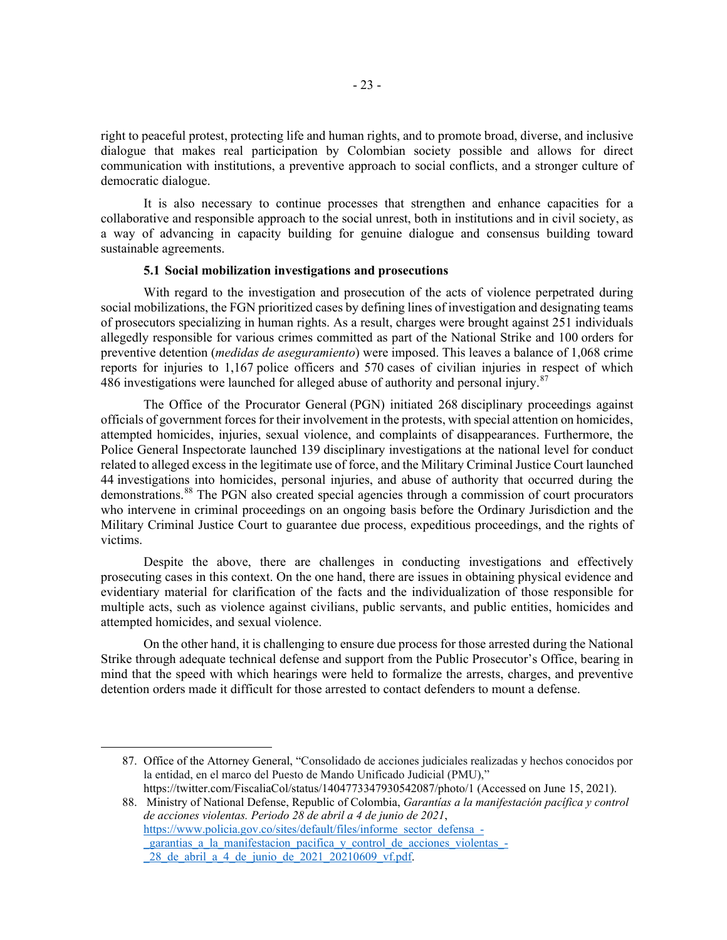right to peaceful protest, protecting life and human rights, and to promote broad, diverse, and inclusive dialogue that makes real participation by Colombian society possible and allows for direct communication with institutions, a preventive approach to social conflicts, and a stronger culture of democratic dialogue.

It is also necessary to continue processes that strengthen and enhance capacities for a collaborative and responsible approach to the social unrest, both in institutions and in civil society, as a way of advancing in capacity building for genuine dialogue and consensus building toward sustainable agreements.

#### **5.1 Social mobilization investigations and prosecutions**

With regard to the investigation and prosecution of the acts of violence perpetrated during social mobilizations, the FGN prioritized cases by defining lines of investigation and designating teams of prosecutors specializing in human rights. As a result, charges were brought against 251 individuals allegedly responsible for various crimes committed as part of the National Strike and 100 orders for preventive detention (*medidas de aseguramiento*) were imposed. This leaves a balance of 1,068 crime reports for injuries to 1,167 police officers and 570 cases of civilian injuries in respect of which 486 investigations were launched for alleged abuse of authority and personal injury.<sup>[87](#page-22-0)</sup>

The Office of the Procurator General (PGN) initiated 268 disciplinary proceedings against officials of government forces for their involvement in the protests, with special attention on homicides, attempted homicides, injuries, sexual violence, and complaints of disappearances. Furthermore, the Police General Inspectorate launched 139 disciplinary investigations at the national level for conduct related to alleged excess in the legitimate use of force, and the Military Criminal Justice Court launched 44 investigations into homicides, personal injuries, and abuse of authority that occurred during the demonstrations.[88](#page-22-1) The PGN also created special agencies through a commission of court procurators who intervene in criminal proceedings on an ongoing basis before the Ordinary Jurisdiction and the Military Criminal Justice Court to guarantee due process, expeditious proceedings, and the rights of victims.

Despite the above, there are challenges in conducting investigations and effectively prosecuting cases in this context. On the one hand, there are issues in obtaining physical evidence and evidentiary material for clarification of the facts and the individualization of those responsible for multiple acts, such as violence against civilians, public servants, and public entities, homicides and attempted homicides, and sexual violence.

On the other hand, it is challenging to ensure due process for those arrested during the National Strike through adequate technical defense and support from the Public Prosecutor's Office, bearing in mind that the speed with which hearings were held to formalize the arrests, charges, and preventive detention orders made it difficult for those arrested to contact defenders to mount a defense.

<span id="page-22-0"></span><sup>87.</sup> Office of the Attorney General, "Consolidado de acciones judiciales realizadas y hechos conocidos por la entidad, en el marco del Puesto de Mando Unificado Judicial (PMU)," <https://twitter.com/FiscaliaCol/status/1404773347930542087/photo/1> (Accessed on June 15, 2021).

<span id="page-22-1"></span><sup>88.</sup> Ministry of National Defense, Republic of Colombia, *Garantías a la manifestación pacífica y control de acciones violentas. Periodo 28 de abril a 4 de junio de 2021*, [https://www.policia.gov.co/sites/default/files/informe\\_sector\\_defensa\\_-](https://www.policia.gov.co/sites/default/files/informe_sector_defensa_-_garantias_a_la_manifestacion_pacifica_y_control_de_acciones_violentas_-_28_de_abril_a_4_de_junio_de_2021_20210609_vf.pdf) [\\_garantias\\_a\\_la\\_manifestacion\\_pacifica\\_y\\_control\\_de\\_acciones\\_violentas\\_-](https://www.policia.gov.co/sites/default/files/informe_sector_defensa_-_garantias_a_la_manifestacion_pacifica_y_control_de_acciones_violentas_-_28_de_abril_a_4_de_junio_de_2021_20210609_vf.pdf)

 $\overline{28}$  de abril a 4 de junio de  $2021\overline{20210609}$  vf.pdf.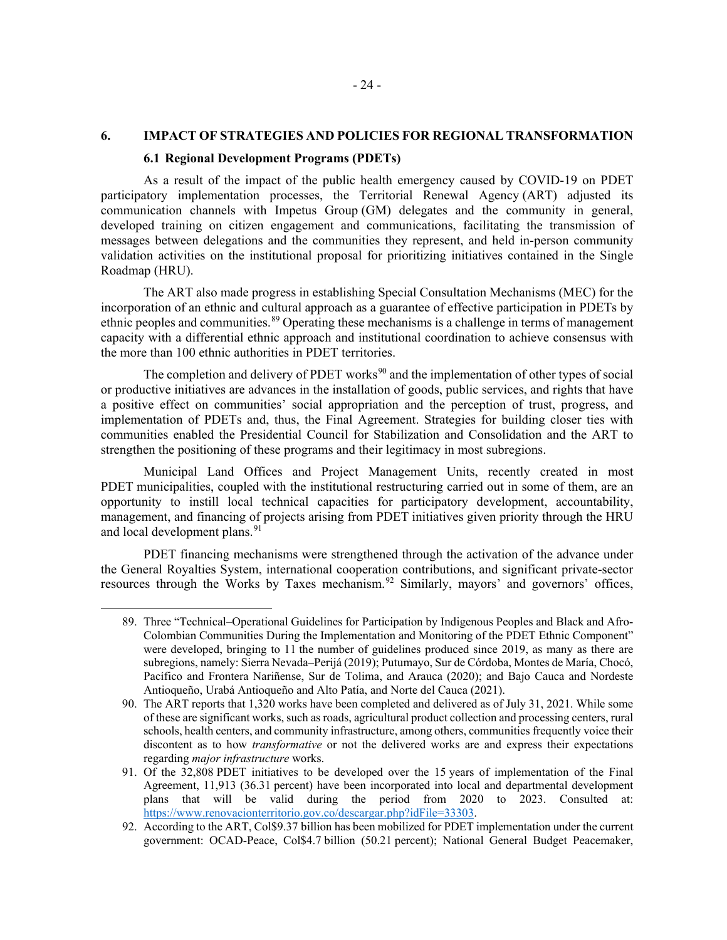## **6. IMPACT OF STRATEGIES AND POLICIES FOR REGIONAL TRANSFORMATION**

#### **6.1 Regional Development Programs (PDETs)**

As a result of the impact of the public health emergency caused by COVID-19 on PDET participatory implementation processes, the Territorial Renewal Agency (ART) adjusted its communication channels with Impetus Group (GM) delegates and the community in general, developed training on citizen engagement and communications, facilitating the transmission of messages between delegations and the communities they represent, and held in-person community validation activities on the institutional proposal for prioritizing initiatives contained in the Single Roadmap (HRU).

The ART also made progress in establishing Special Consultation Mechanisms (MEC) for the incorporation of an ethnic and cultural approach as a guarantee of effective participation in PDETs by ethnic peoples and communities.<sup>[89](#page-23-0)</sup> Operating these mechanisms is a challenge in terms of management capacity with a differential ethnic approach and institutional coordination to achieve consensus with the more than 100 ethnic authorities in PDET territories.

The completion and delivery of PDET works<sup>[90](#page-23-1)</sup> and the implementation of other types of social or productive initiatives are advances in the installation of goods, public services, and rights that have a positive effect on communities' social appropriation and the perception of trust, progress, and implementation of PDETs and, thus, the Final Agreement. Strategies for building closer ties with communities enabled the Presidential Council for Stabilization and Consolidation and the ART to strengthen the positioning of these programs and their legitimacy in most subregions.

Municipal Land Offices and Project Management Units, recently created in most PDET municipalities, coupled with the institutional restructuring carried out in some of them, are an opportunity to instill local technical capacities for participatory development, accountability, management, and financing of projects arising from PDET initiatives given priority through the HRU and local development plans.<sup>[91](#page-23-2)</sup>

<span id="page-23-0"></span>PDET financing mechanisms were strengthened through the activation of the advance under the General Royalties System, international cooperation contributions, and significant private-sector resources through the Works by Taxes mechanism.[92](#page-23-3) Similarly, mayors' and governors' offices,

<sup>89.</sup> Three "Technical–Operational Guidelines for Participation by Indigenous Peoples and Black and Afro-Colombian Communities During the Implementation and Monitoring of the PDET Ethnic Component" were developed, bringing to 11 the number of guidelines produced since 2019, as many as there are subregions, namely: Sierra Nevada–Perijá (2019); Putumayo, Sur de Córdoba, Montes de María, Chocó, Pacífico and Frontera Nariñense, Sur de Tolima, and Arauca (2020); and Bajo Cauca and Nordeste Antioqueño, Urabá Antioqueño and Alto Patía, and Norte del Cauca (2021).

<span id="page-23-1"></span><sup>90.</sup> The ART reports that 1,320 works have been completed and delivered as of July 31, 2021. While some of these are significant works, such as roads, agricultural product collection and processing centers, rural schools, health centers, and community infrastructure, among others, communities frequently voice their discontent as to how *transformative* or not the delivered works are and express their expectations regarding *major infrastructure* works.

<span id="page-23-2"></span><sup>91.</sup> Of the 32,808 PDET initiatives to be developed over the 15 years of implementation of the Final Agreement, 11,913 (36.31 percent) have been incorporated into local and departmental development plans that will be valid during the period from 2020 to 2023. Consulted at: [https://www.renovacionterritorio.gov.co/descargar.php?idFile=33303.](https://www.renovacionterritorio.gov.co/descargar.php?idFile=33303)

<span id="page-23-3"></span><sup>92.</sup> According to the ART, Col\$9.37 billion has been mobilized for PDET implementation under the current government: OCAD-Peace, Col\$4.7 billion (50.21 percent); National General Budget Peacemaker,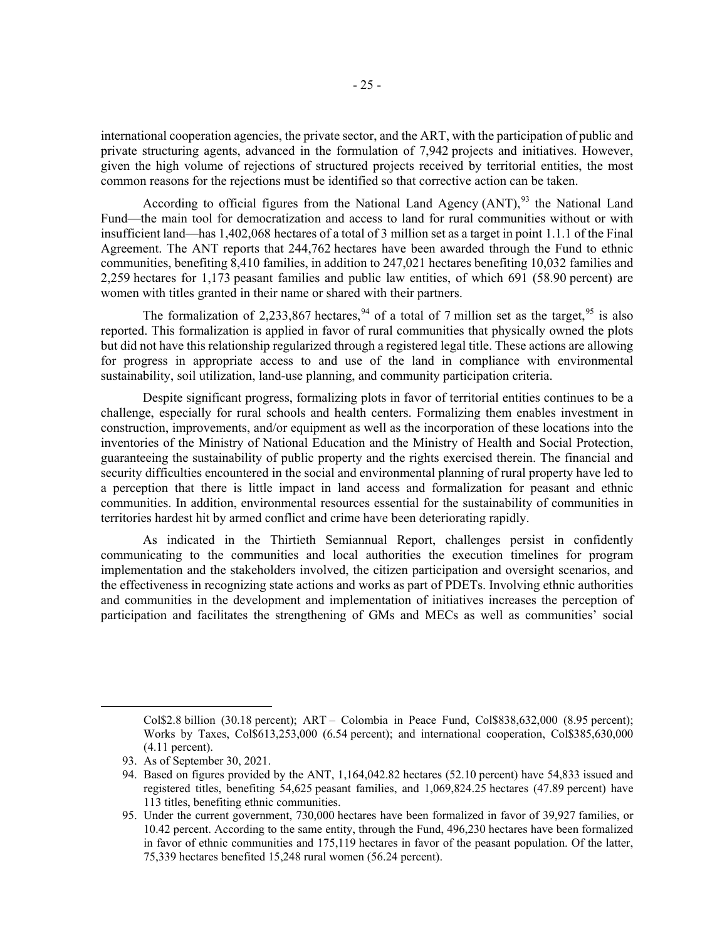international cooperation agencies, the private sector, and the ART, with the participation of public and private structuring agents, advanced in the formulation of 7,942 projects and initiatives. However, given the high volume of rejections of structured projects received by territorial entities, the most common reasons for the rejections must be identified so that corrective action can be taken.

According to official figures from the National Land Agency  $(ANT)$ ,  $93$  the National Land Fund—the main tool for democratization and access to land for rural communities without or with insufficient land—has 1,402,068 hectares of a total of 3 million set as a target in point 1.1.1 of the Final Agreement. The ANT reports that 244,762 hectares have been awarded through the Fund to ethnic communities, benefiting 8,410 families, in addition to 247,021 hectares benefiting 10,032 families and 2,259 hectares for 1,173 peasant families and public law entities, of which 691 (58.90 percent) are women with titles granted in their name or shared with their partners.

The formalization of 2,233,867 hectares,  $94$  of a total of 7 million set as the target,  $95$  is also reported. This formalization is applied in favor of rural communities that physically owned the plots but did not have this relationship regularized through a registered legal title. These actions are allowing for progress in appropriate access to and use of the land in compliance with environmental sustainability, soil utilization, land-use planning, and community participation criteria.

Despite significant progress, formalizing plots in favor of territorial entities continues to be a challenge, especially for rural schools and health centers. Formalizing them enables investment in construction, improvements, and/or equipment as well as the incorporation of these locations into the inventories of the Ministry of National Education and the Ministry of Health and Social Protection, guaranteeing the sustainability of public property and the rights exercised therein. The financial and security difficulties encountered in the social and environmental planning of rural property have led to a perception that there is little impact in land access and formalization for peasant and ethnic communities. In addition, environmental resources essential for the sustainability of communities in territories hardest hit by armed conflict and crime have been deteriorating rapidly.

As indicated in the Thirtieth Semiannual Report, challenges persist in confidently communicating to the communities and local authorities the execution timelines for program implementation and the stakeholders involved, the citizen participation and oversight scenarios, and the effectiveness in recognizing state actions and works as part of PDETs. Involving ethnic authorities and communities in the development and implementation of initiatives increases the perception of participation and facilitates the strengthening of GMs and MECs as well as communities' social

Col\$2.8 billion (30.18 percent); ART – Colombia in Peace Fund, Col\$838,632,000 (8.95 percent); Works by Taxes, Col\$613,253,000 (6.54 percent); and international cooperation, Col\$385,630,000 (4.11 percent).

<span id="page-24-0"></span><sup>93.</sup> As of September 30, 2021.

<span id="page-24-1"></span><sup>94.</sup> Based on figures provided by the ANT, 1,164,042.82 hectares (52.10 percent) have 54,833 issued and registered titles, benefiting 54,625 peasant families, and 1,069,824.25 hectares (47.89 percent) have 113 titles, benefiting ethnic communities.

<span id="page-24-2"></span><sup>95.</sup> Under the current government, 730,000 hectares have been formalized in favor of 39,927 families, or 10.42 percent. According to the same entity, through the Fund, 496,230 hectares have been formalized in favor of ethnic communities and 175,119 hectares in favor of the peasant population. Of the latter, 75,339 hectares benefited 15,248 rural women (56.24 percent).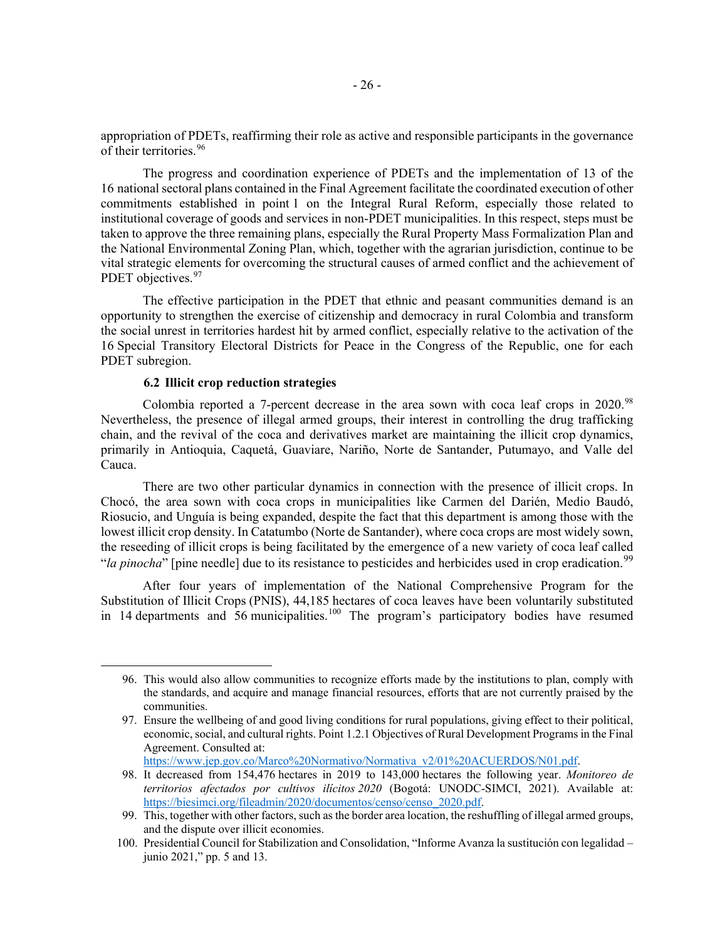appropriation of PDETs, reaffirming their role as active and responsible participants in the governance of their territories.<sup>[96](#page-25-0)</sup>

The progress and coordination experience of PDETs and the implementation of 13 of the 16 national sectoral plans contained in the Final Agreement facilitate the coordinated execution of other commitments established in point 1 on the Integral Rural Reform, especially those related to institutional coverage of goods and services in non-PDET municipalities. In this respect, steps must be taken to approve the three remaining plans, especially the Rural Property Mass Formalization Plan and the National Environmental Zoning Plan, which, together with the agrarian jurisdiction, continue to be vital strategic elements for overcoming the structural causes of armed conflict and the achievement of PDET objectives.<sup>[97](#page-25-1)</sup>

The effective participation in the PDET that ethnic and peasant communities demand is an opportunity to strengthen the exercise of citizenship and democracy in rural Colombia and transform the social unrest in territories hardest hit by armed conflict, especially relative to the activation of the 16 Special Transitory Electoral Districts for Peace in the Congress of the Republic, one for each PDET subregion.

#### **6.2 Illicit crop reduction strategies**

Colombia reported a 7-percent decrease in the area sown with coca leaf crops in  $2020$ .<sup>[98](#page-25-2)</sup> Nevertheless, the presence of illegal armed groups, their interest in controlling the drug trafficking chain, and the revival of the coca and derivatives market are maintaining the illicit crop dynamics, primarily in Antioquia, Caquetá, Guaviare, Nariño, Norte de Santander, Putumayo, and Valle del Cauca.

There are two other particular dynamics in connection with the presence of illicit crops. In Chocó, the area sown with coca crops in municipalities like Carmen del Darién, Medio Baudó, Riosucio, and Unguía is being expanded, despite the fact that this department is among those with the lowest illicit crop density. In Catatumbo (Norte de Santander), where coca crops are most widely sown, the reseeding of illicit crops is being facilitated by the emergence of a new variety of coca leaf called "*la pinocha*" [pine needle] due to its resistance to pesticides and herbicides used in crop eradication.<sup>[99](#page-25-3)</sup>

After four years of implementation of the National Comprehensive Program for the Substitution of Illicit Crops (PNIS), 44,185 hectares of coca leaves have been voluntarily substituted in 14 departments and  $\frac{1}{6}$  municipalities.<sup>[100](#page-25-4)</sup> The program's participatory bodies have resumed

[https://www.jep.gov.co/Marco%20Normativo/Normativa\\_v2/01%20ACUERDOS/N01.pdf.](https://www.jep.gov.co/Marco%20Normativo/Normativa_v2/01%20ACUERDOS/N01.pdf)

<span id="page-25-0"></span><sup>96.</sup> This would also allow communities to recognize efforts made by the institutions to plan, comply with the standards, and acquire and manage financial resources, efforts that are not currently praised by the communities.

<span id="page-25-1"></span><sup>97.</sup> Ensure the wellbeing of and good living conditions for rural populations, giving effect to their political, economic, social, and cultural rights. Point 1.2.1 Objectives of Rural Development Programs in the Final Agreement. Consulted at:

<span id="page-25-2"></span><sup>98.</sup> It decreased from 154,476 hectares in 2019 to 143,000 hectares the following year. *Monitoreo de territorios afectados por cultivos ilícitos 2020* (Bogotá: UNODC-SIMCI, 2021). Available at: [https://biesimci.org/fileadmin/2020/documentos/censo/censo\\_2020.pdf.](https://biesimci.org/fileadmin/2020/documentos/censo/censo_2020.pdf)

<span id="page-25-3"></span><sup>99.</sup> This, together with other factors, such as the border area location, the reshuffling of illegal armed groups, and the dispute over illicit economies.

<span id="page-25-4"></span><sup>100.</sup> Presidential Council for Stabilization and Consolidation, "Informe Avanza la sustitución con legalidad – junio 2021," pp. 5 and 13.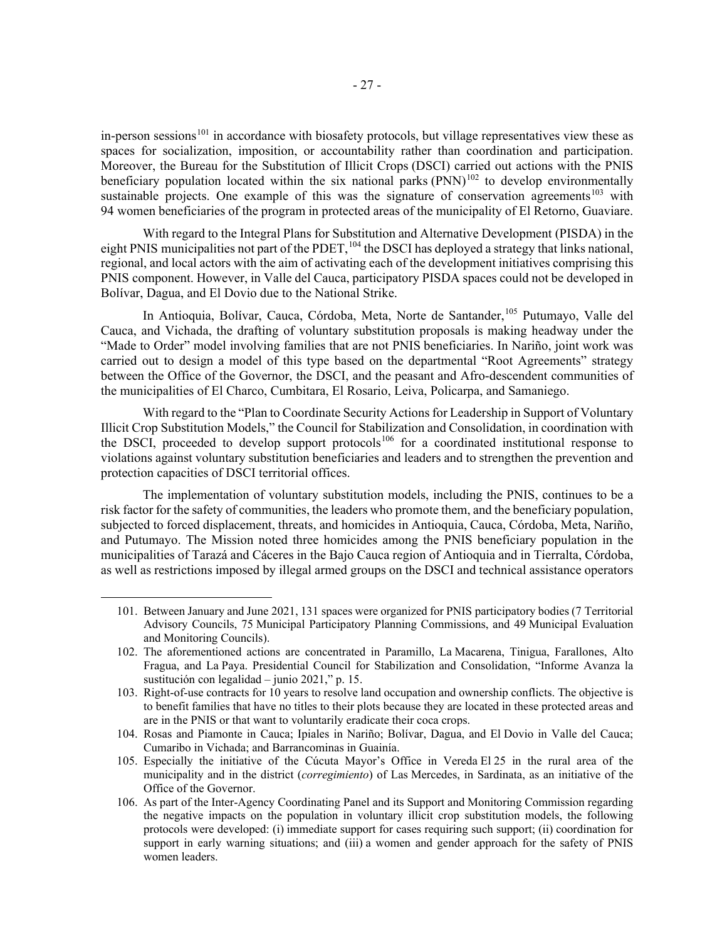in-person sessions<sup>[101](#page-26-0)</sup> in accordance with biosafety protocols, but village representatives view these as spaces for socialization, imposition, or accountability rather than coordination and participation. Moreover, the Bureau for the Substitution of Illicit Crops (DSCI) carried out actions with the PNIS beneficiary population located within the six national parks  $(PNN)^{102}$  $(PNN)^{102}$  $(PNN)^{102}$  to develop environmentally sustainable projects. One example of this was the signature of conservation agreements<sup>[103](#page-26-2)</sup> with 94 women beneficiaries of the program in protected areas of the municipality of El Retorno, Guaviare.

With regard to the Integral Plans for Substitution and Alternative Development (PISDA) in the eight PNIS municipalities not part of the PDET, <sup>[104](#page-26-3)</sup> the DSCI has deployed a strategy that links national, regional, and local actors with the aim of activating each of the development initiatives comprising this PNIS component. However, in Valle del Cauca, participatory PISDA spaces could not be developed in Bolívar, Dagua, and El Dovio due to the National Strike.

In Antioquia, Bolívar, Cauca, Córdoba, Meta, Norte de Santander,<sup>[105](#page-26-4)</sup> Putumayo, Valle del Cauca, and Vichada, the drafting of voluntary substitution proposals is making headway under the "Made to Order" model involving families that are not PNIS beneficiaries. In Nariño, joint work was carried out to design a model of this type based on the departmental "Root Agreements" strategy between the Office of the Governor, the DSCI, and the peasant and Afro-descendent communities of the municipalities of El Charco, Cumbitara, El Rosario, Leiva, Policarpa, and Samaniego.

With regard to the "Plan to Coordinate Security Actions for Leadership in Support of Voluntary Illicit Crop Substitution Models," the Council for Stabilization and Consolidation, in coordination with the DSCI, proceeded to develop support protocols<sup>[106](#page-26-5)</sup> for a coordinated institutional response to violations against voluntary substitution beneficiaries and leaders and to strengthen the prevention and protection capacities of DSCI territorial offices.

The implementation of voluntary substitution models, including the PNIS, continues to be a risk factor for the safety of communities, the leaders who promote them, and the beneficiary population, subjected to forced displacement, threats, and homicides in Antioquia, Cauca, Córdoba, Meta, Nariño, and Putumayo. The Mission noted three homicides among the PNIS beneficiary population in the municipalities of Tarazá and Cáceres in the Bajo Cauca region of Antioquia and in Tierralta, Córdoba, as well as restrictions imposed by illegal armed groups on the DSCI and technical assistance operators

<span id="page-26-0"></span><sup>101.</sup> Between January and June 2021, 131 spaces were organized for PNIS participatory bodies (7 Territorial Advisory Councils, 75 Municipal Participatory Planning Commissions, and 49 Municipal Evaluation and Monitoring Councils).

<span id="page-26-1"></span><sup>102.</sup> The aforementioned actions are concentrated in Paramillo, La Macarena, Tinigua, Farallones, Alto Fragua, and La Paya. Presidential Council for Stabilization and Consolidation, "Informe Avanza la sustitución con legalidad – junio 2021," p. 15.

<span id="page-26-2"></span><sup>103.</sup> Right-of-use contracts for 10 years to resolve land occupation and ownership conflicts. The objective is to benefit families that have no titles to their plots because they are located in these protected areas and are in the PNIS or that want to voluntarily eradicate their coca crops.

<span id="page-26-3"></span><sup>104.</sup> Rosas and Piamonte in Cauca; Ipiales in Nariño; Bolívar, Dagua, and El Dovio in Valle del Cauca; Cumaribo in Vichada; and Barrancominas in Guainía.

<span id="page-26-4"></span><sup>105.</sup> Especially the initiative of the Cúcuta Mayor's Office in Vereda El 25 in the rural area of the municipality and in the district (*corregimiento*) of Las Mercedes, in Sardinata, as an initiative of the Office of the Governor.

<span id="page-26-5"></span><sup>106.</sup> As part of the Inter-Agency Coordinating Panel and its Support and Monitoring Commission regarding the negative impacts on the population in voluntary illicit crop substitution models, the following protocols were developed: (i) immediate support for cases requiring such support; (ii) coordination for support in early warning situations; and (iii) a women and gender approach for the safety of PNIS women leaders.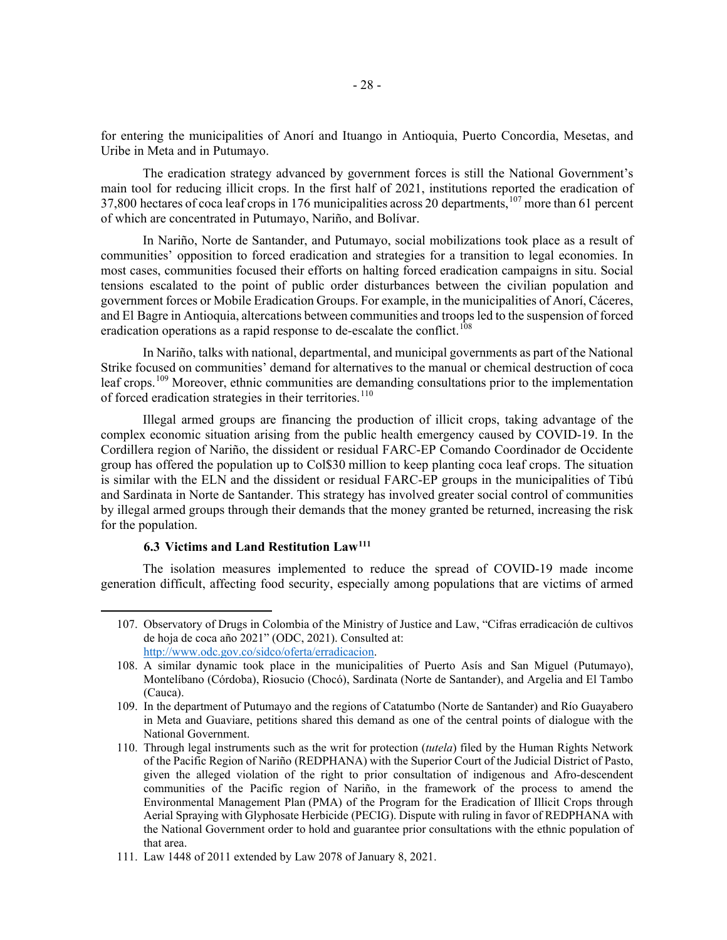for entering the municipalities of Anorí and Ituango in Antioquia, Puerto Concordia, Mesetas, and Uribe in Meta and in Putumayo.

The eradication strategy advanced by government forces is still the National Government's main tool for reducing illicit crops. In the first half of 2021, institutions reported the eradication of 37,800 hectares of coca leaf crops in 176 municipalities across 20 departments,  $107$  more than 61 percent of which are concentrated in Putumayo, Nariño, and Bolívar.

In Nariño, Norte de Santander, and Putumayo, social mobilizations took place as a result of communities' opposition to forced eradication and strategies for a transition to legal economies. In most cases, communities focused their efforts on halting forced eradication campaigns in situ. Social tensions escalated to the point of public order disturbances between the civilian population and government forces or Mobile Eradication Groups. For example, in the municipalities of Anorí, Cáceres, and El Bagre in Antioquia, altercations between communities and troops led to the suspension of forced eradication operations as a rapid response to de-escalate the conflict.<sup>[108](#page-27-1)</sup>

In Nariño, talks with national, departmental, and municipal governments as part of the National Strike focused on communities' demand for alternatives to the manual or chemical destruction of coca leaf crops.<sup>[109](#page-27-2)</sup> Moreover, ethnic communities are demanding consultations prior to the implementation of forced eradication strategies in their territories.<sup>[110](#page-27-3)</sup>

Illegal armed groups are financing the production of illicit crops, taking advantage of the complex economic situation arising from the public health emergency caused by COVID-19. In the Cordillera region of Nariño, the dissident or residual FARC-EP Comando Coordinador de Occidente group has offered the population up to Col\$30 million to keep planting coca leaf crops. The situation is similar with the ELN and the dissident or residual FARC-EP groups in the municipalities of Tibú and Sardinata in Norte de Santander. This strategy has involved greater social control of communities by illegal armed groups through their demands that the money granted be returned, increasing the risk for the population.

#### **6.3 Victims and Land Restitution Law[111](#page-27-4)**

<span id="page-27-0"></span>The isolation measures implemented to reduce the spread of COVID-19 made income generation difficult, affecting food security, especially among populations that are victims of armed

<sup>107.</sup> Observatory of Drugs in Colombia of the Ministry of Justice and Law, "Cifras erradicación de cultivos de hoja de coca año 2021" (ODC, 2021). Consulted at: [http://www.odc.gov.co/sidco/oferta/erradicacion.](http://www.odc.gov.co/sidco/oferta/erradicacion)

<span id="page-27-1"></span><sup>108.</sup> A similar dynamic took place in the municipalities of Puerto Asís and San Miguel (Putumayo), Montelíbano (Córdoba), Riosucio (Chocó), Sardinata (Norte de Santander), and Argelia and El Tambo (Cauca).

<span id="page-27-2"></span><sup>109.</sup> In the department of Putumayo and the regions of Catatumbo (Norte de Santander) and Río Guayabero in Meta and Guaviare, petitions shared this demand as one of the central points of dialogue with the National Government.

<span id="page-27-3"></span><sup>110.</sup> Through legal instruments such as the writ for protection (*tutela*) filed by the Human Rights Network of the Pacific Region of Nariño (REDPHANA) with the Superior Court of the Judicial District of Pasto, given the alleged violation of the right to prior consultation of indigenous and Afro-descendent communities of the Pacific region of Nariño, in the framework of the process to amend the Environmental Management Plan (PMA) of the Program for the Eradication of Illicit Crops through Aerial Spraying with Glyphosate Herbicide (PECIG). Dispute with ruling in favor of REDPHANA with the National Government order to hold and guarantee prior consultations with the ethnic population of that area.

<span id="page-27-4"></span><sup>111.</sup> Law 1448 of 2011 extended by Law 2078 of January 8, 2021.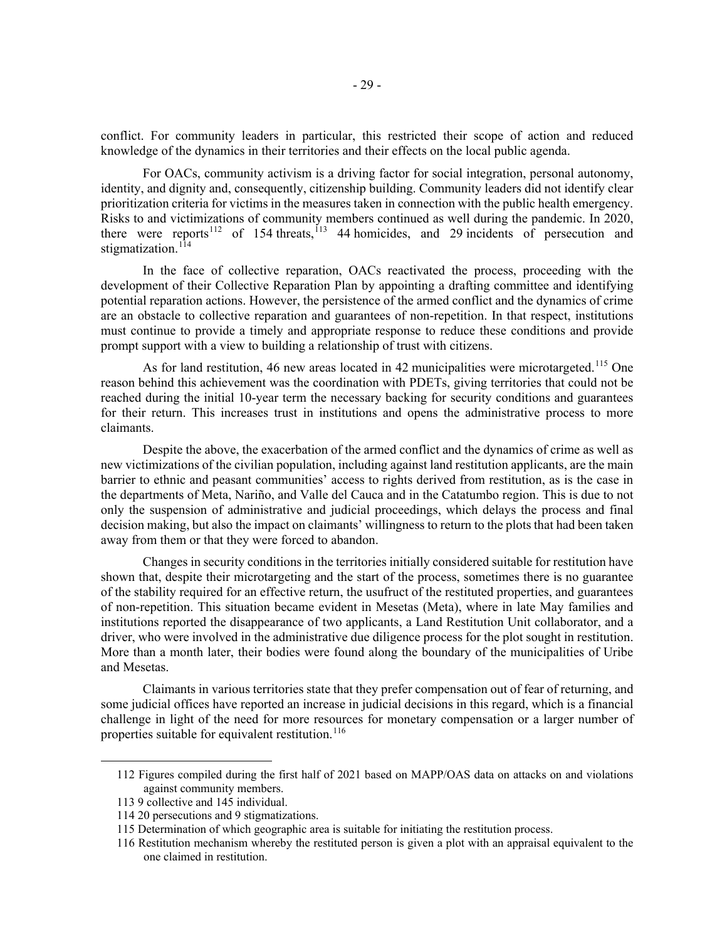conflict. For community leaders in particular, this restricted their scope of action and reduced knowledge of the dynamics in their territories and their effects on the local public agenda.

For OACs, community activism is a driving factor for social integration, personal autonomy, identity, and dignity and, consequently, citizenship building. Community leaders did not identify clear prioritization criteria for victims in the measures taken in connection with the public health emergency. Risks to and victimizations of community members continued as well during the pandemic. In 2020, there were reports<sup>[112](#page-28-0)</sup> of 154 threats,  $1/13$  44 homicides, and 29 incidents of persecution and stigmatization.<sup>[114](#page-28-2)</sup>

In the face of collective reparation, OACs reactivated the process, proceeding with the development of their Collective Reparation Plan by appointing a drafting committee and identifying potential reparation actions. However, the persistence of the armed conflict and the dynamics of crime are an obstacle to collective reparation and guarantees of non-repetition. In that respect, institutions must continue to provide a timely and appropriate response to reduce these conditions and provide prompt support with a view to building a relationship of trust with citizens.

As for land restitution, 46 new areas located in 42 municipalities were microtargeted.<sup>[115](#page-28-3)</sup> One reason behind this achievement was the coordination with PDETs, giving territories that could not be reached during the initial 10-year term the necessary backing for security conditions and guarantees for their return. This increases trust in institutions and opens the administrative process to more claimants.

Despite the above, the exacerbation of the armed conflict and the dynamics of crime as well as new victimizations of the civilian population, including against land restitution applicants, are the main barrier to ethnic and peasant communities' access to rights derived from restitution, as is the case in the departments of Meta, Nariño, and Valle del Cauca and in the Catatumbo region. This is due to not only the suspension of administrative and judicial proceedings, which delays the process and final decision making, but also the impact on claimants' willingness to return to the plots that had been taken away from them or that they were forced to abandon.

Changes in security conditions in the territories initially considered suitable for restitution have shown that, despite their microtargeting and the start of the process, sometimes there is no guarantee of the stability required for an effective return, the usufruct of the restituted properties, and guarantees of non-repetition. This situation became evident in Mesetas (Meta), where in late May families and institutions reported the disappearance of two applicants, a Land Restitution Unit collaborator, and a driver, who were involved in the administrative due diligence process for the plot sought in restitution. More than a month later, their bodies were found along the boundary of the municipalities of Uribe and Mesetas.

Claimants in various territories state that they prefer compensation out of fear of returning, and some judicial offices have reported an increase in judicial decisions in this regard, which is a financial challenge in light of the need for more resources for monetary compensation or a larger number of properties suitable for equivalent restitution. [116](#page-28-4)

<span id="page-28-0"></span><sup>112</sup> Figures compiled during the first half of 2021 based on MAPP/OAS data on attacks on and violations against community members.

<span id="page-28-1"></span><sup>113</sup> 9 collective and 145 individual.

<span id="page-28-2"></span><sup>114</sup> 20 persecutions and 9 stigmatizations.

<span id="page-28-3"></span><sup>115</sup> Determination of which geographic area is suitable for initiating the restitution process.

<span id="page-28-4"></span><sup>116</sup> Restitution mechanism whereby the restituted person is given a plot with an appraisal equivalent to the one claimed in restitution.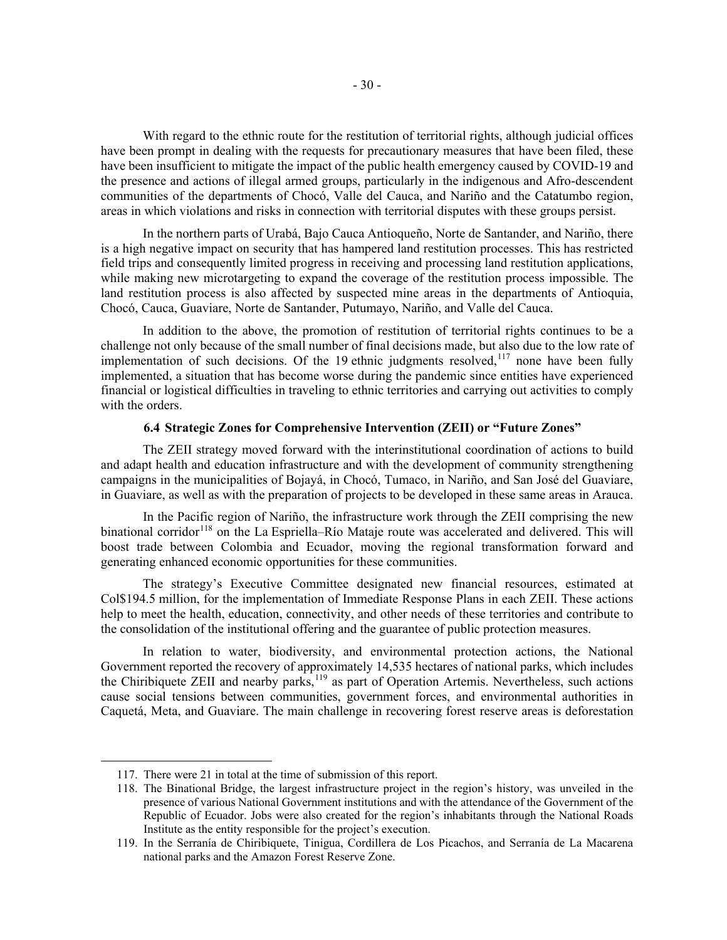With regard to the ethnic route for the restitution of territorial rights, although judicial offices have been prompt in dealing with the requests for precautionary measures that have been filed, these have been insufficient to mitigate the impact of the public health emergency caused by COVID-19 and the presence and actions of illegal armed groups, particularly in the indigenous and Afro-descendent communities of the departments of Chocó, Valle del Cauca, and Nariño and the Catatumbo region, areas in which violations and risks in connection with territorial disputes with these groups persist.

In the northern parts of Urabá, Bajo Cauca Antioqueño, Norte de Santander, and Nariño, there is a high negative impact on security that has hampered land restitution processes. This has restricted field trips and consequently limited progress in receiving and processing land restitution applications, while making new microtargeting to expand the coverage of the restitution process impossible. The land restitution process is also affected by suspected mine areas in the departments of Antioquia, Chocó, Cauca, Guaviare, Norte de Santander, Putumayo, Nariño, and Valle del Cauca.

In addition to the above, the promotion of restitution of territorial rights continues to be a challenge not only because of the small number of final decisions made, but also due to the low rate of implementation of such decisions. Of the 19 ethnic judgments resolved,  $117$  none have been fully implemented, a situation that has become worse during the pandemic since entities have experienced financial or logistical difficulties in traveling to ethnic territories and carrying out activities to comply with the orders.

#### **6.4 Strategic Zones for Comprehensive Intervention (ZEII) or "Future Zones"**

The ZEII strategy moved forward with the interinstitutional coordination of actions to build and adapt health and education infrastructure and with the development of community strengthening campaigns in the municipalities of Bojayá, in Chocó, Tumaco, in Nariño, and San José del Guaviare, in Guaviare, as well as with the preparation of projects to be developed in these same areas in Arauca.

In the Pacific region of Nariño, the infrastructure work through the ZEII comprising the new binational corridor<sup>[118](#page-29-1)</sup> on the La Espriella–Río Mataje route was accelerated and delivered. This will boost trade between Colombia and Ecuador, moving the regional transformation forward and generating enhanced economic opportunities for these communities.

The strategy's Executive Committee designated new financial resources, estimated at Col\$194.5 million, for the implementation of Immediate Response Plans in each ZEII. These actions help to meet the health, education, connectivity, and other needs of these territories and contribute to the consolidation of the institutional offering and the guarantee of public protection measures.

In relation to water, biodiversity, and environmental protection actions, the National Government reported the recovery of approximately 14,535 hectares of national parks, which includes the Chiribiquete ZEII and nearby parks, <sup>[119](#page-29-2)</sup> as part of Operation Artemis. Nevertheless, such actions cause social tensions between communities, government forces, and environmental authorities in Caquetá, Meta, and Guaviare. The main challenge in recovering forest reserve areas is deforestation

<span id="page-29-0"></span><sup>117.</sup> There were 21 in total at the time of submission of this report.

<span id="page-29-1"></span><sup>118.</sup> The Binational Bridge, the largest infrastructure project in the region's history, was unveiled in the presence of various National Government institutions and with the attendance of the Government of the Republic of Ecuador. Jobs were also created for the region's inhabitants through the National Roads Institute as the entity responsible for the project's execution.

<span id="page-29-2"></span><sup>119.</sup> In the Serranía de Chiribiquete, Tinigua, Cordillera de Los Picachos, and Serranía de La Macarena national parks and the Amazon Forest Reserve Zone.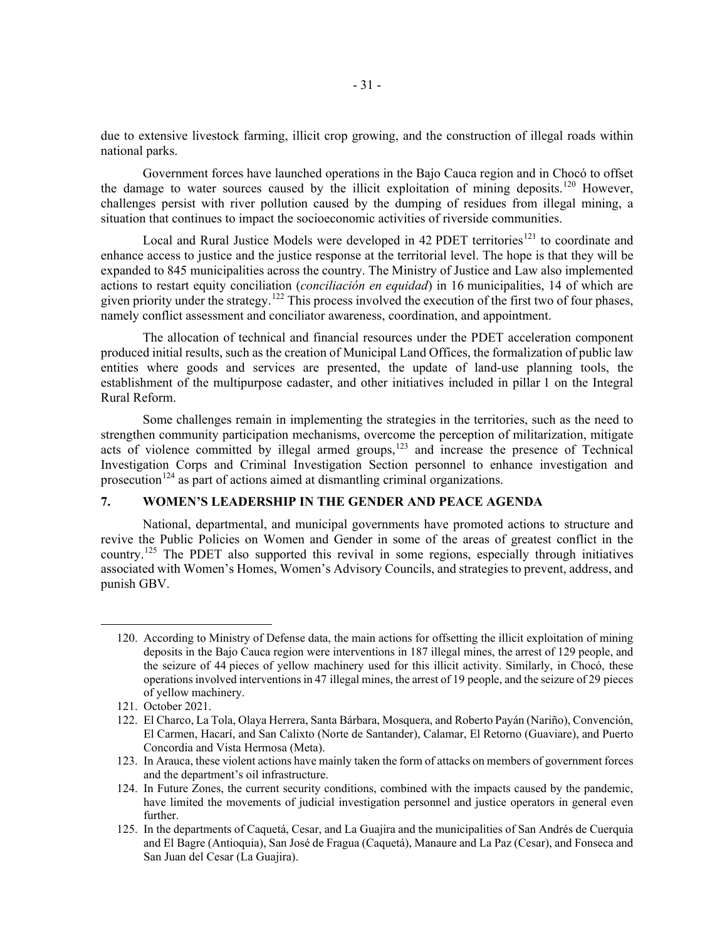due to extensive livestock farming, illicit crop growing, and the construction of illegal roads within national parks.

Government forces have launched operations in the Bajo Cauca region and in Chocó to offset the damage to water sources caused by the illicit exploitation of mining deposits.<sup>[120](#page-30-0)</sup> However, challenges persist with river pollution caused by the dumping of residues from illegal mining, a situation that continues to impact the socioeconomic activities of riverside communities.

Local and Rural Justice Models were developed in 42 PDET territories<sup>[121](#page-30-1)</sup> to coordinate and enhance access to justice and the justice response at the territorial level. The hope is that they will be expanded to 845 municipalities across the country. The Ministry of Justice and Law also implemented actions to restart equity conciliation (*conciliación en equidad*) in 16 municipalities, 14 of which are given priority under the strategy.<sup>[122](#page-30-2)</sup> This process involved the execution of the first two of four phases, namely conflict assessment and conciliator awareness, coordination, and appointment.

The allocation of technical and financial resources under the PDET acceleration component produced initial results, such as the creation of Municipal Land Offices, the formalization of public law entities where goods and services are presented, the update of land-use planning tools, the establishment of the multipurpose cadaster, and other initiatives included in pillar 1 on the Integral Rural Reform.

Some challenges remain in implementing the strategies in the territories, such as the need to strengthen community participation mechanisms, overcome the perception of militarization, mitigate acts of violence committed by illegal armed groups, $123$  and increase the presence of Technical Investigation Corps and Criminal Investigation Section personnel to enhance investigation and prosecution<sup>[124](#page-30-4)</sup> as part of actions aimed at dismantling criminal organizations.

# **7. WOMEN'S LEADERSHIP IN THE GENDER AND PEACE AGENDA**

National, departmental, and municipal governments have promoted actions to structure and revive the Public Policies on Women and Gender in some of the areas of greatest conflict in the country.[125](#page-30-5) The PDET also supported this revival in some regions, especially through initiatives associated with Women's Homes, Women's Advisory Councils, and strategies to prevent, address, and punish GBV.

<span id="page-30-0"></span><sup>120.</sup> According to Ministry of Defense data, the main actions for offsetting the illicit exploitation of mining deposits in the Bajo Cauca region were interventions in 187 illegal mines, the arrest of 129 people, and the seizure of 44 pieces of yellow machinery used for this illicit activity. Similarly, in Chocó, these operations involved interventions in 47 illegal mines, the arrest of 19 people, and the seizure of 29 pieces of yellow machinery.

<span id="page-30-1"></span><sup>121.</sup> October 2021.

<span id="page-30-2"></span><sup>122.</sup> El Charco, La Tola, Olaya Herrera, Santa Bárbara, Mosquera, and Roberto Payán (Nariño), Convención, El Carmen, Hacarí, and San Calixto (Norte de Santander), Calamar, El Retorno (Guaviare), and Puerto Concordia and Vista Hermosa (Meta).

<span id="page-30-3"></span><sup>123.</sup> In Arauca, these violent actions have mainly taken the form of attacks on members of government forces and the department's oil infrastructure.

<span id="page-30-4"></span><sup>124.</sup> In Future Zones, the current security conditions, combined with the impacts caused by the pandemic, have limited the movements of judicial investigation personnel and justice operators in general even further.

<span id="page-30-5"></span><sup>125.</sup> In the departments of Caquetá, Cesar, and La Guajira and the municipalities of San Andrés de Cuerquia and El Bagre (Antioquia), San José de Fragua (Caquetá), Manaure and La Paz (Cesar), and Fonseca and San Juan del Cesar (La Guajira).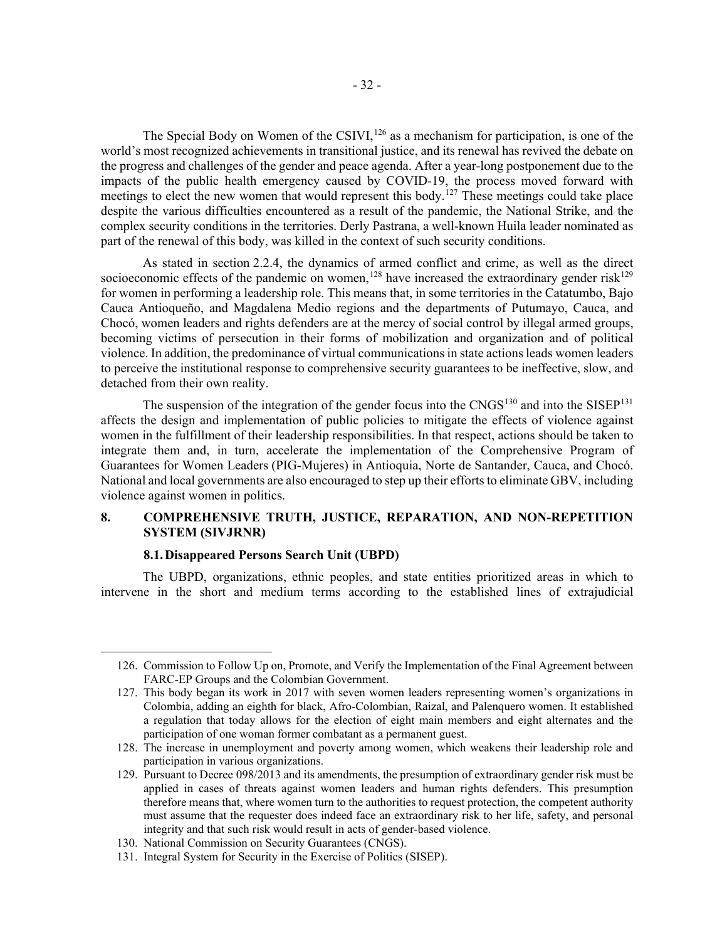The Special Body on Women of the CSIVI,  $^{126}$  $^{126}$  $^{126}$  as a mechanism for participation, is one of the world's most recognized achievements in transitional justice, and its renewal has revived the debate on the progress and challenges of the gender and peace agenda. After a year-long postponement due to the impacts of the public health emergency caused by COVID-19, the process moved forward with meetings to elect the new women that would represent this body.<sup>[127](#page-31-1)</sup> These meetings could take place despite the various difficulties encountered as a result of the pandemic, the National Strike, and the complex security conditions in the territories. Derly Pastrana, a well-known Huila leader nominated as part of the renewal of this body, was killed in the context of such security conditions.

As stated in section 2.2.4, the dynamics of armed conflict and crime, as well as the direct socioeconomic effects of the pandemic on women,<sup>[128](#page-31-2)</sup> have increased the extraordinary gender risk<sup>[129](#page-31-3)</sup> for women in performing a leadership role. This means that, in some territories in the Catatumbo, Bajo Cauca Antioqueño, and Magdalena Medio regions and the departments of Putumayo, Cauca, and Chocó, women leaders and rights defenders are at the mercy of social control by illegal armed groups, becoming victims of persecution in their forms of mobilization and organization and of political violence. In addition, the predominance of virtual communications in state actions leads women leaders to perceive the institutional response to comprehensive security guarantees to be ineffective, slow, and detached from their own reality.

The suspension of the integration of the gender focus into the  $CNGS<sup>130</sup>$  $CNGS<sup>130</sup>$  $CNGS<sup>130</sup>$  and into the SISEP<sup>[131](#page-31-5)</sup> affects the design and implementation of public policies to mitigate the effects of violence against women in the fulfillment of their leadership responsibilities. In that respect, actions should be taken to integrate them and, in turn, accelerate the implementation of the Comprehensive Program of Guarantees for Women Leaders (PIG-Mujeres) in Antioquia, Norte de Santander, Cauca, and Chocó. National and local governments are also encouraged to step up their efforts to eliminate GBV, including violence against women in politics.

# **8. COMPREHENSIVE TRUTH, JUSTICE, REPARATION, AND NON-REPETITION SYSTEM (SIVJRNR)**

# **8.1.Disappeared Persons Search Unit (UBPD)**

The UBPD, organizations, ethnic peoples, and state entities prioritized areas in which to intervene in the short and medium terms according to the established lines of extrajudicial

<span id="page-31-0"></span><sup>126.</sup> Commission to Follow Up on, Promote, and Verify the Implementation of the Final Agreement between FARC-EP Groups and the Colombian Government.

<span id="page-31-1"></span><sup>127.</sup> This body began its work in 2017 with seven women leaders representing women's organizations in Colombia, adding an eighth for black, Afro-Colombian, Raizal, and Palenquero women. It established a regulation that today allows for the election of eight main members and eight alternates and the participation of one woman former combatant as a permanent guest.

<span id="page-31-2"></span><sup>128.</sup> The increase in unemployment and poverty among women, which weakens their leadership role and participation in various organizations.

<span id="page-31-3"></span><sup>129.</sup> Pursuant to Decree 098/2013 and its amendments, the presumption of extraordinary gender risk must be applied in cases of threats against women leaders and human rights defenders. This presumption therefore means that, where women turn to the authorities to request protection, the competent authority must assume that the requester does indeed face an extraordinary risk to her life, safety, and personal integrity and that such risk would result in acts of gender-based violence.

<span id="page-31-4"></span><sup>130.</sup> National Commission on Security Guarantees (CNGS).

<span id="page-31-5"></span><sup>131.</sup> Integral System for Security in the Exercise of Politics (SISEP).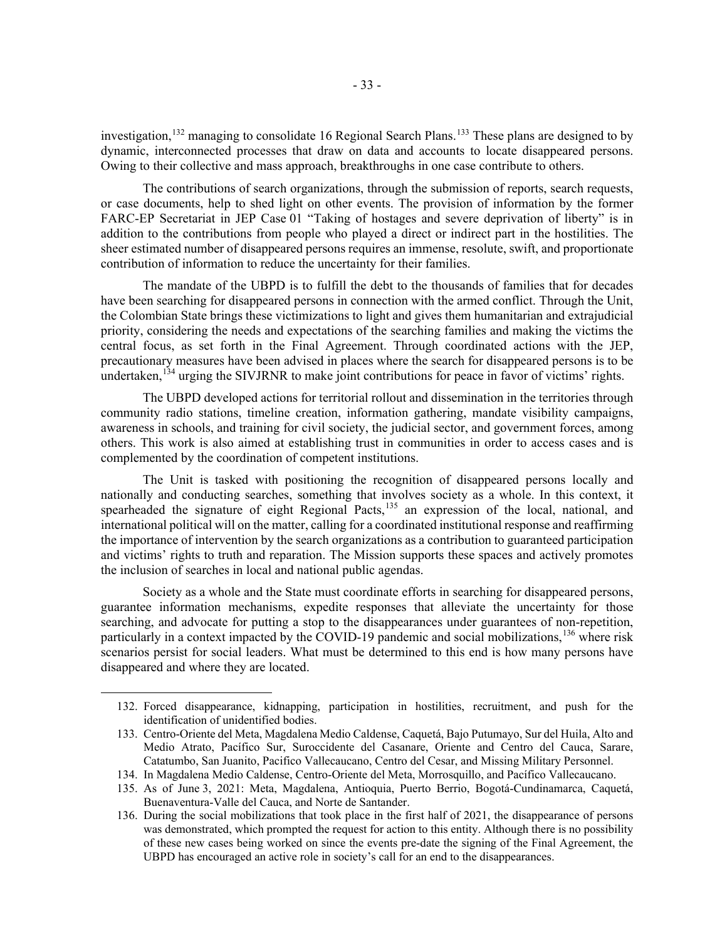investigation,<sup>[132](#page-32-0)</sup> managing to consolidate 16 Regional Search Plans.<sup>[133](#page-32-1)</sup> These plans are designed to by dynamic, interconnected processes that draw on data and accounts to locate disappeared persons. Owing to their collective and mass approach, breakthroughs in one case contribute to others.

The contributions of search organizations, through the submission of reports, search requests, or case documents, help to shed light on other events. The provision of information by the former FARC-EP Secretariat in JEP Case 01 "Taking of hostages and severe deprivation of liberty" is in addition to the contributions from people who played a direct or indirect part in the hostilities. The sheer estimated number of disappeared persons requires an immense, resolute, swift, and proportionate contribution of information to reduce the uncertainty for their families.

The mandate of the UBPD is to fulfill the debt to the thousands of families that for decades have been searching for disappeared persons in connection with the armed conflict. Through the Unit, the Colombian State brings these victimizations to light and gives them humanitarian and extrajudicial priority, considering the needs and expectations of the searching families and making the victims the central focus, as set forth in the Final Agreement. Through coordinated actions with the JEP, precautionary measures have been advised in places where the search for disappeared persons is to be undertaken,<sup>[134](#page-32-2)</sup> urging the SIVJRNR to make joint contributions for peace in favor of victims' rights.

The UBPD developed actions for territorial rollout and dissemination in the territories through community radio stations, timeline creation, information gathering, mandate visibility campaigns, awareness in schools, and training for civil society, the judicial sector, and government forces, among others. This work is also aimed at establishing trust in communities in order to access cases and is complemented by the coordination of competent institutions.

The Unit is tasked with positioning the recognition of disappeared persons locally and nationally and conducting searches, something that involves society as a whole. In this context, it spearheaded the signature of eight Regional Pacts,<sup>[135](#page-32-3)</sup> an expression of the local, national, and international political will on the matter, calling for a coordinated institutional response and reaffirming the importance of intervention by the search organizations as a contribution to guaranteed participation and victims' rights to truth and reparation. The Mission supports these spaces and actively promotes the inclusion of searches in local and national public agendas.

Society as a whole and the State must coordinate efforts in searching for disappeared persons, guarantee information mechanisms, expedite responses that alleviate the uncertainty for those searching, and advocate for putting a stop to the disappearances under guarantees of non-repetition, particularly in a context impacted by the COVID-19 pandemic and social mobilizations, <sup>[136](#page-32-4)</sup> where risk scenarios persist for social leaders. What must be determined to this end is how many persons have disappeared and where they are located.

<span id="page-32-0"></span><sup>132.</sup> Forced disappearance, kidnapping, participation in hostilities, recruitment, and push for the identification of unidentified bodies.

<span id="page-32-1"></span><sup>133.</sup> Centro-Oriente del Meta, Magdalena Medio Caldense, Caquetá, Bajo Putumayo, Sur del Huila, Alto and Medio Atrato, Pacífico Sur, Suroccidente del Casanare, Oriente and Centro del Cauca, Sarare, Catatumbo, San Juanito, Pacifico Vallecaucano, Centro del Cesar, and Missing Military Personnel.

<span id="page-32-2"></span><sup>134.</sup> In Magdalena Medio Caldense, Centro-Oriente del Meta, Morrosquillo, and Pacífico Vallecaucano.

<span id="page-32-3"></span><sup>135.</sup> As of June 3, 2021: Meta, Magdalena, Antioquia, Puerto Berrio, Bogotá-Cundinamarca, Caquetá, Buenaventura-Valle del Cauca, and Norte de Santander.

<span id="page-32-4"></span><sup>136.</sup> During the social mobilizations that took place in the first half of 2021, the disappearance of persons was demonstrated, which prompted the request for action to this entity. Although there is no possibility of these new cases being worked on since the events pre-date the signing of the Final Agreement, the UBPD has encouraged an active role in society's call for an end to the disappearances.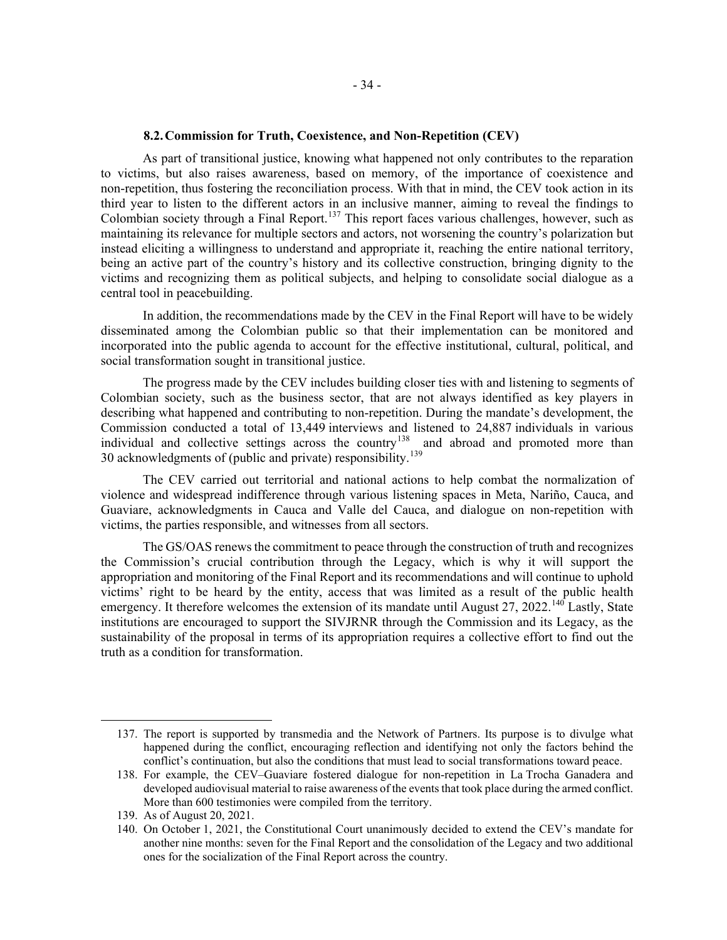## **8.2.Commission for Truth, Coexistence, and Non-Repetition (CEV)**

As part of transitional justice, knowing what happened not only contributes to the reparation to victims, but also raises awareness, based on memory, of the importance of coexistence and non-repetition, thus fostering the reconciliation process. With that in mind, the CEV took action in its third year to listen to the different actors in an inclusive manner, aiming to reveal the findings to Colombian society through a Final Report.<sup>[137](#page-33-0)</sup> This report faces various challenges, however, such as maintaining its relevance for multiple sectors and actors, not worsening the country's polarization but instead eliciting a willingness to understand and appropriate it, reaching the entire national territory, being an active part of the country's history and its collective construction, bringing dignity to the victims and recognizing them as political subjects, and helping to consolidate social dialogue as a central tool in peacebuilding.

In addition, the recommendations made by the CEV in the Final Report will have to be widely disseminated among the Colombian public so that their implementation can be monitored and incorporated into the public agenda to account for the effective institutional, cultural, political, and social transformation sought in transitional justice.

The progress made by the CEV includes building closer ties with and listening to segments of Colombian society, such as the business sector, that are not always identified as key players in describing what happened and contributing to non-repetition. During the mandate's development, the Commission conducted a total of 13,449 interviews and listened to 24,887 individuals in various individual and collective settings across the country<sup>[138](#page-33-1)</sup> and abroad and promoted more than 30 acknowledgments of (public and private) responsibility.<sup>[139](#page-33-2)</sup>

The CEV carried out territorial and national actions to help combat the normalization of violence and widespread indifference through various listening spaces in Meta, Nariño, Cauca, and Guaviare, acknowledgments in Cauca and Valle del Cauca, and dialogue on non-repetition with victims, the parties responsible, and witnesses from all sectors.

The GS/OAS renews the commitment to peace through the construction of truth and recognizes the Commission's crucial contribution through the Legacy, which is why it will support the appropriation and monitoring of the Final Report and its recommendations and will continue to uphold victims' right to be heard by the entity, access that was limited as a result of the public health emergency. It therefore welcomes the extension of its mandate until August 27, 2022.<sup>[140](#page-33-3)</sup> Lastly, State institutions are encouraged to support the SIVJRNR through the Commission and its Legacy, as the sustainability of the proposal in terms of its appropriation requires a collective effort to find out the truth as a condition for transformation.

<span id="page-33-0"></span><sup>137.</sup> The report is supported by transmedia and the Network of Partners. Its purpose is to divulge what happened during the conflict, encouraging reflection and identifying not only the factors behind the conflict's continuation, but also the conditions that must lead to social transformations toward peace.

<span id="page-33-1"></span><sup>138.</sup> For example, the CEV–Guaviare fostered dialogue for non-repetition in La Trocha Ganadera and developed audiovisual material to raise awareness of the events that took place during the armed conflict. More than 600 testimonies were compiled from the territory.

<span id="page-33-2"></span><sup>139.</sup> As of August 20, 2021.

<span id="page-33-3"></span><sup>140.</sup> On October 1, 2021, the Constitutional Court unanimously decided to extend the CEV's mandate for another nine months: seven for the Final Report and the consolidation of the Legacy and two additional ones for the socialization of the Final Report across the country.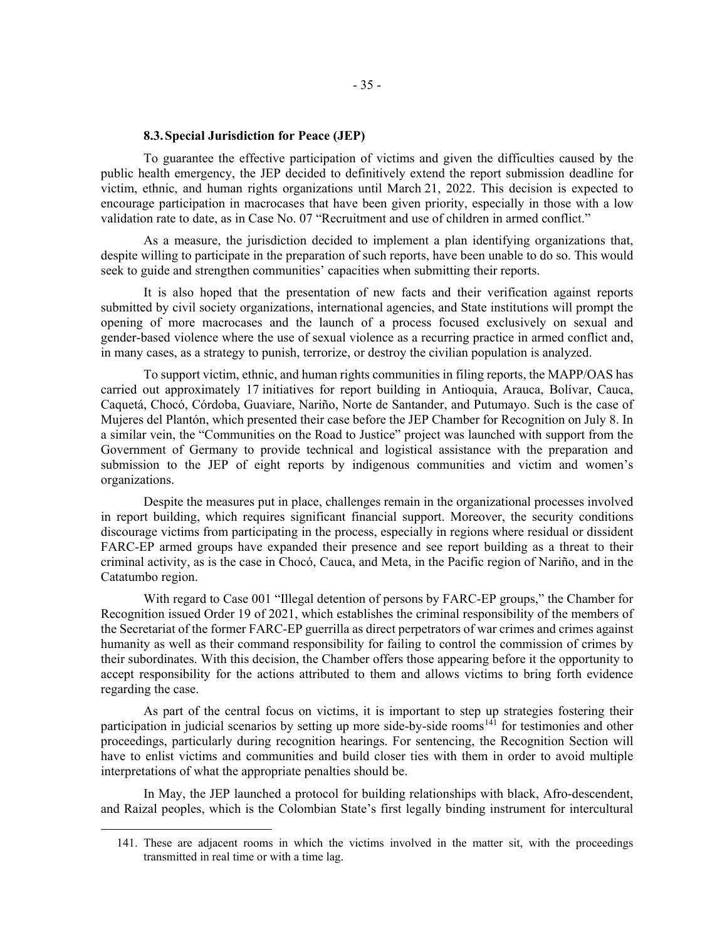## **8.3.Special Jurisdiction for Peace (JEP)**

To guarantee the effective participation of victims and given the difficulties caused by the public health emergency, the JEP decided to definitively extend the report submission deadline for victim, ethnic, and human rights organizations until March 21, 2022. This decision is expected to encourage participation in macrocases that have been given priority, especially in those with a low validation rate to date, as in Case No. 07 "Recruitment and use of children in armed conflict."

As a measure, the jurisdiction decided to implement a plan identifying organizations that, despite willing to participate in the preparation of such reports, have been unable to do so. This would seek to guide and strengthen communities' capacities when submitting their reports.

It is also hoped that the presentation of new facts and their verification against reports submitted by civil society organizations, international agencies, and State institutions will prompt the opening of more macrocases and the launch of a process focused exclusively on sexual and gender-based violence where the use of sexual violence as a recurring practice in armed conflict and, in many cases, as a strategy to punish, terrorize, or destroy the civilian population is analyzed.

To support victim, ethnic, and human rights communities in filing reports, the MAPP/OAS has carried out approximately 17 initiatives for report building in Antioquia, Arauca, Bolívar, Cauca, Caquetá, Chocó, Córdoba, Guaviare, Nariño, Norte de Santander, and Putumayo. Such is the case of Mujeres del Plantón, which presented their case before the JEP Chamber for Recognition on July 8. In a similar vein, the "Communities on the Road to Justice" project was launched with support from the Government of Germany to provide technical and logistical assistance with the preparation and submission to the JEP of eight reports by indigenous communities and victim and women's organizations.

Despite the measures put in place, challenges remain in the organizational processes involved in report building, which requires significant financial support. Moreover, the security conditions discourage victims from participating in the process, especially in regions where residual or dissident FARC-EP armed groups have expanded their presence and see report building as a threat to their criminal activity, as is the case in Chocó, Cauca, and Meta, in the Pacific region of Nariño, and in the Catatumbo region.

With regard to Case 001 "Illegal detention of persons by FARC-EP groups," the Chamber for Recognition issued Order 19 of 2021, which establishes the criminal responsibility of the members of the Secretariat of the former FARC-EP guerrilla as direct perpetrators of war crimes and crimes against humanity as well as their command responsibility for failing to control the commission of crimes by their subordinates. With this decision, the Chamber offers those appearing before it the opportunity to accept responsibility for the actions attributed to them and allows victims to bring forth evidence regarding the case.

As part of the central focus on victims, it is important to step up strategies fostering their participation in judicial scenarios by setting up more side-by-side rooms<sup>[141](#page-34-0)</sup> for testimonies and other proceedings, particularly during recognition hearings. For sentencing, the Recognition Section will have to enlist victims and communities and build closer ties with them in order to avoid multiple interpretations of what the appropriate penalties should be.

<span id="page-34-0"></span>In May, the JEP launched a protocol for building relationships with black, Afro-descendent, and Raizal peoples, which is the Colombian State's first legally binding instrument for intercultural

<sup>141.</sup> These are adjacent rooms in which the victims involved in the matter sit, with the proceedings transmitted in real time or with a time lag.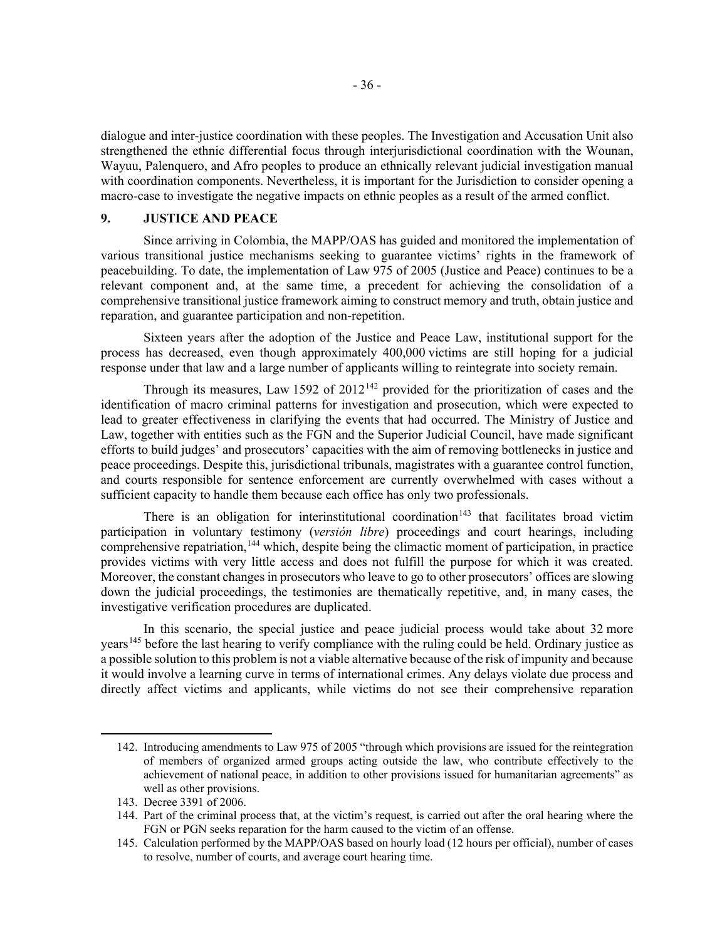dialogue and inter-justice coordination with these peoples. The Investigation and Accusation Unit also strengthened the ethnic differential focus through interjurisdictional coordination with the Wounan, Wayuu, Palenquero, and Afro peoples to produce an ethnically relevant judicial investigation manual with coordination components. Nevertheless, it is important for the Jurisdiction to consider opening a macro-case to investigate the negative impacts on ethnic peoples as a result of the armed conflict.

## **9. JUSTICE AND PEACE**

Since arriving in Colombia, the MAPP/OAS has guided and monitored the implementation of various transitional justice mechanisms seeking to guarantee victims' rights in the framework of peacebuilding. To date, the implementation of Law 975 of 2005 (Justice and Peace) continues to be a relevant component and, at the same time, a precedent for achieving the consolidation of a comprehensive transitional justice framework aiming to construct memory and truth, obtain justice and reparation, and guarantee participation and non-repetition.

Sixteen years after the adoption of the Justice and Peace Law, institutional support for the process has decreased, even though approximately 400,000 victims are still hoping for a judicial response under that law and a large number of applicants willing to reintegrate into society remain.

Through its measures, Law 1592 of  $2012^{142}$  $2012^{142}$  $2012^{142}$  provided for the prioritization of cases and the identification of macro criminal patterns for investigation and prosecution, which were expected to lead to greater effectiveness in clarifying the events that had occurred. The Ministry of Justice and Law, together with entities such as the FGN and the Superior Judicial Council, have made significant efforts to build judges' and prosecutors' capacities with the aim of removing bottlenecks in justice and peace proceedings. Despite this, jurisdictional tribunals, magistrates with a guarantee control function, and courts responsible for sentence enforcement are currently overwhelmed with cases without a sufficient capacity to handle them because each office has only two professionals.

There is an obligation for interinstitutional coordination<sup>[143](#page-35-1)</sup> that facilitates broad victim participation in voluntary testimony (*versión libre*) proceedings and court hearings, including comprehensive repatriation,<sup>[144](#page-35-2)</sup> which, despite being the climactic moment of participation, in practice provides victims with very little access and does not fulfill the purpose for which it was created. Moreover, the constant changes in prosecutors who leave to go to other prosecutors' offices are slowing down the judicial proceedings, the testimonies are thematically repetitive, and, in many cases, the investigative verification procedures are duplicated.

In this scenario, the special justice and peace judicial process would take about 32 more years<sup>[145](#page-35-3)</sup> before the last hearing to verify compliance with the ruling could be held. Ordinary justice as a possible solution to this problem is not a viable alternative because of the risk of impunity and because it would involve a learning curve in terms of international crimes. Any delays violate due process and directly affect victims and applicants, while victims do not see their comprehensive reparation

<span id="page-35-0"></span><sup>142.</sup> Introducing amendments to Law 975 of 2005 "through which provisions are issued for the reintegration of members of organized armed groups acting outside the law, who contribute effectively to the achievement of national peace, in addition to other provisions issued for humanitarian agreements" as well as other provisions.

<span id="page-35-1"></span><sup>143.</sup> Decree 3391 of 2006.

<span id="page-35-2"></span><sup>144.</sup> Part of the criminal process that, at the victim's request, is carried out after the oral hearing where the FGN or PGN seeks reparation for the harm caused to the victim of an offense.

<span id="page-35-3"></span><sup>145.</sup> Calculation performed by the MAPP/OAS based on hourly load (12 hours per official), number of cases to resolve, number of courts, and average court hearing time.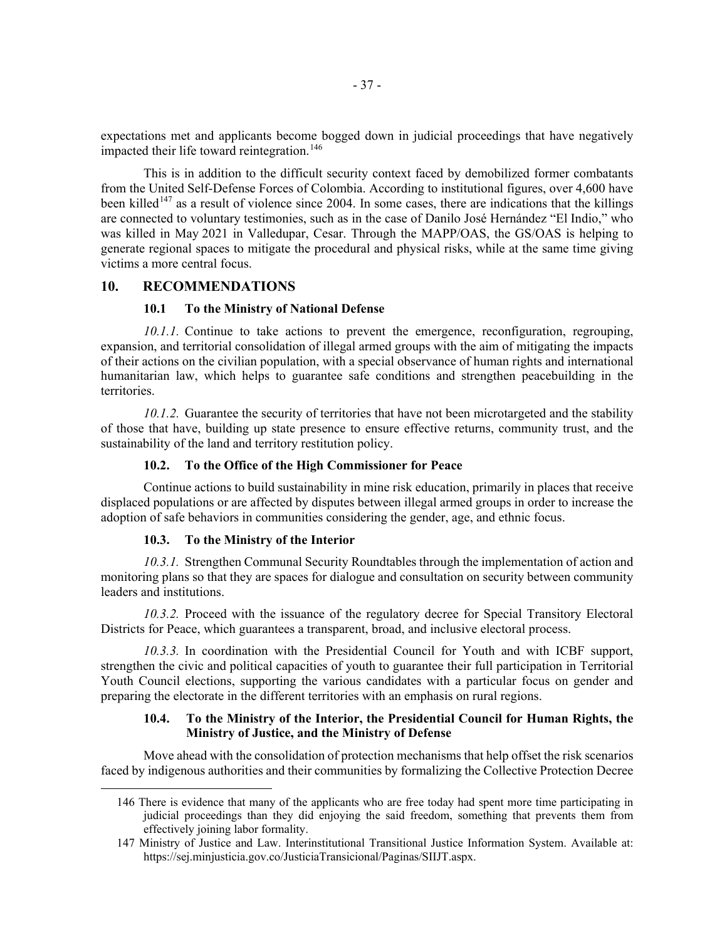expectations met and applicants become bogged down in judicial proceedings that have negatively impacted their life toward reintegration.<sup>[146](#page-36-0)</sup>

This is in addition to the difficult security context faced by demobilized former combatants from the United Self-Defense Forces of Colombia. According to institutional figures, over 4,600 have been killed<sup>[147](#page-36-1)</sup> as a result of violence since 2004. In some cases, there are indications that the killings are connected to voluntary testimonies, such as in the case of Danilo José Hernández "El Indio," who was killed in May 2021 in Valledupar, Cesar. Through the MAPP/OAS, the GS/OAS is helping to generate regional spaces to mitigate the procedural and physical risks, while at the same time giving victims a more central focus.

## **10. RECOMMENDATIONS**

#### **10.1 To the Ministry of National Defense**

*10.1.1.* Continue to take actions to prevent the emergence, reconfiguration, regrouping, expansion, and territorial consolidation of illegal armed groups with the aim of mitigating the impacts of their actions on the civilian population, with a special observance of human rights and international humanitarian law, which helps to guarantee safe conditions and strengthen peacebuilding in the territories.

*10.1.2.* Guarantee the security of territories that have not been microtargeted and the stability of those that have, building up state presence to ensure effective returns, community trust, and the sustainability of the land and territory restitution policy.

## **10.2. To the Office of the High Commissioner for Peace**

Continue actions to build sustainability in mine risk education, primarily in places that receive displaced populations or are affected by disputes between illegal armed groups in order to increase the adoption of safe behaviors in communities considering the gender, age, and ethnic focus.

#### **10.3. To the Ministry of the Interior**

*10.3.1.* Strengthen Communal Security Roundtables through the implementation of action and monitoring plans so that they are spaces for dialogue and consultation on security between community leaders and institutions.

*10.3.2.* Proceed with the issuance of the regulatory decree for Special Transitory Electoral Districts for Peace, which guarantees a transparent, broad, and inclusive electoral process.

*10.3.3.* In coordination with the Presidential Council for Youth and with ICBF support, strengthen the civic and political capacities of youth to guarantee their full participation in Territorial Youth Council elections, supporting the various candidates with a particular focus on gender and preparing the electorate in the different territories with an emphasis on rural regions.

## **10.4. To the Ministry of the Interior, the Presidential Council for Human Rights, the Ministry of Justice, and the Ministry of Defense**

<span id="page-36-0"></span>Move ahead with the consolidation of protection mechanisms that help offset the risk scenarios faced by indigenous authorities and their communities by formalizing the Collective Protection Decree

<sup>146</sup> There is evidence that many of the applicants who are free today had spent more time participating in judicial proceedings than they did enjoying the said freedom, something that prevents them from effectively joining labor formality.

<span id="page-36-1"></span><sup>147</sup> Ministry of Justice and Law. Interinstitutional Transitional Justice Information System. Available at: https://sej.minjusticia.gov.co/JusticiaTransicional/Paginas/SIIJT.aspx.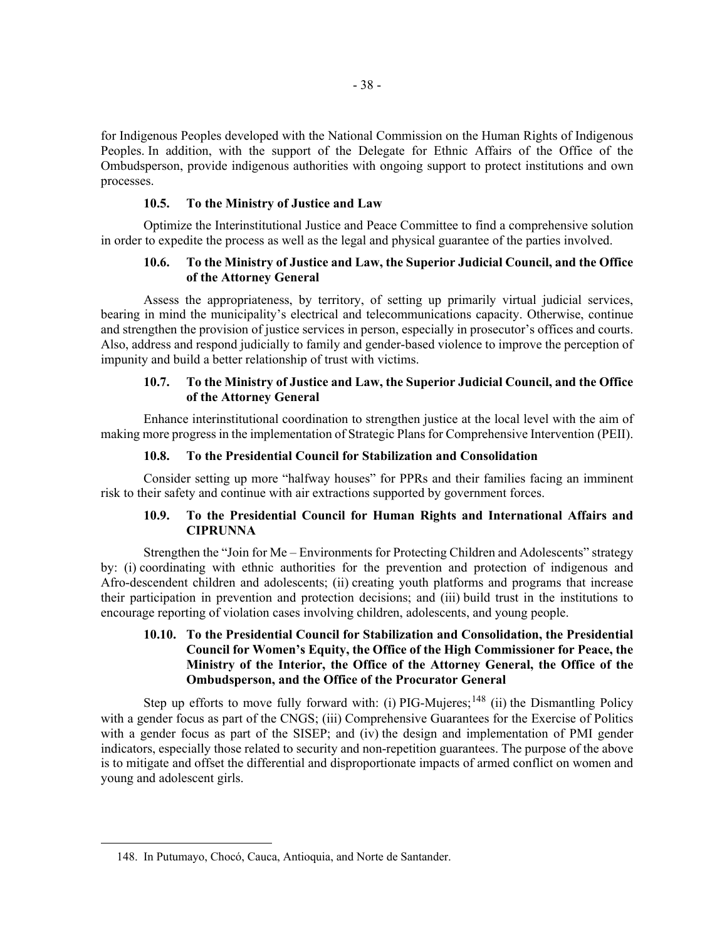for Indigenous Peoples developed with the National Commission on the Human Rights of Indigenous Peoples. In addition, with the support of the Delegate for Ethnic Affairs of the Office of the Ombudsperson, provide indigenous authorities with ongoing support to protect institutions and own processes.

#### **10.5. To the Ministry of Justice and Law**

Optimize the Interinstitutional Justice and Peace Committee to find a comprehensive solution in order to expedite the process as well as the legal and physical guarantee of the parties involved.

### **10.6. To the Ministry of Justice and Law, the Superior Judicial Council, and the Office of the Attorney General**

Assess the appropriateness, by territory, of setting up primarily virtual judicial services, bearing in mind the municipality's electrical and telecommunications capacity. Otherwise, continue and strengthen the provision of justice services in person, especially in prosecutor's offices and courts. Also, address and respond judicially to family and gender-based violence to improve the perception of impunity and build a better relationship of trust with victims.

## **10.7. To the Ministry of Justice and Law, the Superior Judicial Council, and the Office of the Attorney General**

Enhance interinstitutional coordination to strengthen justice at the local level with the aim of making more progress in the implementation of Strategic Plans for Comprehensive Intervention (PEII).

#### **10.8. To the Presidential Council for Stabilization and Consolidation**

Consider setting up more "halfway houses" for PPRs and their families facing an imminent risk to their safety and continue with air extractions supported by government forces.

# **10.9. To the Presidential Council for Human Rights and International Affairs and CIPRUNNA**

Strengthen the "Join for Me – Environments for Protecting Children and Adolescents" strategy by: (i) coordinating with ethnic authorities for the prevention and protection of indigenous and Afro-descendent children and adolescents; (ii) creating youth platforms and programs that increase their participation in prevention and protection decisions; and (iii) build trust in the institutions to encourage reporting of violation cases involving children, adolescents, and young people.

## **10.10. To the Presidential Council for Stabilization and Consolidation, the Presidential Council for Women's Equity, the Office of the High Commissioner for Peace, the Ministry of the Interior, the Office of the Attorney General, the Office of the Ombudsperson, and the Office of the Procurator General**

Step up efforts to move fully forward with: (i) PIG-Mujeres;<sup>[148](#page-37-0)</sup> (ii) the Dismantling Policy with a gender focus as part of the CNGS; (iii) Comprehensive Guarantees for the Exercise of Politics with a gender focus as part of the SISEP; and (iv) the design and implementation of PMI gender indicators, especially those related to security and non-repetition guarantees. The purpose of the above is to mitigate and offset the differential and disproportionate impacts of armed conflict on women and young and adolescent girls.

<span id="page-37-0"></span><sup>148.</sup> In Putumayo, Chocó, Cauca, Antioquia, and Norte de Santander.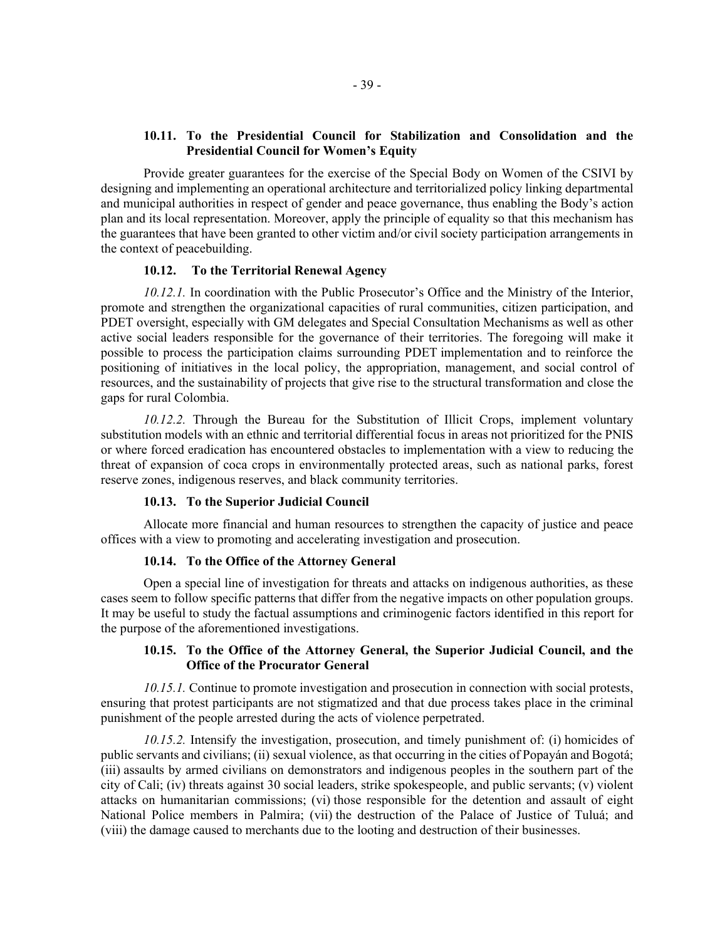## **10.11. To the Presidential Council for Stabilization and Consolidation and the Presidential Council for Women's Equity**

Provide greater guarantees for the exercise of the Special Body on Women of the CSIVI by designing and implementing an operational architecture and territorialized policy linking departmental and municipal authorities in respect of gender and peace governance, thus enabling the Body's action plan and its local representation. Moreover, apply the principle of equality so that this mechanism has the guarantees that have been granted to other victim and/or civil society participation arrangements in the context of peacebuilding.

#### **10.12. To the Territorial Renewal Agency**

*10.12.1.* In coordination with the Public Prosecutor's Office and the Ministry of the Interior, promote and strengthen the organizational capacities of rural communities, citizen participation, and PDET oversight, especially with GM delegates and Special Consultation Mechanisms as well as other active social leaders responsible for the governance of their territories. The foregoing will make it possible to process the participation claims surrounding PDET implementation and to reinforce the positioning of initiatives in the local policy, the appropriation, management, and social control of resources, and the sustainability of projects that give rise to the structural transformation and close the gaps for rural Colombia.

*10.12.2.* Through the Bureau for the Substitution of Illicit Crops, implement voluntary substitution models with an ethnic and territorial differential focus in areas not prioritized for the PNIS or where forced eradication has encountered obstacles to implementation with a view to reducing the threat of expansion of coca crops in environmentally protected areas, such as national parks, forest reserve zones, indigenous reserves, and black community territories.

## **10.13. To the Superior Judicial Council**

Allocate more financial and human resources to strengthen the capacity of justice and peace offices with a view to promoting and accelerating investigation and prosecution.

#### **10.14. To the Office of the Attorney General**

Open a special line of investigation for threats and attacks on indigenous authorities, as these cases seem to follow specific patterns that differ from the negative impacts on other population groups. It may be useful to study the factual assumptions and criminogenic factors identified in this report for the purpose of the aforementioned investigations.

### **10.15. To the Office of the Attorney General, the Superior Judicial Council, and the Office of the Procurator General**

*10.15.1.* Continue to promote investigation and prosecution in connection with social protests, ensuring that protest participants are not stigmatized and that due process takes place in the criminal punishment of the people arrested during the acts of violence perpetrated.

*10.15.2.* Intensify the investigation, prosecution, and timely punishment of: (i) homicides of public servants and civilians; (ii) sexual violence, as that occurring in the cities of Popayán and Bogotá; (iii) assaults by armed civilians on demonstrators and indigenous peoples in the southern part of the city of Cali; (iv) threats against 30 social leaders, strike spokespeople, and public servants; (v) violent attacks on humanitarian commissions; (vi) those responsible for the detention and assault of eight National Police members in Palmira; (vii) the destruction of the Palace of Justice of Tuluá; and (viii) the damage caused to merchants due to the looting and destruction of their businesses.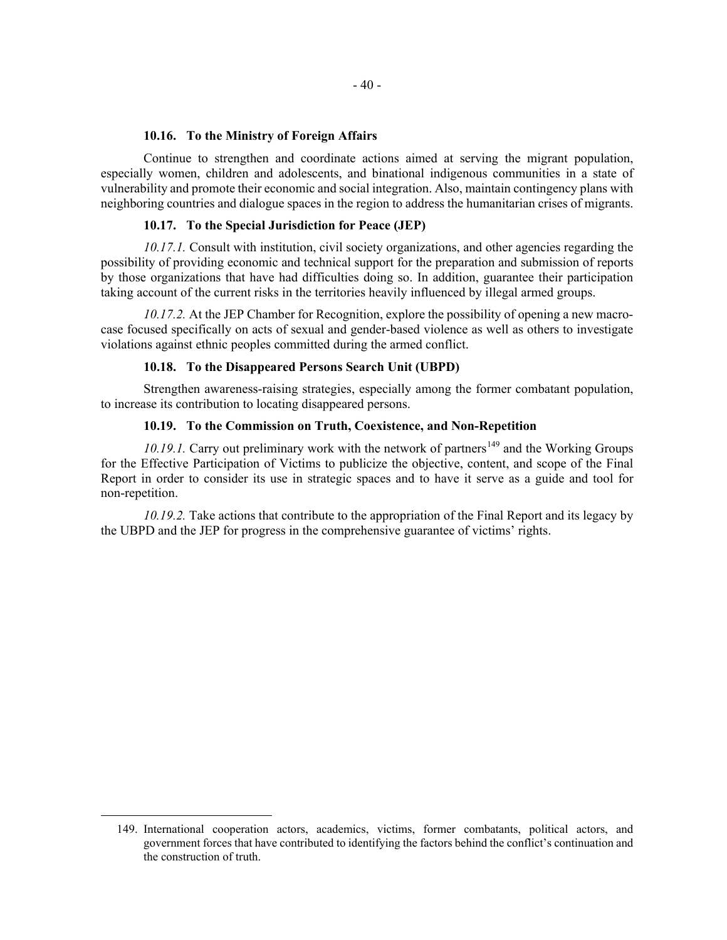## **10.16. To the Ministry of Foreign Affairs**

Continue to strengthen and coordinate actions aimed at serving the migrant population, especially women, children and adolescents, and binational indigenous communities in a state of vulnerability and promote their economic and social integration. Also, maintain contingency plans with neighboring countries and dialogue spaces in the region to address the humanitarian crises of migrants.

#### **10.17. To the Special Jurisdiction for Peace (JEP)**

*10.17.1.* Consult with institution, civil society organizations, and other agencies regarding the possibility of providing economic and technical support for the preparation and submission of reports by those organizations that have had difficulties doing so. In addition, guarantee their participation taking account of the current risks in the territories heavily influenced by illegal armed groups.

*10.17.2.* At the JEP Chamber for Recognition, explore the possibility of opening a new macrocase focused specifically on acts of sexual and gender-based violence as well as others to investigate violations against ethnic peoples committed during the armed conflict.

#### **10.18. To the Disappeared Persons Search Unit (UBPD)**

Strengthen awareness-raising strategies, especially among the former combatant population, to increase its contribution to locating disappeared persons.

## **10.19. To the Commission on Truth, Coexistence, and Non-Repetition**

*10.19.1.* Carry out preliminary work with the network of partners<sup>[149](#page-39-0)</sup> and the Working Groups for the Effective Participation of Victims to publicize the objective, content, and scope of the Final Report in order to consider its use in strategic spaces and to have it serve as a guide and tool for non-repetition.

*10.19.2.* Take actions that contribute to the appropriation of the Final Report and its legacy by the UBPD and the JEP for progress in the comprehensive guarantee of victims' rights.

<span id="page-39-0"></span><sup>149.</sup> International cooperation actors, academics, victims, former combatants, political actors, and government forces that have contributed to identifying the factors behind the conflict's continuation and the construction of truth.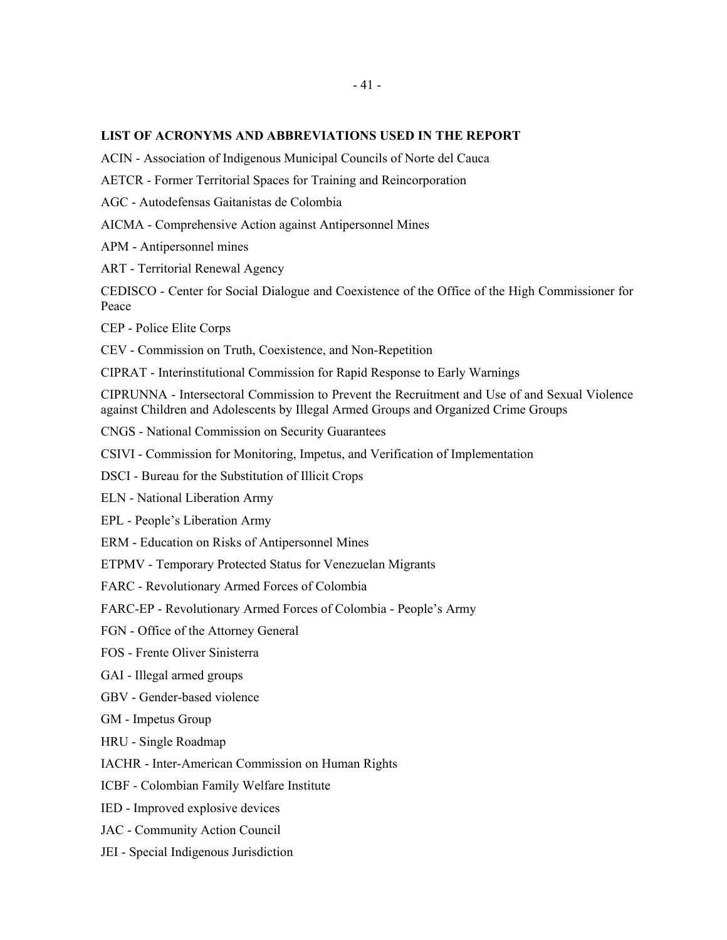## **LIST OF ACRONYMS AND ABBREVIATIONS USED IN THE REPORT**

ACIN - Association of Indigenous Municipal Councils of Norte del Cauca

AETCR - Former Territorial Spaces for Training and Reincorporation

AGC - Autodefensas Gaitanistas de Colombia

AICMA - Comprehensive Action against Antipersonnel Mines

APM - Antipersonnel mines

ART - Territorial Renewal Agency

CEDISCO - Center for Social Dialogue and Coexistence of the Office of the High Commissioner for Peace

CEP - Police Elite Corps

CEV - Commission on Truth, Coexistence, and Non-Repetition

CIPRAT - Interinstitutional Commission for Rapid Response to Early Warnings

CIPRUNNA - Intersectoral Commission to Prevent the Recruitment and Use of and Sexual Violence against Children and Adolescents by Illegal Armed Groups and Organized Crime Groups

CNGS - National Commission on Security Guarantees

CSIVI - Commission for Monitoring, Impetus, and Verification of Implementation

DSCI - Bureau for the Substitution of Illicit Crops

ELN - National Liberation Army

EPL - People's Liberation Army

ERM - Education on Risks of Antipersonnel Mines

ETPMV - Temporary Protected Status for Venezuelan Migrants

FARC - Revolutionary Armed Forces of Colombia

FARC-EP - Revolutionary Armed Forces of Colombia - People's Army

FGN - Office of the Attorney General

FOS - Frente Oliver Sinisterra

GAI - Illegal armed groups

GBV - Gender-based violence

GM - Impetus Group

HRU - Single Roadmap

IACHR - Inter-American Commission on Human Rights

ICBF - Colombian Family Welfare Institute

IED - Improved explosive devices

JAC - Community Action Council

JEI - Special Indigenous Jurisdiction